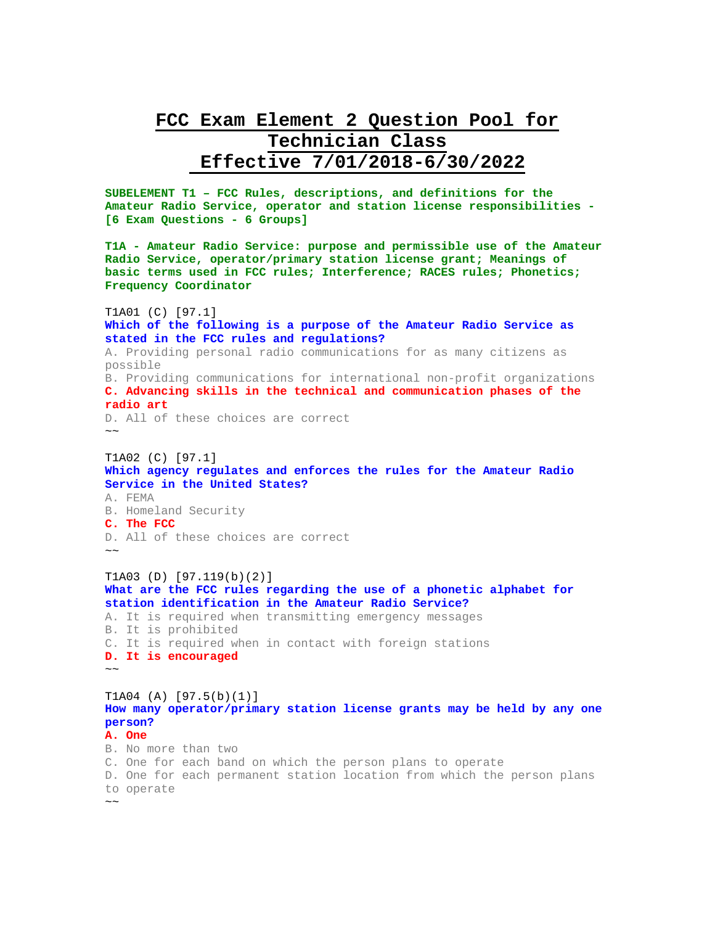## **FCC Exam Element 2 Question Pool for Technician Class Effective 7/01/2018-6/30/2022**

**SUBELEMENT T1 – FCC Rules, descriptions, and definitions for the Amateur Radio Service, operator and station license responsibilities - [6 Exam Questions - 6 Groups]**

**T1A - Amateur Radio Service: purpose and permissible use of the Amateur Radio Service, operator/primary station license grant; Meanings of basic terms used in FCC rules; Interference; RACES rules; Phonetics; Frequency Coordinator**

T1A01 (C) [97.1] **Which of the following is a purpose of the Amateur Radio Service as stated in the FCC rules and regulations?** A. Providing personal radio communications for as many citizens as possible B. Providing communications for international non-profit organizations **C. Advancing skills in the technical and communication phases of the radio art** D. All of these choices are correct  $\sim$   $\sim$ T1A02 (C) [97.1] **Which agency regulates and enforces the rules for the Amateur Radio Service in the United States?** A. FEMA B. Homeland Security **C. The FCC** D. All of these choices are correct  $\sim$  ~ T1A03 (D) [97.119(b)(2)] **What are the FCC rules regarding the use of a phonetic alphabet for station identification in the Amateur Radio Service?** A. It is required when transmitting emergency messages B. It is prohibited C. It is required when in contact with foreign stations **D. It is encouraged**  $\sim$   $\sim$ T1A04 (A) [97.5(b)(1)] **How many operator/primary station license grants may be held by any one person? A. One** B. No more than two C. One for each band on which the person plans to operate D. One for each permanent station location from which the person plans to operate  $\sim\sim$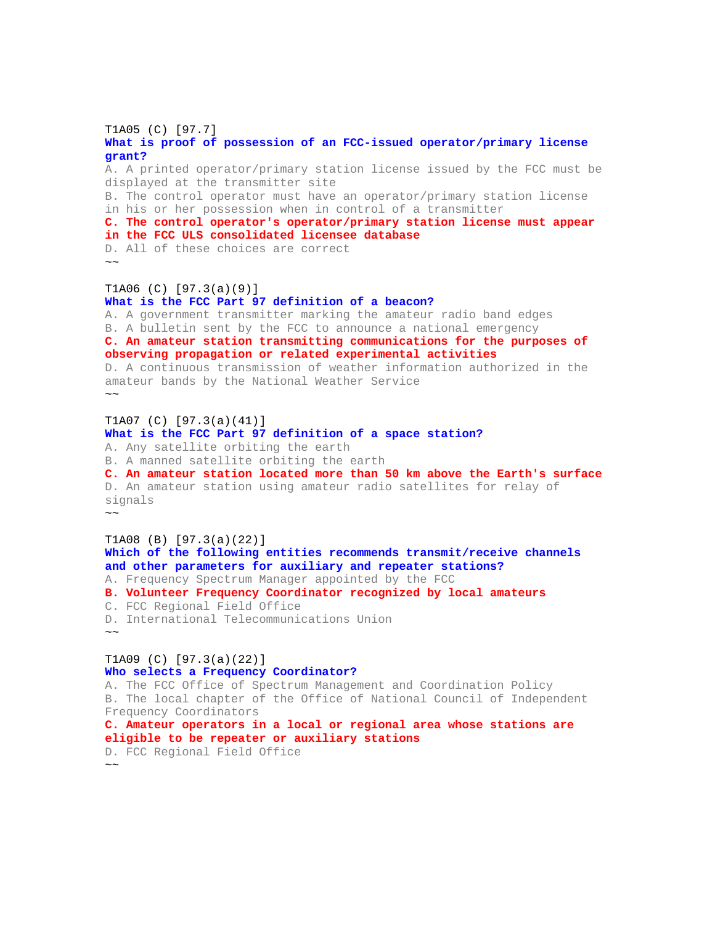T1A05 (C) [97.7] **What is proof of possession of an FCC-issued operator/primary license grant?** A. A printed operator/primary station license issued by the FCC must be displayed at the transmitter site B. The control operator must have an operator/primary station license in his or her possession when in control of a transmitter **C. The control operator's operator/primary station license must appear in the FCC ULS consolidated licensee database** D. All of these choices are correct  $\sim$   $\sim$ T1A06 (C) [97.3(a)(9)] **What is the FCC Part 97 definition of a beacon?** A. A government transmitter marking the amateur radio band edges B. A bulletin sent by the FCC to announce a national emergency **C. An amateur station transmitting communications for the purposes of observing propagation or related experimental activities** D. A continuous transmission of weather information authorized in the amateur bands by the National Weather Service  $\sim$   $\sim$ T1A07 (C) [97.3(a)(41)] **What is the FCC Part 97 definition of a space station?** A. Any satellite orbiting the earth B. A manned satellite orbiting the earth **C. An amateur station located more than 50 km above the Earth's surface** D. An amateur station using amateur radio satellites for relay of signals  $\sim\sim$ T1A08 (B) [97.3(a)(22)] **Which of the following entities recommends transmit/receive channels and other parameters for auxiliary and repeater stations?** A. Frequency Spectrum Manager appointed by the FCC **B. Volunteer Frequency Coordinator recognized by local amateurs** C. FCC Regional Field Office D. International Telecommunications Union  $\sim$   $\sim$ T1A09 (C) [97.3(a)(22)] **Who selects a Frequency Coordinator?** A. The FCC Office of Spectrum Management and Coordination Policy B. The local chapter of the Office of National Council of Independent Frequency Coordinators

**C. Amateur operators in a local or regional area whose stations are eligible to be repeater or auxiliary stations**

D. FCC Regional Field Office  $\sim$  ~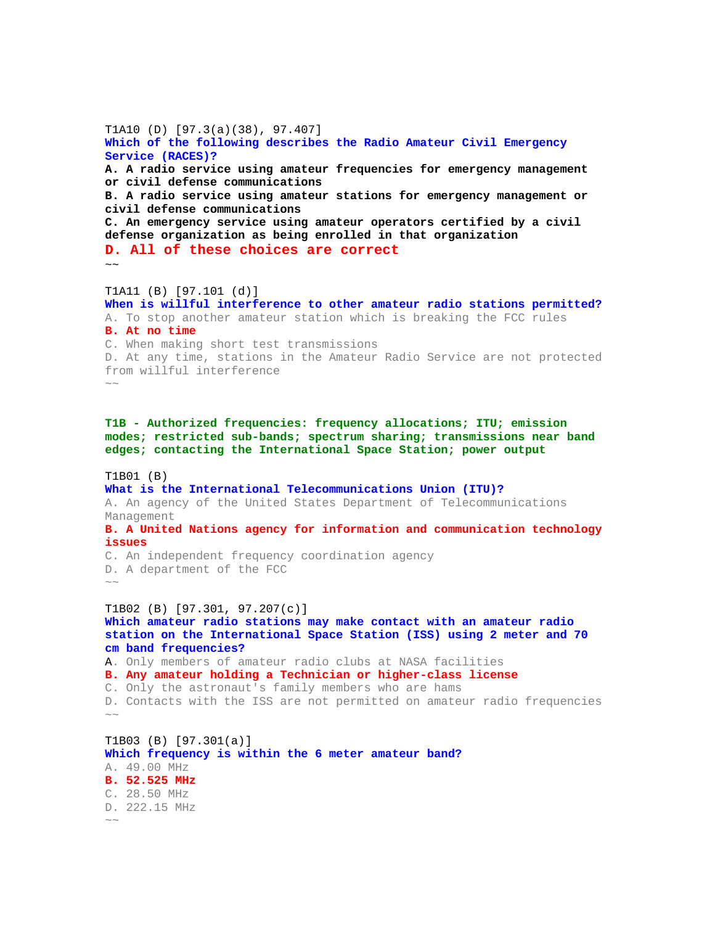T1A10 (D) [97.3(a)(38), 97.407] **Which of the following describes the Radio Amateur Civil Emergency Service (RACES)? A. A radio service using amateur frequencies for emergency management or civil defense communications B. A radio service using amateur stations for emergency management or civil defense communications C. An emergency service using amateur operators certified by a civil defense organization as being enrolled in that organization D. All of these choices are correct**  $\sim$   $\sim$ T1A11 (B) [97.101 (d)] **When is willful interference to other amateur radio stations permitted?** A. To stop another amateur station which is breaking the FCC rules **B. At no time** C. When making short test transmissions D. At any time, stations in the Amateur Radio Service are not protected from willful interference  $\sim\,$ **T1B - Authorized frequencies: frequency allocations; ITU; emission modes; restricted sub-bands; spectrum sharing; transmissions near band edges; contacting the International Space Station; power output** T1B01 (B) **What is the International Telecommunications Union (ITU)?** A. An agency of the United States Department of Telecommunications Management **B. A United Nations agency for information and communication technology issues** C. An independent frequency coordination agency D. A department of the FCC  $\sim\,$ T1B02 (B) [97.301, 97.207(c)] **Which amateur radio stations may make contact with an amateur radio station on the International Space Station (ISS) using 2 meter and 70 cm band frequencies?** A. Only members of amateur radio clubs at NASA facilities **B. Any amateur holding a Technician or higher-class license** C. Only the astronaut's family members who are hams D. Contacts with the ISS are not permitted on amateur radio frequencies  $\sim\,$ T1B03 (B) [97.301(a)] **Which frequency is within the 6 meter amateur band?** A. 49.00 MHz **B. 52.525 MHz** C. 28.50 MHz

```
D. 222.15 MHz
\sim\,
```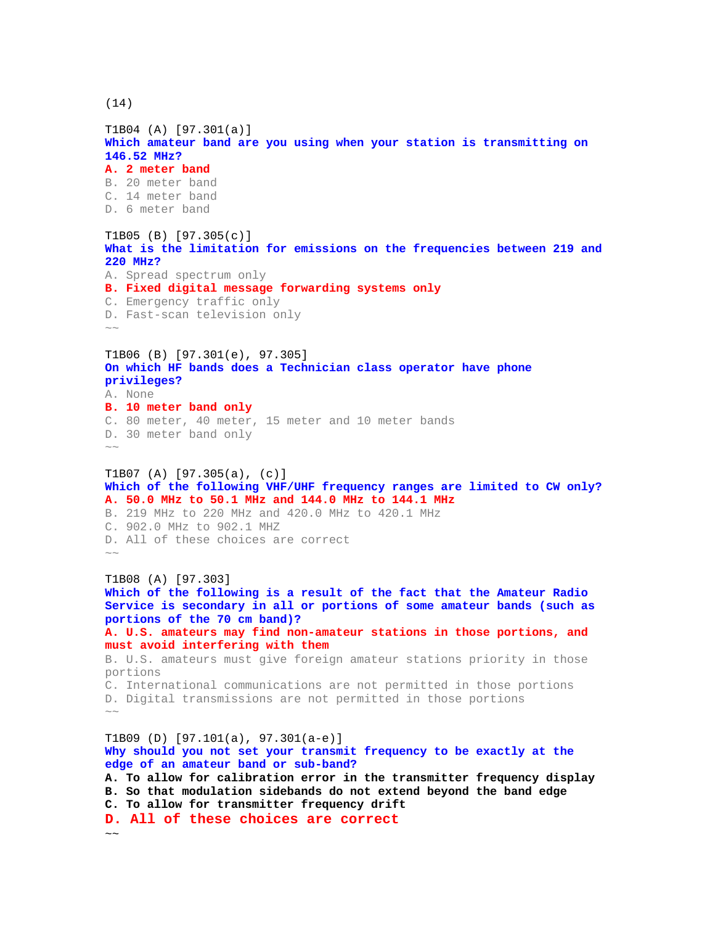(14) T1B04 (A) [97.301(a)] **Which amateur band are you using when your station is transmitting on 146.52 MHz? A. 2 meter band** B. 20 meter band C. 14 meter band D. 6 meter band T1B05 (B) [97.305(c)] **What is the limitation for emissions on the frequencies between 219 and 220 MHz?** A. Spread spectrum only **B. Fixed digital message forwarding systems only** C. Emergency traffic only D. Fast-scan television only  $\sim\,$   $\sim$ T1B06 (B) [97.301(e), 97.305] **On which HF bands does a Technician class operator have phone privileges?** A. None **B. 10 meter band only** C. 80 meter, 40 meter, 15 meter and 10 meter bands D. 30 meter band only  $\sim\,$ T1B07 (A) [97.305(a), (c)] **Which of the following VHF/UHF frequency ranges are limited to CW only? A. 50.0 MHz to 50.1 MHz and 144.0 MHz to 144.1 MHz** B. 219 MHz to 220 MHz and 420.0 MHz to 420.1 MHz C. 902.0 MHz to 902.1 MHZ D. All of these choices are correct  $\sim\,$ T1B08 (A) [97.303] **Which of the following is a result of the fact that the Amateur Radio Service is secondary in all or portions of some amateur bands (such as portions of the 70 cm band)? A. U.S. amateurs may find non-amateur stations in those portions, and must avoid interfering with them** B. U.S. amateurs must give foreign amateur stations priority in those portions C. International communications are not permitted in those portions D. Digital transmissions are not permitted in those portions  $\sim\,$ T1B09 (D) [97.101(a), 97.301(a-e)] **Why should you not set your transmit frequency to be exactly at the edge of an amateur band or sub-band? A. To allow for calibration error in the transmitter frequency display B. So that modulation sidebands do not extend beyond the band edge C. To allow for transmitter frequency drift D. All of these choices are correct**  $\sim$  ~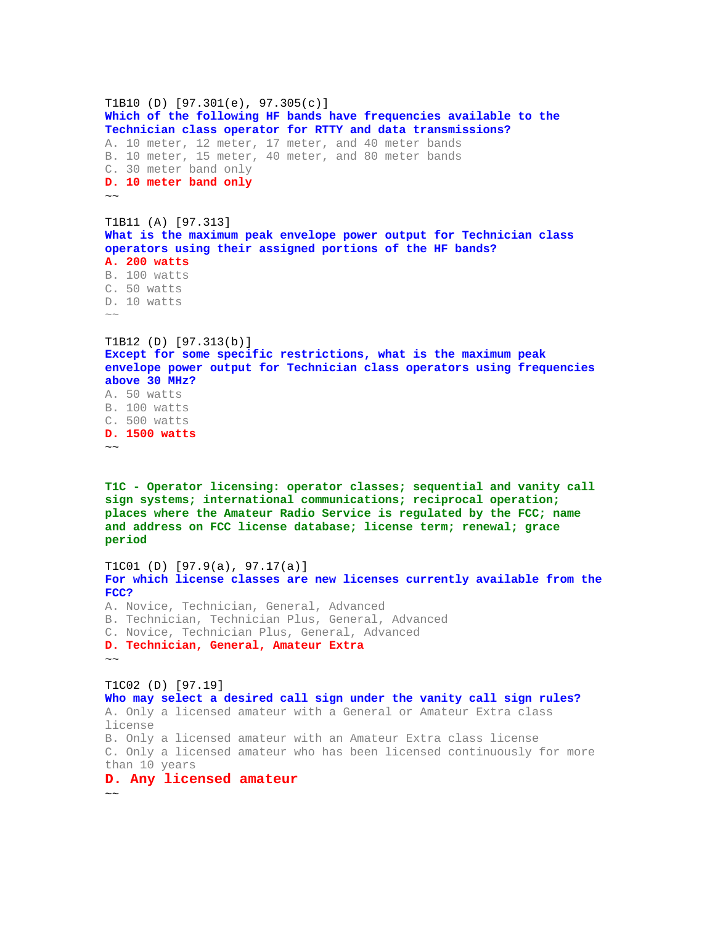```
T1B10 (D) [97.301(e), 97.305(c)]
Which of the following HF bands have frequencies available to the
Technician class operator for RTTY and data transmissions?
A. 10 meter, 12 meter, 17 meter, and 40 meter bands
B. 10 meter, 15 meter, 40 meter, and 80 meter bands
C. 30 meter band only
D. 10 meter band only
\sim\simT1B11 (A) [97.313]
What is the maximum peak envelope power output for Technician class
operators using their assigned portions of the HF bands?
A. 200 watts
B. 100 watts
C. 50 watts
D. 10 watts
\sim\,T1B12 (D) [97.313(b)]
Except for some specific restrictions, what is the maximum peak
envelope power output for Technician class operators using frequencies
above 30 MHz?
A. 50 watts
B. 100 watts
C. 500 watts
D. 1500 watts
\sim \simT1C - Operator licensing: operator classes; sequential and vanity call
sign systems; international communications; reciprocal operation;
places where the Amateur Radio Service is regulated by the FCC; name
and address on FCC license database; license term; renewal; grace
period
T1C01 (D) [97.9(a), 97.17(a)]
For which license classes are new licenses currently available from the
FCC?
A. Novice, Technician, General, Advanced
B. Technician, Technician Plus, General, Advanced
C. Novice, Technician Plus, General, Advanced
D. Technician, General, Amateur Extra
\sim ~
T1C02 (D) [97.19]
Who may select a desired call sign under the vanity call sign rules?
A. Only a licensed amateur with a General or Amateur Extra class
license
B. Only a licensed amateur with an Amateur Extra class license
C. Only a licensed amateur who has been licensed continuously for more
than 10 years
D. Any licensed amateur
\sim \sim
```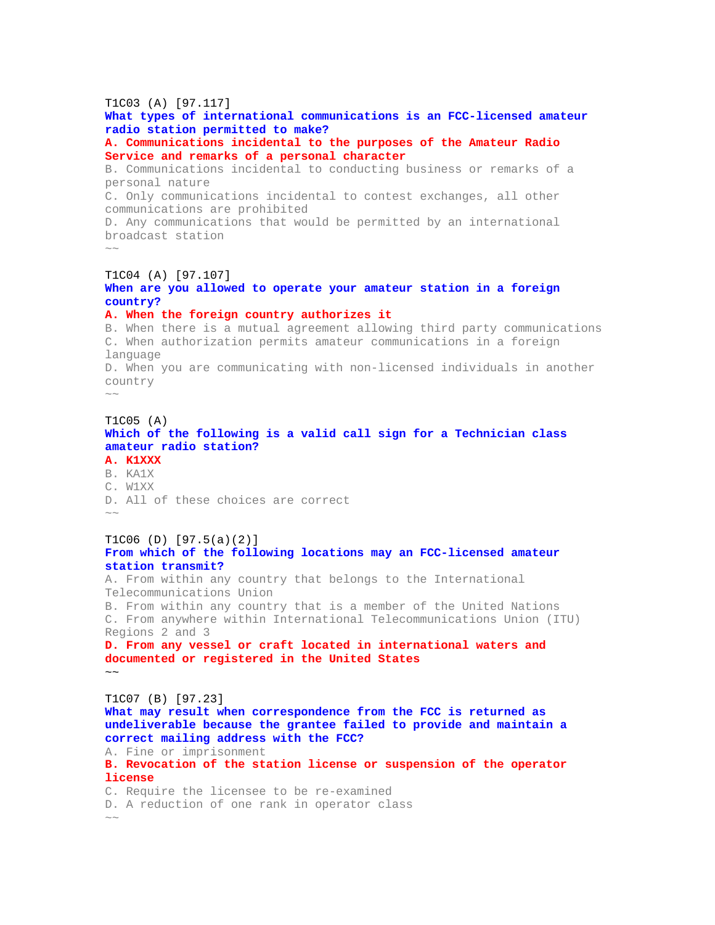```
T1C03 (A) [97.117]
What types of international communications is an FCC-licensed amateur
radio station permitted to make?
A. Communications incidental to the purposes of the Amateur Radio
Service and remarks of a personal character
B. Communications incidental to conducting business or remarks of a
personal nature
C. Only communications incidental to contest exchanges, all other
communications are prohibited
D. Any communications that would be permitted by an international
broadcast station
\sim\,T1C04 (A) [97.107]
When are you allowed to operate your amateur station in a foreign
country?
A. When the foreign country authorizes it
B. When there is a mutual agreement allowing third party communications
C. When authorization permits amateur communications in a foreign
language
D. When you are communicating with non-licensed individuals in another
country
\sim\,T1C05 (A)
Which of the following is a valid call sign for a Technician class
amateur radio station?
A. K1XXX
B. KA1X
C. W1XX
D. All of these choices are correct
~~~
T1C06 (D) [97.5(a)(2)]
From which of the following locations may an FCC-licensed amateur
station transmit?
A. From within any country that belongs to the International
Telecommunications Union
B. From within any country that is a member of the United Nations
C. From anywhere within International Telecommunications Union (ITU)
Regions 2 and 3
D. From any vessel or craft located in international waters and
documented or registered in the United States
\sim ~
T1C07 (B) [97.23]
What may result when correspondence from the FCC is returned as
undeliverable because the grantee failed to provide and maintain a
correct mailing address with the FCC?
A. Fine or imprisonment
B. Revocation of the station license or suspension of the operator
license
C. Require the licensee to be re-examined
D. A reduction of one rank in operator class
\sim \sim
```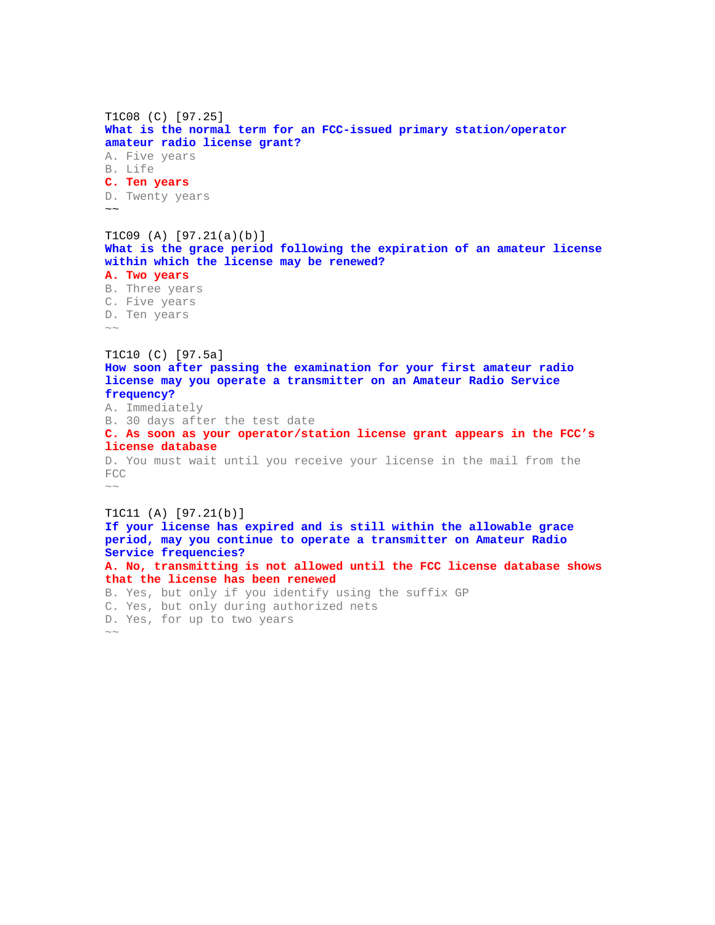```
T1C08 (C) [97.25]
What is the normal term for an FCC-issued primary station/operator
amateur radio license grant?
A. Five years
B. Life
C. Ten years
D. Twenty years
\sim \simT1C09 (A) [97.21(a)(b)]
What is the grace period following the expiration of an amateur license
within which the license may be renewed?
A. Two years
B. Three years
C. Five years
D. Ten years
\sim\:\simT1C10 (C) [97.5a]
How soon after passing the examination for your first amateur radio
license may you operate a transmitter on an Amateur Radio Service
frequency?
A. Immediately
B. 30 days after the test date
C. As soon as your operator/station license grant appears in the FCC's
license database
D. You must wait until you receive your license in the mail from the
FCC
\sim\simT1C11 (A) [97.21(b)]
If your license has expired and is still within the allowable grace
period, may you continue to operate a transmitter on Amateur Radio
Service frequencies?
A. No, transmitting is not allowed until the FCC license database shows
that the license has been renewed
B. Yes, but only if you identify using the suffix GP
C. Yes, but only during authorized nets
```
D. Yes, for up to two years

 $\sim\,$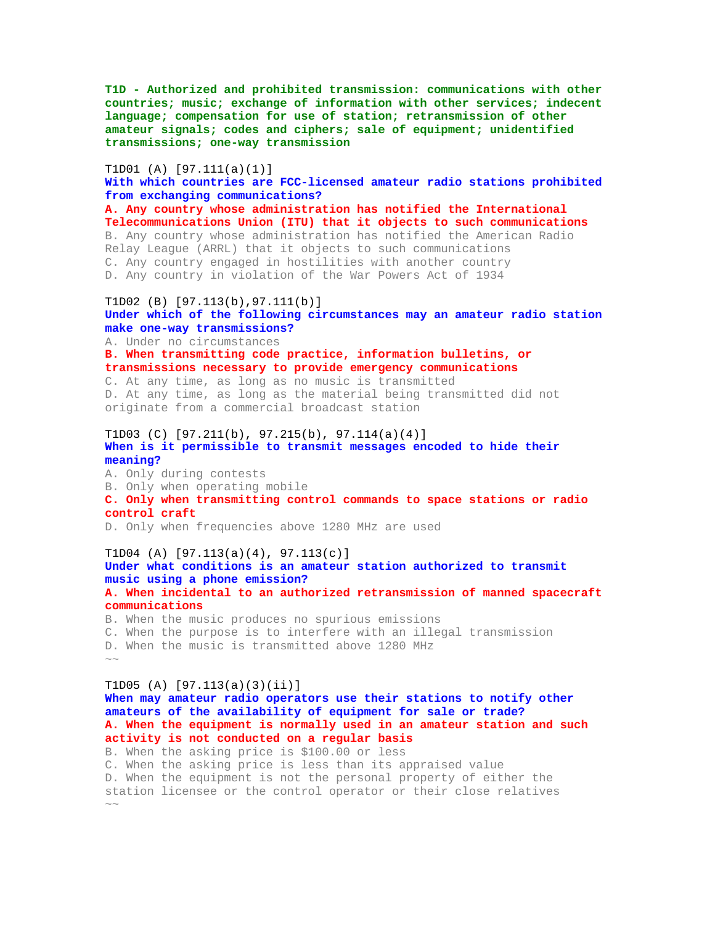**T1D - Authorized and prohibited transmission: communications with other countries; music; exchange of information with other services; indecent language; compensation for use of station; retransmission of other amateur signals; codes and ciphers; sale of equipment; unidentified transmissions; one-way transmission** T1D01 (A) [97.111(a)(1)] **With which countries are FCC-licensed amateur radio stations prohibited from exchanging communications? A. Any country whose administration has notified the International Telecommunications Union (ITU) that it objects to such communications** B. Any country whose administration has notified the American Radio Relay League (ARRL) that it objects to such communications C. Any country engaged in hostilities with another country D. Any country in violation of the War Powers Act of 1934 T1D02 (B) [97.113(b),97.111(b)] **Under which of the following circumstances may an amateur radio station make one-way transmissions?** A. Under no circumstances **B. When transmitting code practice, information bulletins, or transmissions necessary to provide emergency communications** C. At any time, as long as no music is transmitted D. At any time, as long as the material being transmitted did not originate from a commercial broadcast station T1D03 (C) [97.211(b), 97.215(b), 97.114(a)(4)] **When is it permissible to transmit messages encoded to hide their meaning?** A. Only during contests B. Only when operating mobile **C. Only when transmitting control commands to space stations or radio control craft** D. Only when frequencies above 1280 MHz are used T1D04 (A) [97.113(a)(4), 97.113(c)] **Under what conditions is an amateur station authorized to transmit music using a phone emission? A. When incidental to an authorized retransmission of manned spacecraft communications** B. When the music produces no spurious emissions C. When the purpose is to interfere with an illegal transmission D. When the music is transmitted above 1280 MHz  $\sim\,$ T1D05 (A) [97.113(a)(3)(ii)] **When may amateur radio operators use their stations to notify other amateurs of the availability of equipment for sale or trade? A. When the equipment is normally used in an amateur station and such activity is not conducted on a regular basis** B. When the asking price is \$100.00 or less C. When the asking price is less than its appraised value D. When the equipment is not the personal property of either the station licensee or the control operator or their close relatives  $\sim\,$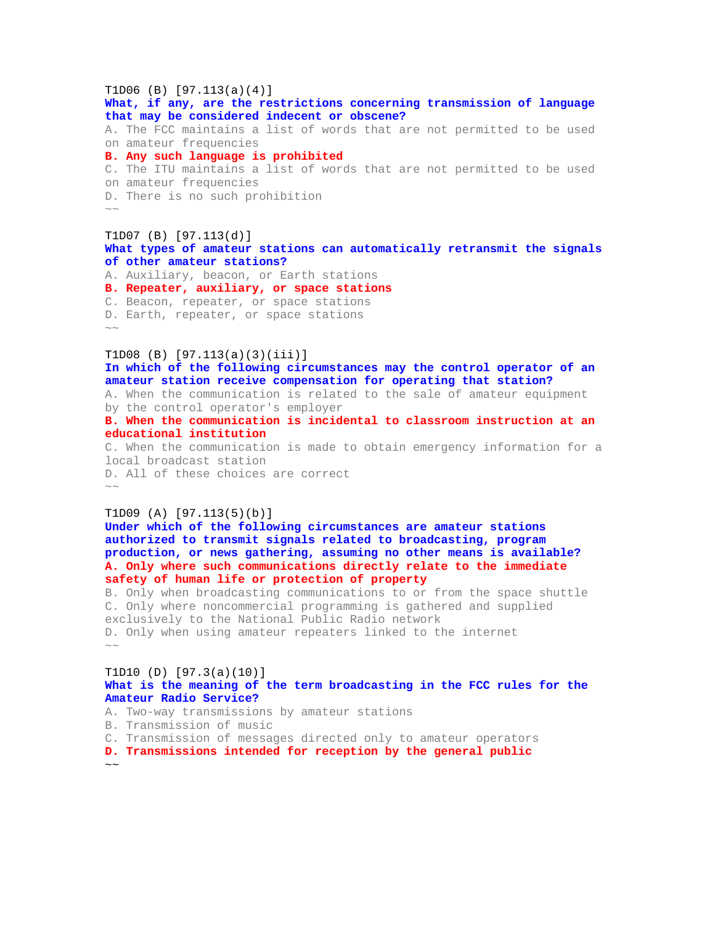```
T1D06 (B) [97.113(a)(4)]
What, if any, are the restrictions concerning transmission of language
that may be considered indecent or obscene?
A. The FCC maintains a list of words that are not permitted to be used
on amateur frequencies
B. Any such language is prohibited
C. The ITU maintains a list of words that are not permitted to be used
on amateur frequencies
D. There is no such prohibition
\sim \simT1D07 (B) [97.113(d)]
What types of amateur stations can automatically retransmit the signals
of other amateur stations?
A. Auxiliary, beacon, or Earth stations
B. Repeater, auxiliary, or space stations
```
C. Beacon, repeater, or space stations D. Earth, repeater, or space stations  $\sim\,$   $\sim$ 

T1D08 (B) [97.113(a)(3)(iii)] **In which of the following circumstances may the control operator of an amateur station receive compensation for operating that station?** A. When the communication is related to the sale of amateur equipment by the control operator's employer **B. When the communication is incidental to classroom instruction at an educational institution** C. When the communication is made to obtain emergency information for a local broadcast station D. All of these choices are correct

## T1D09 (A) [97.113(5)(b)]

 $\sim\,$ 

 $\sim$   $\sim$ 

**Under which of the following circumstances are amateur stations authorized to transmit signals related to broadcasting, program production, or news gathering, assuming no other means is available? A. Only where such communications directly relate to the immediate safety of human life or protection of property**

B. Only when broadcasting communications to or from the space shuttle C. Only where noncommercial programming is gathered and supplied exclusively to the National Public Radio network D. Only when using amateur repeaters linked to the internet  $\sim\ \sim$ 

## T1D10 (D) [97.3(a)(10)]

**What is the meaning of the term broadcasting in the FCC rules for the Amateur Radio Service?**

A. Two-way transmissions by amateur stations

B. Transmission of music

C. Transmission of messages directed only to amateur operators

**D. Transmissions intended for reception by the general public**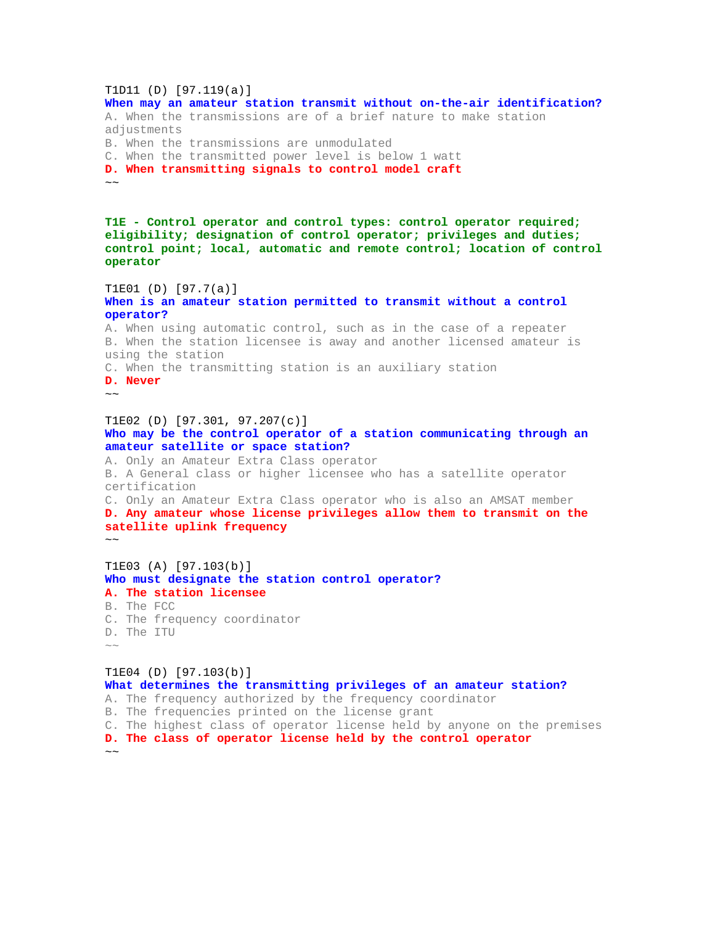```
T1D11 (D) [97.119(a)]
When may an amateur station transmit without on-the-air identification?
A. When the transmissions are of a brief nature to make station
adjustments
B. When the transmissions are unmodulated
C. When the transmitted power level is below 1 watt
D. When transmitting signals to control model craft
\sim ~
T1E - Control operator and control types: control operator required;
eligibility; designation of control operator; privileges and duties;
control point; local, automatic and remote control; location of control
operator
T1E01 (D) [97.7(a)]
When is an amateur station permitted to transmit without a control
operator?
A. When using automatic control, such as in the case of a repeater
B. When the station licensee is away and another licensed amateur is
using the station
C. When the transmitting station is an auxiliary station
D. Never
\sim \simT1E02 (D) [97.301, 97.207(c)]
Who may be the control operator of a station communicating through an
amateur satellite or space station?
A. Only an Amateur Extra Class operator
B. A General class or higher licensee who has a satellite operator
certification
C. Only an Amateur Extra Class operator who is also an AMSAT member
D. Any amateur whose license privileges allow them to transmit on the
satellite uplink frequency
\sim\simT1E03 (A) [97.103(b)]
Who must designate the station control operator?
A. The station licensee
B. The FCC
C. The frequency coordinator
D. The ITU
\sim\simT1E04 (D) [97.103(b)]
What determines the transmitting privileges of an amateur station?
A. The frequency authorized by the frequency coordinator
```
- B. The frequencies printed on the license grant
- C. The highest class of operator license held by anyone on the premises

**D. The class of operator license held by the control operator**  $\sim$   $\sim$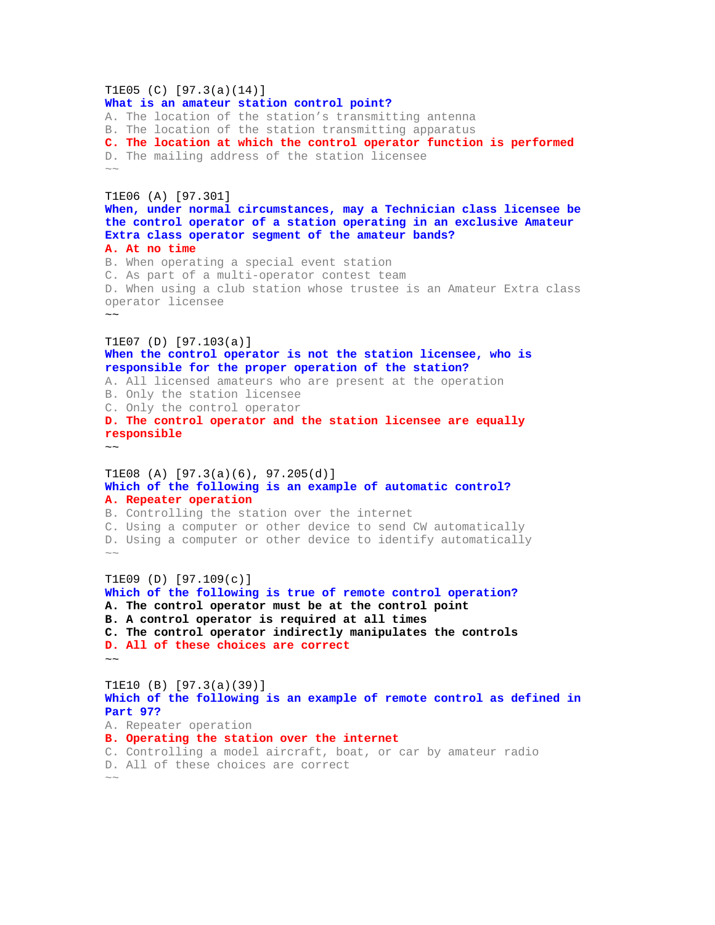```
T1E05 (C) [97.3(a)(14)]
What is an amateur station control point?
A. The location of the station's transmitting antenna
B. The location of the station transmitting apparatus
C. The location at which the control operator function is performed
D. The mailing address of the station licensee
\sim\,T1E06 (A) [97.301]
When, under normal circumstances, may a Technician class licensee be
the control operator of a station operating in an exclusive Amateur
Extra class operator segment of the amateur bands?
A. At no time
B. When operating a special event station
C. As part of a multi-operator contest team
D. When using a club station whose trustee is an Amateur Extra class
operator licensee
\sim\simT1E07 (D) [97.103(a)]
When the control operator is not the station licensee, who is
responsible for the proper operation of the station?
A. All licensed amateurs who are present at the operation
B. Only the station licensee
C. Only the control operator
D. The control operator and the station licensee are equally
responsible
\sim\simT1E08 (A) [97.3(a)(6), 97.205(d)]
Which of the following is an example of automatic control?
A. Repeater operation
B. Controlling the station over the internet
C. Using a computer or other device to send CW automatically
D. Using a computer or other device to identify automatically
\sim\,T1E09 (D) [97.109(c)]
Which of the following is true of remote control operation?
A. The control operator must be at the control point
B. A control operator is required at all times
C. The control operator indirectly manipulates the controls
D. All of these choices are correct
\sim ~
T1E10 (B) [97.3(a)(39)]
Which of the following is an example of remote control as defined in
Part 97?
A. Repeater operation
B. Operating the station over the internet
C. Controlling a model aircraft, boat, or car by amateur radio
D. All of these choices are correct
\sim\,
```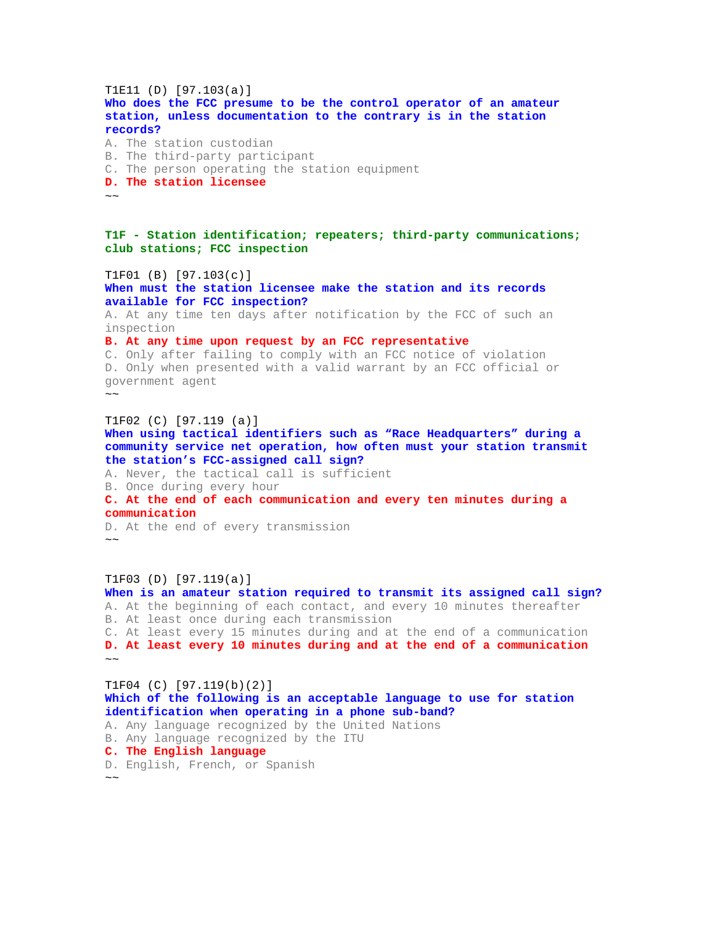```
T1E11 (D) [97.103(a)]
Who does the FCC presume to be the control operator of an amateur
station, unless documentation to the contrary is in the station
records?
A. The station custodian
B. The third-party participant
C. The person operating the station equipment
D. The station licensee
\sim ~
T1F - Station identification; repeaters; third-party communications;
club stations; FCC inspection
T1F01 (B) [97.103(c)]
When must the station licensee make the station and its records
available for FCC inspection?
A. At any time ten days after notification by the FCC of such an
inspection
B. At any time upon request by an FCC representative
C. Only after failing to comply with an FCC notice of violation
D. Only when presented with a valid warrant by an FCC official or
government agent
\sim \simT1F02 (C) [97.119 (a)]
When using tactical identifiers such as "Race Headquarters" during a
community service net operation, how often must your station transmit
the station's FCC-assigned call sign?
A. Never, the tactical call is sufficient
B. Once during every hour
C. At the end of each communication and every ten minutes during a
communication
D. At the end of every transmission
\sim ~
T1F03 (D) [97.119(a)]
When is an amateur station required to transmit its assigned call sign?
A. At the beginning of each contact, and every 10 minutes thereafter
B. At least once during each transmission
C. At least every 15 minutes during and at the end of a communication
D. At least every 10 minutes during and at the end of a communication
\sim ~
T1F04 (C) [97.119(b)(2)]
Which of the following is an acceptable language to use for station
identification when operating in a phone sub-band?
A. Any language recognized by the United Nations
B. Any language recognized by the ITU
C. The English language
D. English, French, or Spanish
\sim \sim
```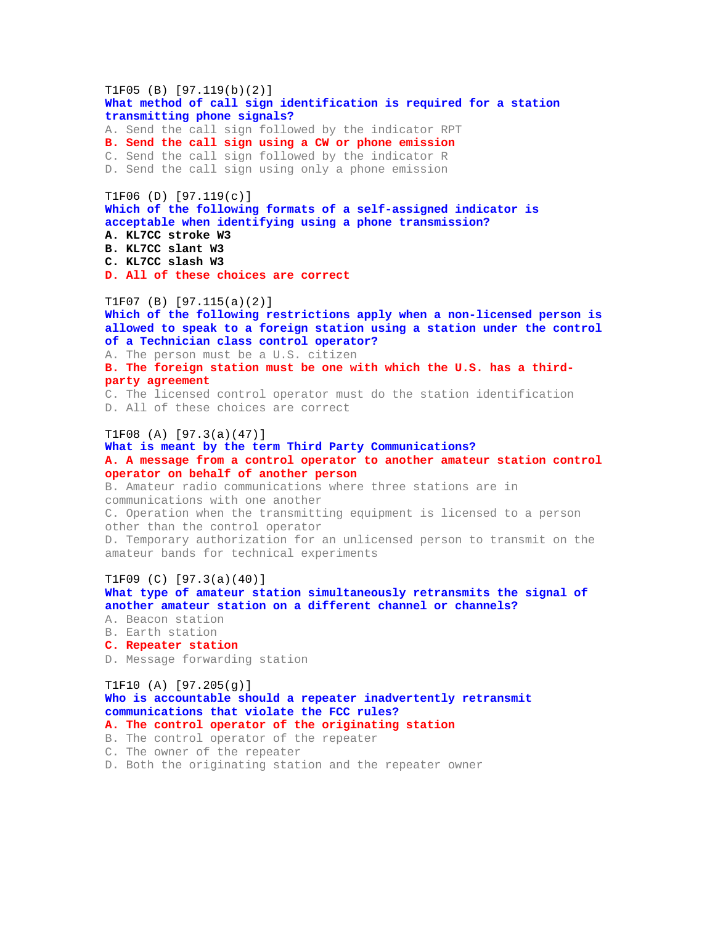T1F05 (B) [97.119(b)(2)] **What method of call sign identification is required for a station transmitting phone signals?** A. Send the call sign followed by the indicator RPT **B. Send the call sign using a CW or phone emission** C. Send the call sign followed by the indicator R D. Send the call sign using only a phone emission T1F06 (D) [97.119(c)] **Which of the following formats of a self-assigned indicator is acceptable when identifying using a phone transmission? A. KL7CC stroke W3 B. KL7CC slant W3 C. KL7CC slash W3 D. All of these choices are correct** T1F07 (B) [97.115(a)(2)] **Which of the following restrictions apply when a non-licensed person is allowed to speak to a foreign station using a station under the control of a Technician class control operator?** A. The person must be a U.S. citizen **B. The foreign station must be one with which the U.S. has a thirdparty agreement** C. The licensed control operator must do the station identification D. All of these choices are correct T1F08 (A) [97.3(a)(47)] **What is meant by the term Third Party Communications? A. A message from a control operator to another amateur station control operator on behalf of another person** B. Amateur radio communications where three stations are in communications with one another C. Operation when the transmitting equipment is licensed to a person other than the control operator D. Temporary authorization for an unlicensed person to transmit on the amateur bands for technical experiments T1F09 (C) [97.3(a)(40)] **What type of amateur station simultaneously retransmits the signal of another amateur station on a different channel or channels?** A. Beacon station B. Earth station **C. Repeater station** D. Message forwarding station T1F10 (A) [97.205(g)] **Who is accountable should a repeater inadvertently retransmit communications that violate the FCC rules? A. The control operator of the originating station** B. The control operator of the repeater

C. The owner of the repeater

D. Both the originating station and the repeater owner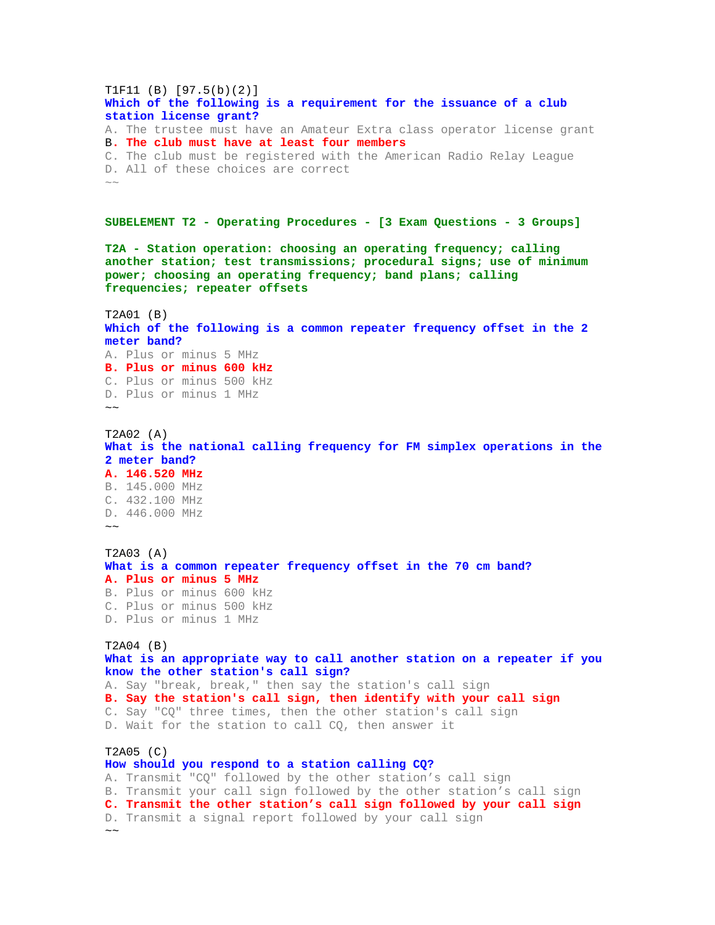```
T1F11 (B) [97.5(b)(2)]
Which of the following is a requirement for the issuance of a club
station license grant?
A. The trustee must have an Amateur Extra class operator license grant
B. The club must have at least four members
C. The club must be registered with the American Radio Relay League
D. All of these choices are correct
\sim\,SUBELEMENT T2 - Operating Procedures - [3 Exam Questions - 3 Groups]
T2A - Station operation: choosing an operating frequency; calling
another station; test transmissions; procedural signs; use of minimum
power; choosing an operating frequency; band plans; calling
frequencies; repeater offsets
T2A01 (B)
Which of the following is a common repeater frequency offset in the 2
meter band?
A. Plus or minus 5 MHz
B. Plus or minus 600 kHz
C. Plus or minus 500 kHz
D. Plus or minus 1 MHz
\sim \simT2A02 (A)
What is the national calling frequency for FM simplex operations in the
2 meter band?
A. 146.520 MHz
B. 145.000 MHz
C. 432.100 MHz
D. 446.000 MHz
\sim\simT2A03 (A)
What is a common repeater frequency offset in the 70 cm band?
A. Plus or minus 5 MHz
B. Plus or minus 600 kHz
C. Plus or minus 500 kHz
D. Plus or minus 1 MHz
T2A04 (B)
What is an appropriate way to call another station on a repeater if you
know the other station's call sign?
A. Say "break, break," then say the station's call sign
B. Say the station's call sign, then identify with your call sign
C. Say "CQ" three times, then the other station's call sign
D. Wait for the station to call CQ, then answer it
T2A05 (C)
How should you respond to a station calling CQ?
A. Transmit "CQ" followed by the other station's call sign
B. Transmit your call sign followed by the other station's call sign
C. Transmit the other station's call sign followed by your call sign
D. Transmit a signal report followed by your call sign
\sim ~
```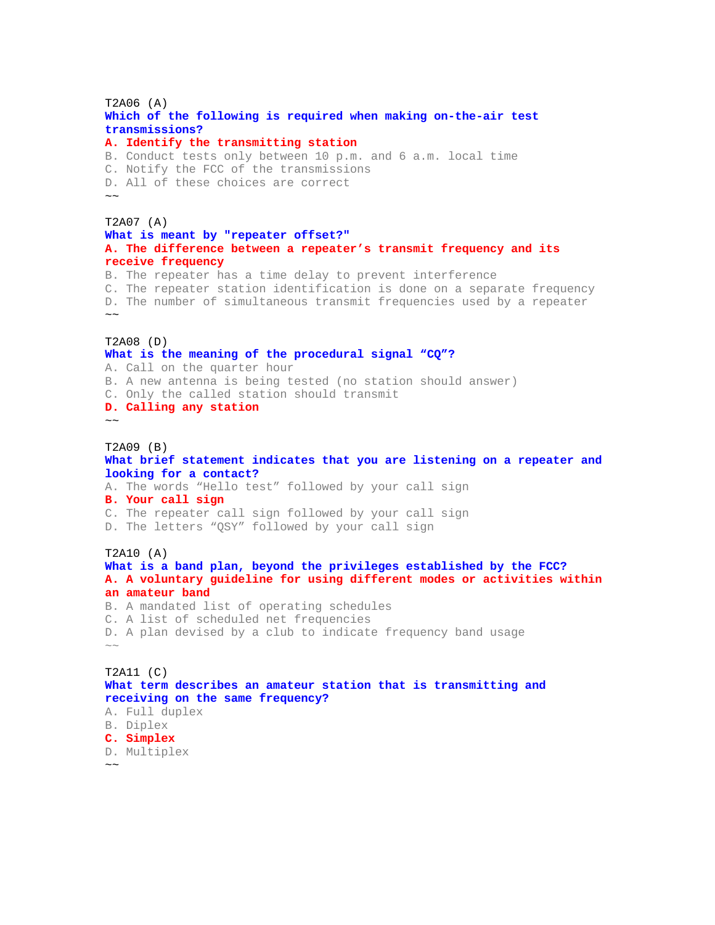```
T2A06 (A)
Which of the following is required when making on-the-air test
transmissions?
A. Identify the transmitting station
B. Conduct tests only between 10 p.m. and 6 a.m. local time
C. Notify the FCC of the transmissions
D. All of these choices are correct
\sim\simT2A07 (A)
What is meant by "repeater offset?"
A. The difference between a repeater's transmit frequency and its
receive frequency
B. The repeater has a time delay to prevent interference
C. The repeater station identification is done on a separate frequency
D. The number of simultaneous transmit frequencies used by a repeater
\sim\simT2A08 (D)
What is the meaning of the procedural signal "CQ"?
A. Call on the quarter hour
B. A new antenna is being tested (no station should answer)
C. Only the called station should transmit
D. Calling any station
\sim\simT2A09 (B)
What brief statement indicates that you are listening on a repeater and
looking for a contact?
A. The words "Hello test" followed by your call sign
B. Your call sign
C. The repeater call sign followed by your call sign
D. The letters "QSY" followed by your call sign
T2A10 (A)
What is a band plan, beyond the privileges established by the FCC?
A. A voluntary guideline for using different modes or activities within
an amateur band
B. A mandated list of operating schedules
C. A list of scheduled net frequencies
D. A plan devised by a club to indicate frequency band usage
\sim\ \simT2A11 (C)
What term describes an amateur station that is transmitting and
receiving on the same frequency?
A. Full duplex
B. Diplex
C. Simplex
D. Multiplex
\sim ~
```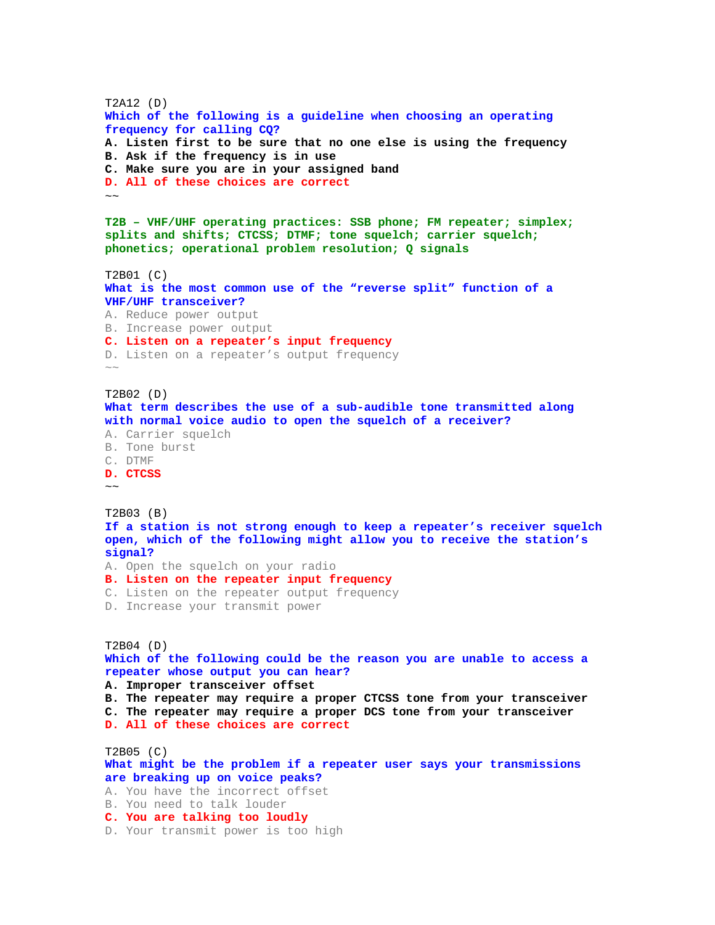```
T2A12 (D)
Which of the following is a guideline when choosing an operating
frequency for calling CQ?
A. Listen first to be sure that no one else is using the frequency
B. Ask if the frequency is in use
C. Make sure you are in your assigned band
D. All of these choices are correct
\sim \simT2B – VHF/UHF operating practices: SSB phone; FM repeater; simplex;
splits and shifts; CTCSS; DTMF; tone squelch; carrier squelch;
phonetics; operational problem resolution; Q signals
T2B01 (C)
What is the most common use of the "reverse split" function of a
VHF/UHF transceiver?
A. Reduce power output
B. Increase power output
C. Listen on a repeater's input frequency
D. Listen on a repeater's output frequency
\sim\simT2B02 (D)
What term describes the use of a sub-audible tone transmitted along
with normal voice audio to open the squelch of a receiver?
A. Carrier squelch
B. Tone burst
C. DTMF
D. CTCSS
\sim ~
T2B03 (B)
If a station is not strong enough to keep a repeater's receiver squelch
open, which of the following might allow you to receive the station's
signal?
A. Open the squelch on your radio
B. Listen on the repeater input frequency
C. Listen on the repeater output frequency
D. Increase your transmit power
T2B04 (D)
Which of the following could be the reason you are unable to access a
repeater whose output you can hear?
A. Improper transceiver offset
B. The repeater may require a proper CTCSS tone from your transceiver
C. The repeater may require a proper DCS tone from your transceiver
D. All of these choices are correct
T2B05 (C)
What might be the problem if a repeater user says your transmissions
are breaking up on voice peaks?
A. You have the incorrect offset
B. You need to talk louder
C. You are talking too loudly
D. Your transmit power is too high
```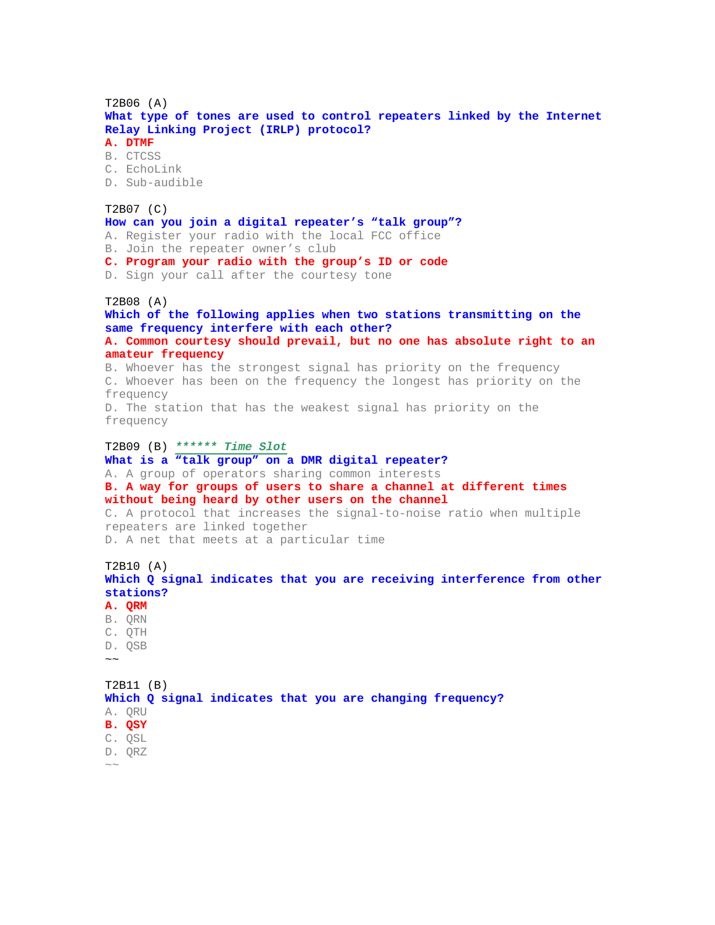T2B06 (A) **What type of tones are used to control repeaters linked by the Internet Relay Linking Project (IRLP) protocol? A. DTMF** B. CTCSS C. EchoLink D. Sub-audible T2B07 (C) **How can you join a digital repeater's "talk group"?** A. Register your radio with the local FCC office B. Join the repeater owner's club **C. Program your radio with the group's ID or code** D. Sign your call after the courtesy tone T2B08 (A) **Which of the following applies when two stations transmitting on the same frequency interfere with each other? A. Common courtesy should prevail, but no one has absolute right to an amateur frequency** B. Whoever has the strongest signal has priority on the frequency C. Whoever has been on the frequency the longest has priority on the frequency D. The station that has the weakest signal has priority on the frequency T2B09 (B) *\*\*\*\*\*\* Time Slot* **What is a "talk group" on a DMR digital repeater?** A. A group of operators sharing common interests **B. A way for groups of users to share a channel at different times without being heard by other users on the channel** C. A protocol that increases the signal-to-noise ratio when multiple repeaters are linked together D. A net that meets at a particular time T2B10 (A) **Which Q signal indicates that you are receiving interference from other stations? A. QRM** B. QRN C. QTH D. QSB  $\sim\sim$ T2B11 (B) **Which Q signal indicates that you are changing frequency?** A. QRU **B. QSY** C. QSL D. QRZ  $\sim\,$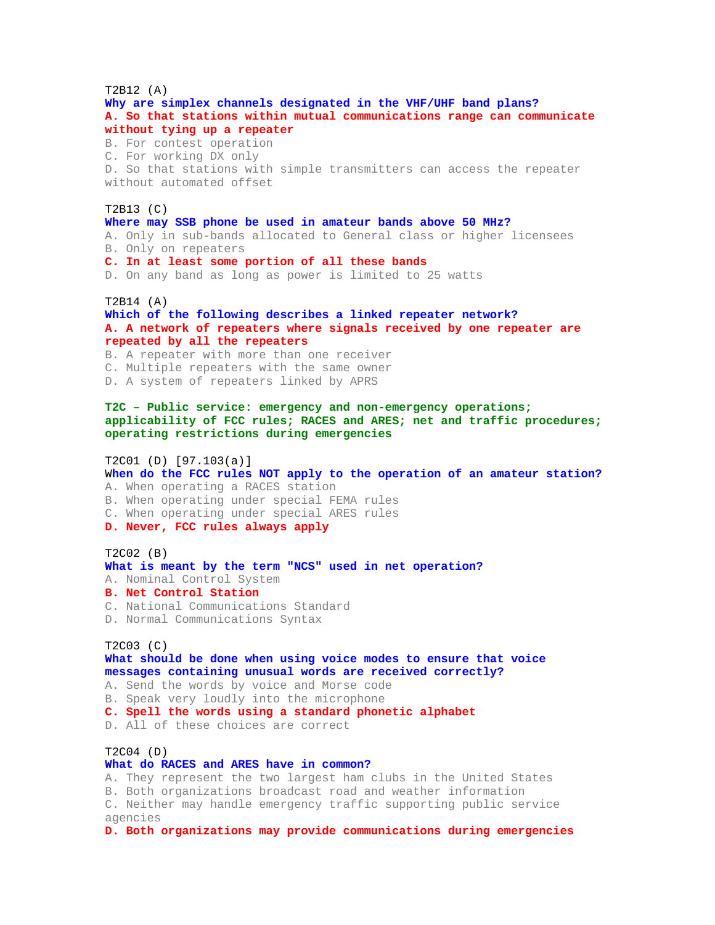T2B12 (A) **Why are simplex channels designated in the VHF/UHF band plans? A. So that stations within mutual communications range can communicate without tying up a repeater** B. For contest operation C. For working DX only D. So that stations with simple transmitters can access the repeater without automated offset T2B13 (C) **Where may SSB phone be used in amateur bands above 50 MHz?** A. Only in sub-bands allocated to General class or higher licensees B. Only on repeaters **C. In at least some portion of all these bands** D. On any band as long as power is limited to 25 watts T2B14 (A) **Which of the following describes a linked repeater network? A. A network of repeaters where signals received by one repeater are repeated by all the repeaters** B. A repeater with more than one receiver C. Multiple repeaters with the same owner D. A system of repeaters linked by APRS **T2C – Public service: emergency and non-emergency operations; applicability of FCC rules; RACES and ARES; net and traffic procedures; operating restrictions during emergencies** T2C01 (D) [97.103(a)] W**hen do the FCC rules NOT apply to the operation of an amateur station?** A. When operating a RACES station B. When operating under special FEMA rules C. When operating under special ARES rules **D. Never, FCC rules always apply** T2C02 (B) **What is meant by the term "NCS" used in net operation?** A. Nominal Control System **B. Net Control Station** C. National Communications Standard D. Normal Communications Syntax T2C03 (C) **What should be done when using voice modes to ensure that voice messages containing unusual words are received correctly?** A. Send the words by voice and Morse code B. Speak very loudly into the microphone **C. Spell the words using a standard phonetic alphabet** D. All of these choices are correct T2C04 (D) **What do RACES and ARES have in common?** A. They represent the two largest ham clubs in the United States B. Both organizations broadcast road and weather information C. Neither may handle emergency traffic supporting public service agencies **D. Both organizations may provide communications during emergencies**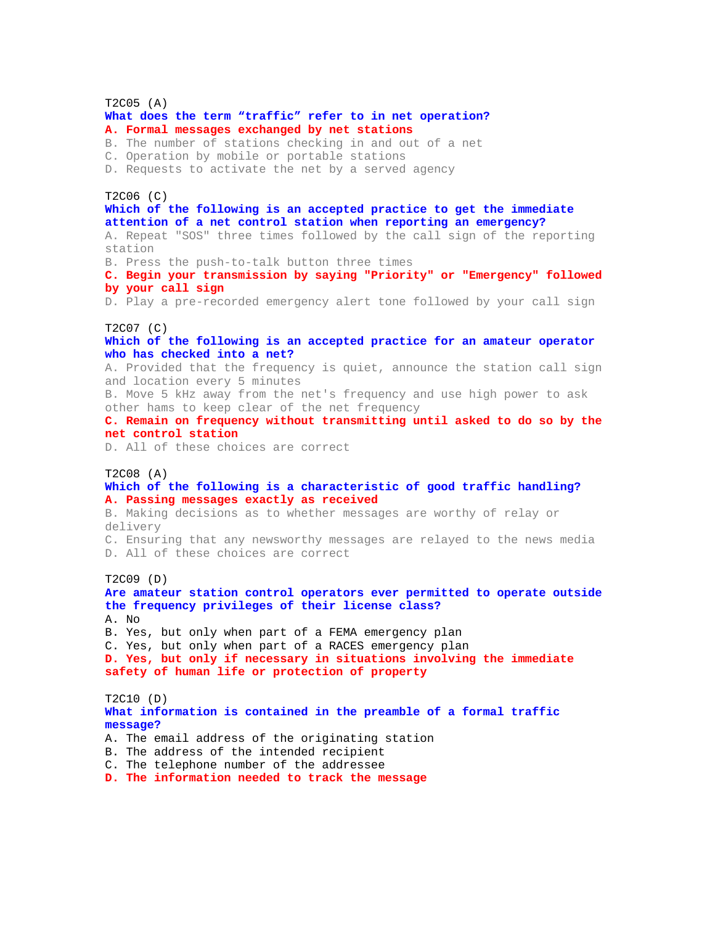T2C05 (A) **What does the term "traffic" refer to in net operation? A. Formal messages exchanged by net stations** B. The number of stations checking in and out of a net C. Operation by mobile or portable stations D. Requests to activate the net by a served agency T2C06 (C) **Which of the following is an accepted practice to get the immediate attention of a net control station when reporting an emergency?** A. Repeat "SOS" three times followed by the call sign of the reporting station B. Press the push-to-talk button three times **C. Begin your transmission by saying "Priority" or "Emergency" followed by your call sign** D. Play a pre-recorded emergency alert tone followed by your call sign T2C07 (C) **Which of the following is an accepted practice for an amateur operator who has checked into a net?** A. Provided that the frequency is quiet, announce the station call sign and location every 5 minutes B. Move 5 kHz away from the net's frequency and use high power to ask other hams to keep clear of the net frequency **C. Remain on frequency without transmitting until asked to do so by the net control station** D. All of these choices are correct T2C08 (A) **Which of the following is a characteristic of good traffic handling? A. Passing messages exactly as received** B. Making decisions as to whether messages are worthy of relay or delivery C. Ensuring that any newsworthy messages are relayed to the news media D. All of these choices are correct T2C09 (D) **Are amateur station control operators ever permitted to operate outside the frequency privileges of their license class?** A. No B. Yes, but only when part of a FEMA emergency plan C. Yes, but only when part of a RACES emergency plan **D. Yes, but only if necessary in situations involving the immediate safety of human life or protection of property** T2C10 (D) **What information is contained in the preamble of a formal traffic message?** A. The email address of the originating station B. The address of the intended recipient C. The telephone number of the addressee

**D. The information needed to track the message**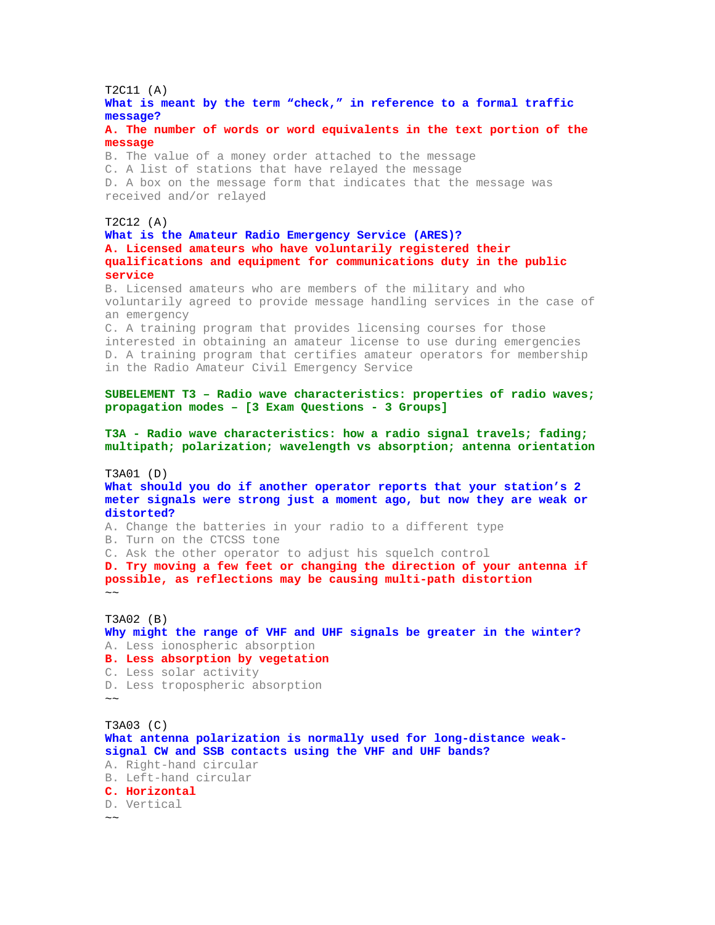T2C11 (A) **What is meant by the term "check," in reference to a formal traffic message? A. The number of words or word equivalents in the text portion of the message** B. The value of a money order attached to the message C. A list of stations that have relayed the message D. A box on the message form that indicates that the message was received and/or relayed T2C12 (A) **What is the Amateur Radio Emergency Service (ARES)? A. Licensed amateurs who have voluntarily registered their qualifications and equipment for communications duty in the public service** B. Licensed amateurs who are members of the military and who voluntarily agreed to provide message handling services in the case of an emergency C. A training program that provides licensing courses for those interested in obtaining an amateur license to use during emergencies D. A training program that certifies amateur operators for membership in the Radio Amateur Civil Emergency Service **SUBELEMENT T3 – Radio wave characteristics: properties of radio waves; propagation modes – [3 Exam Questions - 3 Groups] T3A - Radio wave characteristics: how a radio signal travels; fading; multipath; polarization; wavelength vs absorption; antenna orientation** T3A01 (D) **What should you do if another operator reports that your station's 2 meter signals were strong just a moment ago, but now they are weak or distorted?** A. Change the batteries in your radio to a different type B. Turn on the CTCSS tone C. Ask the other operator to adjust his squelch control **D. Try moving a few feet or changing the direction of your antenna if possible, as reflections may be causing multi-path distortion**  $\sim$  ~ T3A02 (B) **Why might the range of VHF and UHF signals be greater in the winter?** A. Less ionospheric absorption **B. Less absorption by vegetation** C. Less solar activity D. Less tropospheric absorption  $\sim\sim$ T3A03 (C) **What antenna polarization is normally used for long-distance weaksignal CW and SSB contacts using the VHF and UHF bands?** A. Right-hand circular B. Left-hand circular **C. Horizontal** D. Vertical  $\sim$   $\sim$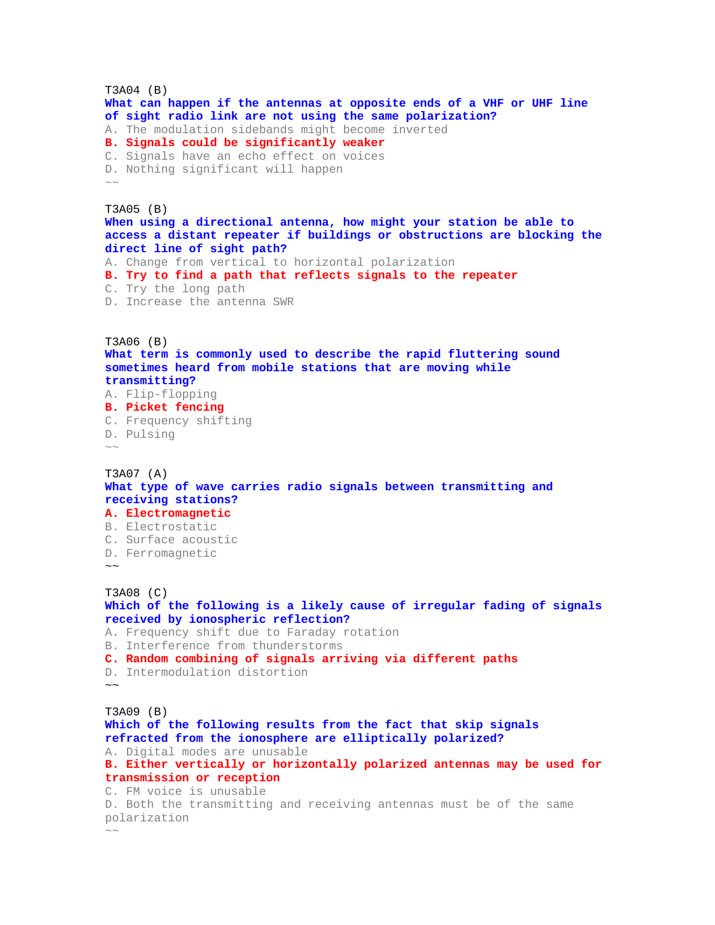```
T3A04 (B)
What can happen if the antennas at opposite ends of a VHF or UHF line
of sight radio link are not using the same polarization?
A. The modulation sidebands might become inverted
B. Signals could be significantly weaker
C. Signals have an echo effect on voices
D. Nothing significant will happen
\sim\, \simT3A05 (B)
When using a directional antenna, how might your station be able to
access a distant repeater if buildings or obstructions are blocking the
direct line of sight path?
A. Change from vertical to horizontal polarization
B. Try to find a path that reflects signals to the repeater
C. Try the long path
D. Increase the antenna SWR
T3A06 (B)
What term is commonly used to describe the rapid fluttering sound
sometimes heard from mobile stations that are moving while
transmitting?
A. Flip-flopping
B. Picket fencing
C. Frequency shifting
D. Pulsing
\sim\,T3A07 (A)
What type of wave carries radio signals between transmitting and
receiving stations?
A. Electromagnetic
B. Electrostatic
C. Surface acoustic
D. Ferromagnetic
\sim\simT3A08 (C)
Which of the following is a likely cause of irregular fading of signals
received by ionospheric reflection?
A. Frequency shift due to Faraday rotation
B. Interference from thunderstorms
C. Random combining of signals arriving via different paths
D. Intermodulation distortion
\sim\simT3A09 (B)
Which of the following results from the fact that skip signals
refracted from the ionosphere are elliptically polarized?
A. Digital modes are unusable
B. Either vertically or horizontally polarized antennas may be used for
transmission or reception
C. FM voice is unusable
D. Both the transmitting and receiving antennas must be of the same
polarization
\sim ~
```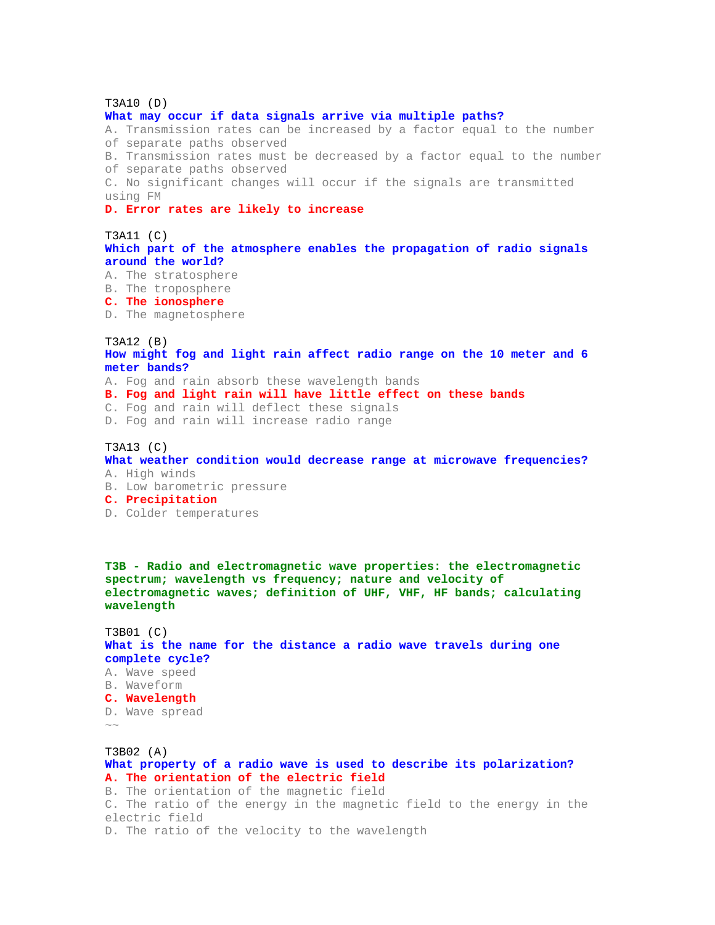```
T3A10 (D)
What may occur if data signals arrive via multiple paths?
A. Transmission rates can be increased by a factor equal to the number
of separate paths observed
B. Transmission rates must be decreased by a factor equal to the number
of separate paths observed
C. No significant changes will occur if the signals are transmitted
using FM
D. Error rates are likely to increase
T3A11 (C)
Which part of the atmosphere enables the propagation of radio signals
around the world?
A. The stratosphere
B. The troposphere
C. The ionosphere
D. The magnetosphere
T3A12 (B)
How might fog and light rain affect radio range on the 10 meter and 6
meter bands?
A. Fog and rain absorb these wavelength bands
B. Fog and light rain will have little effect on these bands
C. Fog and rain will deflect these signals
D. Fog and rain will increase radio range
T3A13 (C)
What weather condition would decrease range at microwave frequencies?
A. High winds
B. Low barometric pressure
C. Precipitation
D. Colder temperatures
T3B - Radio and electromagnetic wave properties: the electromagnetic
spectrum; wavelength vs frequency; nature and velocity of
electromagnetic waves; definition of UHF, VHF, HF bands; calculating
wavelength
T3B01 (C)
What is the name for the distance a radio wave travels during one
complete cycle?
A. Wave speed
B. Waveform
C. Wavelength
D. Wave spread
\sim\,T3B02 (A)
What property of a radio wave is used to describe its polarization?
A. The orientation of the electric field
B. The orientation of the magnetic field
C. The ratio of the energy in the magnetic field to the energy in the
electric field
D. The ratio of the velocity to the wavelength
```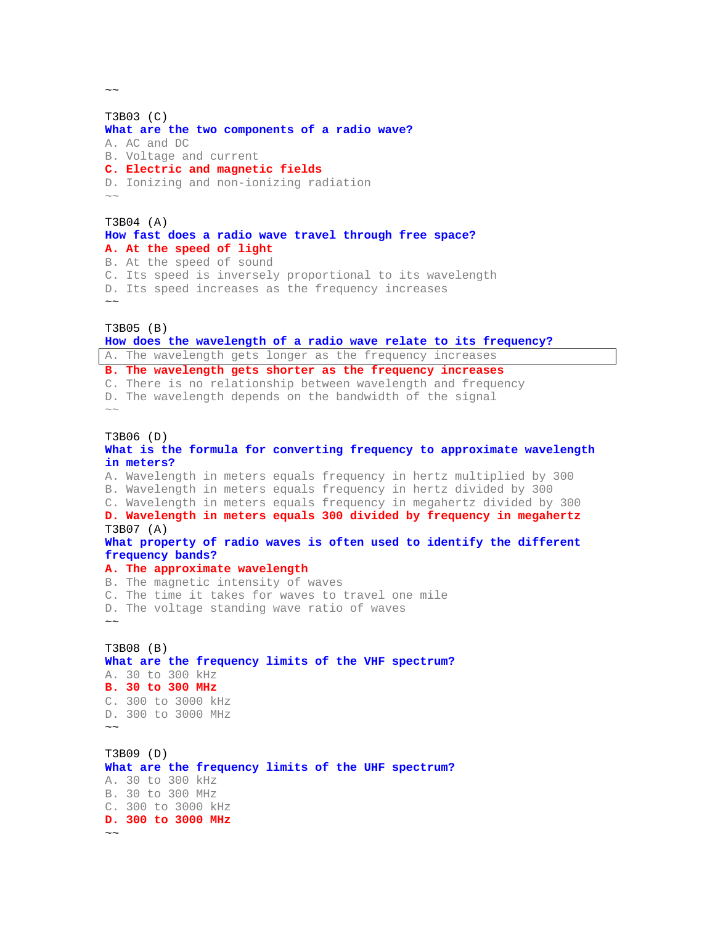$\sim\sim$ 

```
T3B03 (C)
What are the two components of a radio wave?
A. AC and DC
B. Voltage and current
C. Electric and magnetic fields
D. Ionizing and non-ionizing radiation
\sim\,T3B04 (A)
How fast does a radio wave travel through free space?
A. At the speed of light
B. At the speed of sound
C. Its speed is inversely proportional to its wavelength
D. Its speed increases as the frequency increases
\sim \simT3B05 (B)
How does the wavelength of a radio wave relate to its frequency?
A. The wavelength gets longer as the frequency increases
B. The wavelength gets shorter as the frequency increases
C. There is no relationship between wavelength and frequency
D. The wavelength depends on the bandwidth of the signal
\sim\,T3B06 (D)
What is the formula for converting frequency to approximate wavelength
in meters?
A. Wavelength in meters equals frequency in hertz multiplied by 300
B. Wavelength in meters equals frequency in hertz divided by 300
C. Wavelength in meters equals frequency in megahertz divided by 300
D. Wavelength in meters equals 300 divided by frequency in megahertz
T3B07 (A)
What property of radio waves is often used to identify the different
frequency bands?
A. The approximate wavelength
B. The magnetic intensity of waves
C. The time it takes for waves to travel one mile
D. The voltage standing wave ratio of waves
\sim ~
T3B08 (B)
What are the frequency limits of the VHF spectrum?
A. 30 to 300 kHz
B. 30 to 300 MHz
C. 300 to 3000 kHz
D. 300 to 3000 MHz
\sim \simT3B09 (D)
What are the frequency limits of the UHF spectrum?
A. 30 to 300 kHz
B. 30 to 300 MHz
C. 300 to 3000 kHz
D. 300 to 3000 MHz
\sim ~
```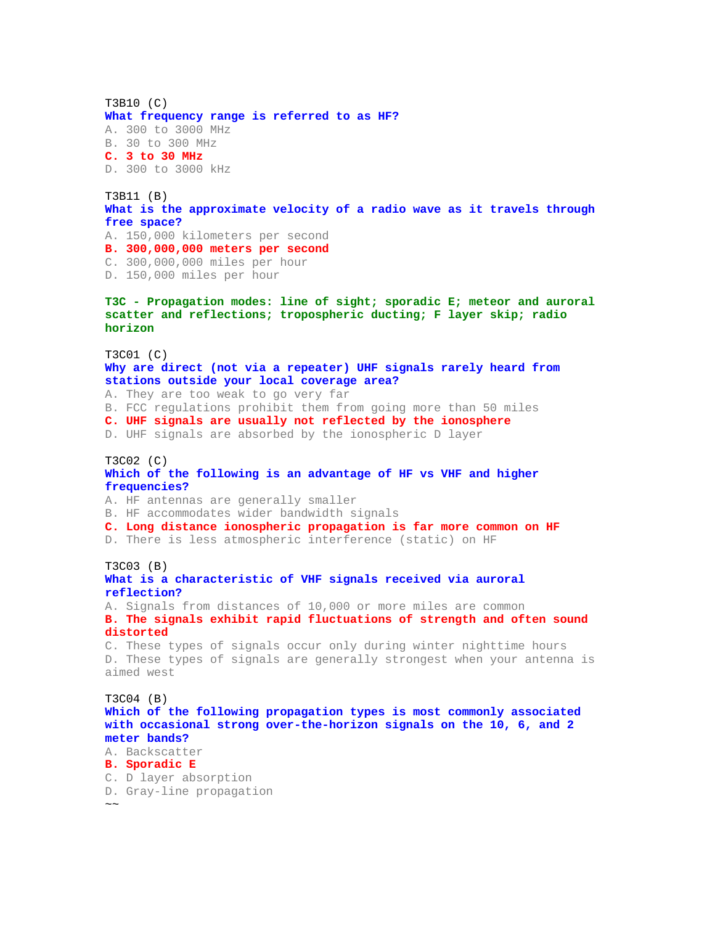T3B10 (C) **What frequency range is referred to as HF?** A. 300 to 3000 MHz B. 30 to 300 MHz **C. 3 to 30 MHz** D. 300 to 3000 kHz

T3B11 (B) **What is the approximate velocity of a radio wave as it travels through free space?** A. 150,000 kilometers per second **B. 300,000,000 meters per second** C. 300,000,000 miles per hour D. 150,000 miles per hour

**T3C - Propagation modes: line of sight; sporadic E; meteor and auroral scatter and reflections; tropospheric ducting; F layer skip; radio horizon**

T3C01 (C) **Why are direct (not via a repeater) UHF signals rarely heard from stations outside your local coverage area?** A. They are too weak to go very far B. FCC regulations prohibit them from going more than 50 miles **C. UHF signals are usually not reflected by the ionosphere** D. UHF signals are absorbed by the ionospheric D layer T3C02 (C) **Which of the following is an advantage of HF vs VHF and higher frequencies?** A. HF antennas are generally smaller B. HF accommodates wider bandwidth signals **C. Long distance ionospheric propagation is far more common on HF** D. There is less atmospheric interference (static) on HF T3C03 (B) **What is a characteristic of VHF signals received via auroral reflection?** A. Signals from distances of 10,000 or more miles are common **B. The signals exhibit rapid fluctuations of strength and often sound distorted** C. These types of signals occur only during winter nighttime hours D. These types of signals are generally strongest when your antenna is aimed west T3C04 (B) **Which of the following propagation types is most commonly associated with occasional strong over-the-horizon signals on the 10, 6, and 2 meter bands?** A. Backscatter **B. Sporadic E** C. D layer absorption D. Gray-line propagation  $\sim$   $\sim$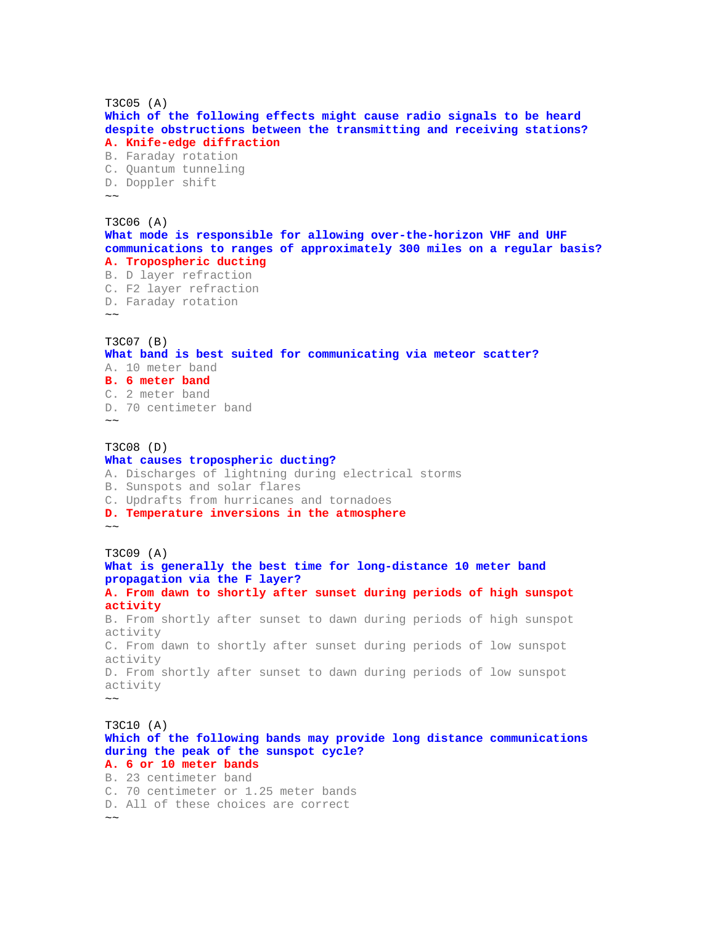```
T3C05 (A)
Which of the following effects might cause radio signals to be heard
despite obstructions between the transmitting and receiving stations?
A. Knife-edge diffraction
B. Faraday rotation
C. Quantum tunneling
D. Doppler shift
\sim\simT3C06 (A)
What mode is responsible for allowing over-the-horizon VHF and UHF
communications to ranges of approximately 300 miles on a regular basis?
A. Tropospheric ducting
B. D layer refraction
C. F2 layer refraction
D. Faraday rotation
\sim\simT3C07 (B)
What band is best suited for communicating via meteor scatter?
A. 10 meter band
B. 6 meter band
C. 2 meter band
D. 70 centimeter band
\sim\simT3C08 (D)
What causes tropospheric ducting?
A. Discharges of lightning during electrical storms
B. Sunspots and solar flares
C. Updrafts from hurricanes and tornadoes
D. Temperature inversions in the atmosphere
\sim\simT3C09 (A)
What is generally the best time for long-distance 10 meter band
propagation via the F layer?
A. From dawn to shortly after sunset during periods of high sunspot
activity
B. From shortly after sunset to dawn during periods of high sunspot
activity
C. From dawn to shortly after sunset during periods of low sunspot
activity
D. From shortly after sunset to dawn during periods of low sunspot
activity
\sim\simT3C10 (A)
Which of the following bands may provide long distance communications
during the peak of the sunspot cycle?
A. 6 or 10 meter bands
B. 23 centimeter band
C. 70 centimeter or 1.25 meter bands
D. All of these choices are correct
\sim ~
```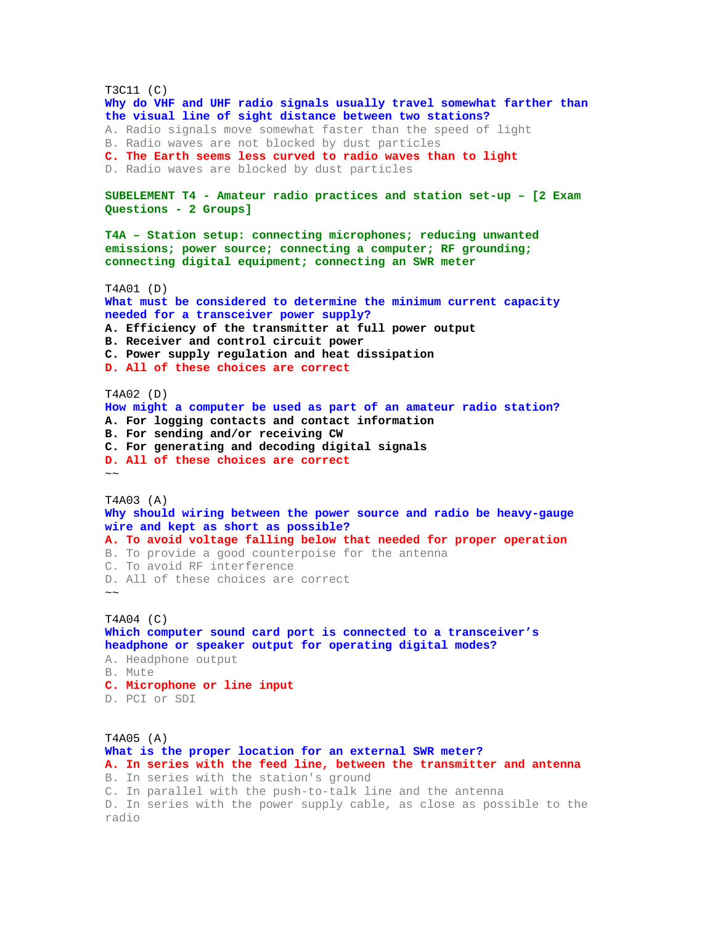T3C11 (C) **Why do VHF and UHF radio signals usually travel somewhat farther than the visual line of sight distance between two stations?** A. Radio signals move somewhat faster than the speed of light B. Radio waves are not blocked by dust particles **C. The Earth seems less curved to radio waves than to light** D. Radio waves are blocked by dust particles **SUBELEMENT T4 - Amateur radio practices and station set-up – [2 Exam Questions - 2 Groups] T4A – Station setup: connecting microphones; reducing unwanted emissions; power source; connecting a computer; RF grounding; connecting digital equipment; connecting an SWR meter** T4A01 (D) **What must be considered to determine the minimum current capacity needed for a transceiver power supply? A. Efficiency of the transmitter at full power output B. Receiver and control circuit power C. Power supply regulation and heat dissipation D. All of these choices are correct** T4A02 (D) **How might a computer be used as part of an amateur radio station? A. For logging contacts and contact information B. For sending and/or receiving CW C. For generating and decoding digital signals D. All of these choices are correct** ~~~ T4A03 (A) **Why should wiring between the power source and radio be heavy-gauge wire and kept as short as possible? A. To avoid voltage falling below that needed for proper operation** B. To provide a good counterpoise for the antenna C. To avoid RF interference D. All of these choices are correct  $\sim$   $\sim$ T4A04 (C) **Which computer sound card port is connected to a transceiver's headphone or speaker output for operating digital modes?** A. Headphone output B. Mute **C. Microphone or line input** D. PCI or SDI T4A05 (A) **What is the proper location for an external SWR meter? A. In series with the feed line, between the transmitter and antenna** B. In series with the station's ground C. In parallel with the push-to-talk line and the antenna D. In series with the power supply cable, as close as possible to the

radio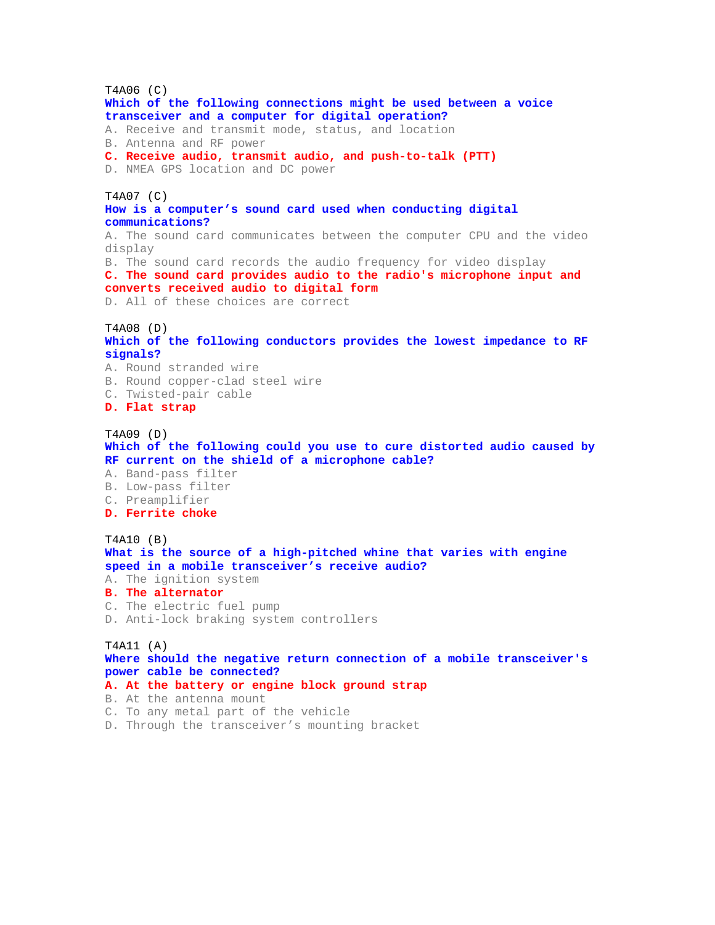```
T4A06 (C)
Which of the following connections might be used between a voice
transceiver and a computer for digital operation?
A. Receive and transmit mode, status, and location
B. Antenna and RF power
C. Receive audio, transmit audio, and push-to-talk (PTT)
D. NMEA GPS location and DC power
T4A07 (C)
How is a computer's sound card used when conducting digital
communications?
A. The sound card communicates between the computer CPU and the video
display
B. The sound card records the audio frequency for video display
C. The sound card provides audio to the radio's microphone input and
converts received audio to digital form
D. All of these choices are correct
T4A08 (D)
Which of the following conductors provides the lowest impedance to RF
signals?
A. Round stranded wire
B. Round copper-clad steel wire
C. Twisted-pair cable
D. Flat strap
T4A09 (D)
Which of the following could you use to cure distorted audio caused by
RF current on the shield of a microphone cable?
A. Band-pass filter
B. Low-pass filter
C. Preamplifier
D. Ferrite choke
T4A10 (B)
What is the source of a high-pitched whine that varies with engine
speed in a mobile transceiver's receive audio?
A. The ignition system
B. The alternator
C. The electric fuel pump
D. Anti-lock braking system controllers
T4A11 (A)
Where should the negative return connection of a mobile transceiver's
power cable be connected?
A. At the battery or engine block ground strap
B. At the antenna mount
C. To any metal part of the vehicle
D. Through the transceiver's mounting bracket
```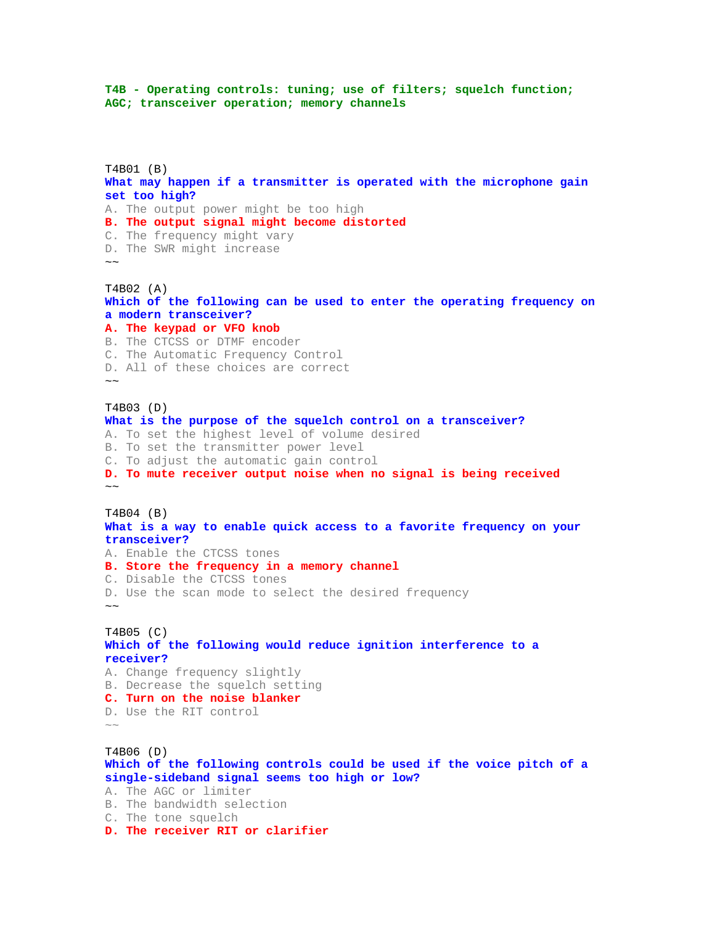**T4B - Operating controls: tuning; use of filters; squelch function; AGC; transceiver operation; memory channels** T4B01 (B) **What may happen if a transmitter is operated with the microphone gain set too high?** A. The output power might be too high **B. The output signal might become distorted** C. The frequency might vary D. The SWR might increase  $\sim$  ~ T4B02 (A) **Which of the following can be used to enter the operating frequency on a modern transceiver? A. The keypad or VFO knob** B. The CTCSS or DTMF encoder C. The Automatic Frequency Control D. All of these choices are correct  $\sim$  ~ T4B03 (D) **What is the purpose of the squelch control on a transceiver?** A. To set the highest level of volume desired B. To set the transmitter power level C. To adjust the automatic gain control **D. To mute receiver output noise when no signal is being received**  $\sim$   $\sim$ T4B04 (B) **What is a way to enable quick access to a favorite frequency on your transceiver?** A. Enable the CTCSS tones **B. Store the frequency in a memory channel** C. Disable the CTCSS tones D. Use the scan mode to select the desired frequency  $\sim\sim$ T4B05 (C) **Which of the following would reduce ignition interference to a receiver?** A. Change frequency slightly B. Decrease the squelch setting **C. Turn on the noise blanker** D. Use the RIT control  $\sim\ \sim$ T4B06 (D) **Which of the following controls could be used if the voice pitch of a single-sideband signal seems too high or low?** A. The AGC or limiter B. The bandwidth selection C. The tone squelch **D. The receiver RIT or clarifier**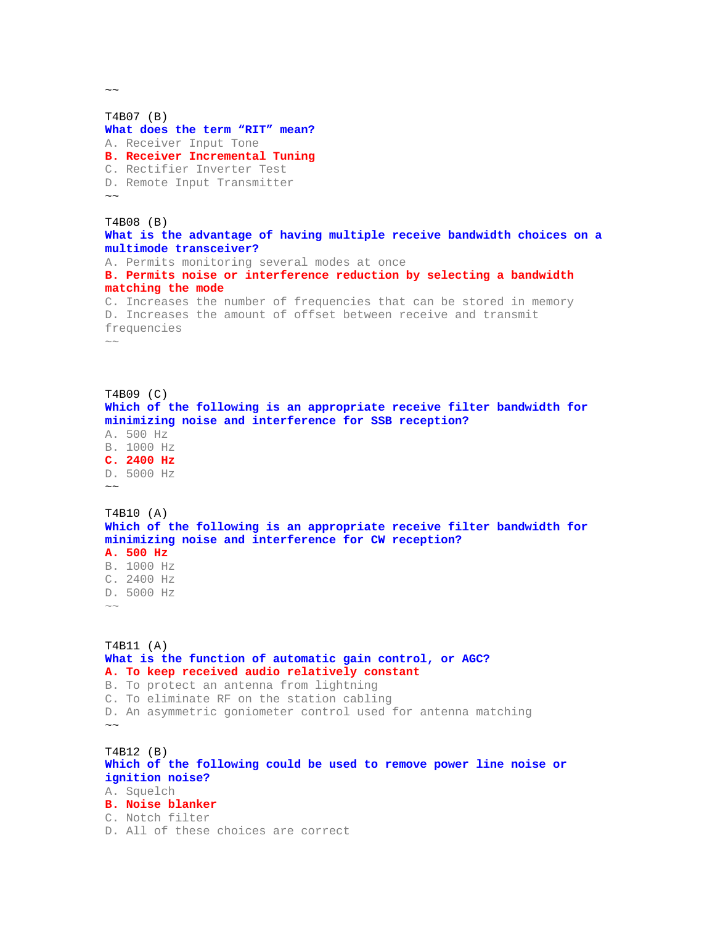$\sim\sim$ 

```
T4B07 (B)
What does the term "RIT" mean?
A. Receiver Input Tone
B. Receiver Incremental Tuning
C. Rectifier Inverter Test
D. Remote Input Transmitter
\sim\sim
```

```
T4B08 (B)
What is the advantage of having multiple receive bandwidth choices on a
multimode transceiver?
A. Permits monitoring several modes at once
B. Permits noise or interference reduction by selecting a bandwidth
matching the mode
C. Increases the number of frequencies that can be stored in memory
D. Increases the amount of offset between receive and transmit
frequencies
\sim\, \simT4B09 (C)
Which of the following is an appropriate receive filter bandwidth for
minimizing noise and interference for SSB reception?
A. 500 Hz
B. 1000 Hz
C. 2400 Hz
D. 5000 Hz
\sim ~
T4B10 (A)
Which of the following is an appropriate receive filter bandwidth for
minimizing noise and interference for CW reception?
A. 500 Hz
B. 1000 Hz
C. 2400 Hz
D. 5000 Hz
~~
T4B11 (A)
What is the function of automatic gain control, or AGC?
A. To keep received audio relatively constant
B. To protect an antenna from lightning
C. To eliminate RF on the station cabling
D. An asymmetric goniometer control used for antenna matching
\sim\simT4B12 (B)
Which of the following could be used to remove power line noise or
ignition noise?
A. Squelch
B. Noise blanker
C. Notch filter
D. All of these choices are correct
```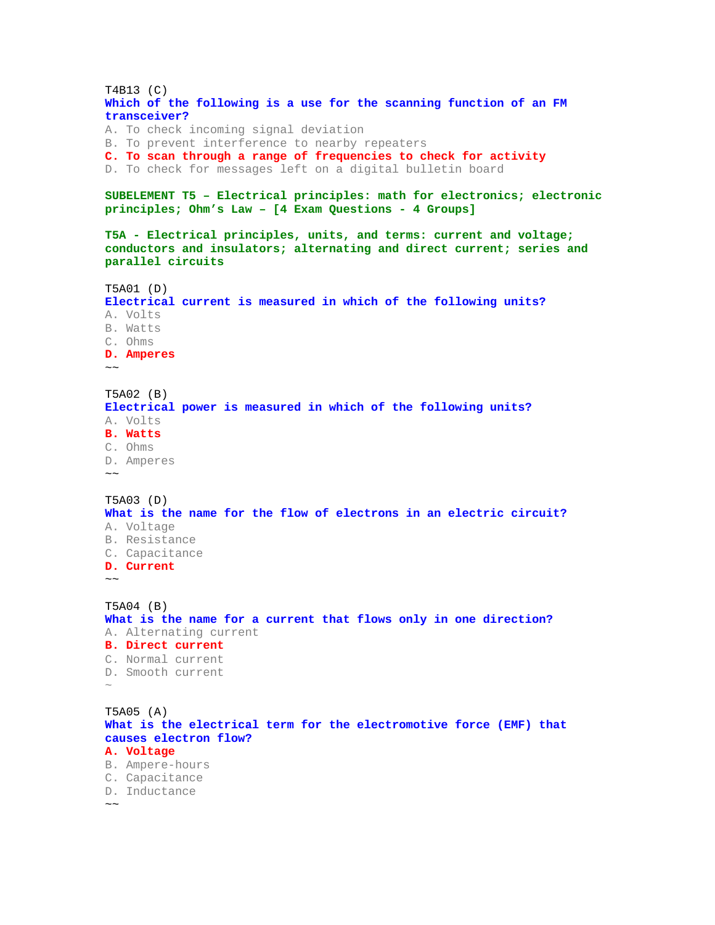```
T4B13 (C)
Which of the following is a use for the scanning function of an FM
transceiver?
A. To check incoming signal deviation
B. To prevent interference to nearby repeaters
C. To scan through a range of frequencies to check for activity
D. To check for messages left on a digital bulletin board
SUBELEMENT T5 – Electrical principles: math for electronics; electronic
principles; Ohm's Law – [4 Exam Questions - 4 Groups]
T5A - Electrical principles, units, and terms: current and voltage;
conductors and insulators; alternating and direct current; series and
parallel circuits
T5A01 (D)
Electrical current is measured in which of the following units?
A. Volts
B. Watts
C. Ohms
D. Amperes
\sim \simT5A02 (B)
Electrical power is measured in which of the following units?
A. Volts
B. Watts
C. Ohms
D. Amperes
~~~
T5A03 (D)
What is the name for the flow of electrons in an electric circuit?
A. Voltage
B. Resistance
C. Capacitance
D. Current
\sim \simT5A04 (B)
What is the name for a current that flows only in one direction?
A. Alternating current
B. Direct current
C. Normal current
D. Smooth current
\simT5A05 (A)
What is the electrical term for the electromotive force (EMF) that
causes electron flow?
A. Voltage
B. Ampere-hours
C. Capacitance
D. Inductance
\sim\sim
```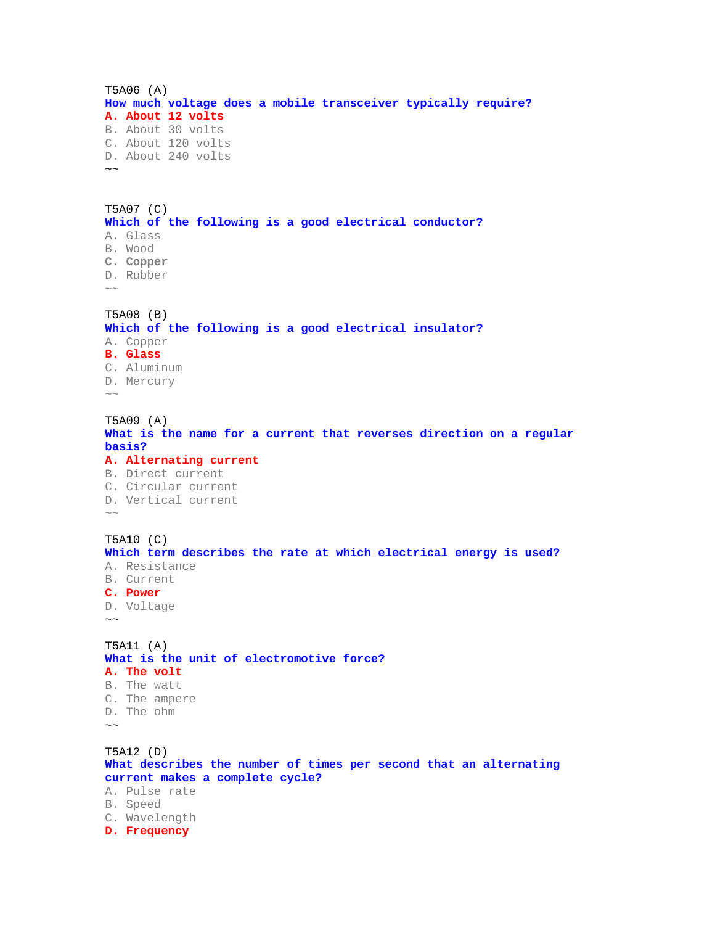```
T5A06 (A)
How much voltage does a mobile transceiver typically require?
A. About 12 volts
B. About 30 volts
C. About 120 volts
D. About 240 volts
\sim\!\simT5A07 (C)
Which of the following is a good electrical conductor?
A. Glass
B. Wood
C. Copper
D. Rubber
\sim ~
T5A08 (B)
Which of the following is a good electrical insulator?
A. Copper
B. Glass
C. Aluminum
D. Mercury
\sim\,T5A09 (A)
What is the name for a current that reverses direction on a regular
basis?
A. Alternating current
B. Direct current
C. Circular current
D. Vertical current
\sim\simT5A10 (C)
Which term describes the rate at which electrical energy is used?
A. Resistance
B. Current
C. Power
D. Voltage
\sim\simT5A11 (A)
What is the unit of electromotive force?
A. The volt
B. The watt
C. The ampere
D. The ohm
\simT5A12 (D)
What describes the number of times per second that an alternating
current makes a complete cycle?
A. Pulse rate
B. Speed
C. Wavelength
D. Frequency
```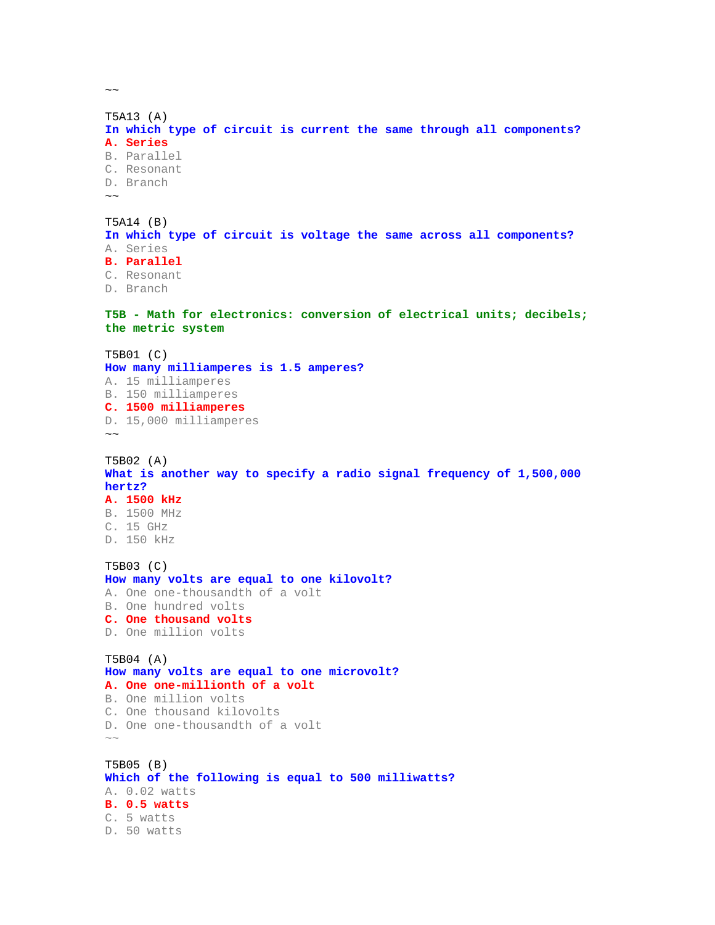```
T5A13 (A)
In which type of circuit is current the same through all components?
A. Series
B. Parallel
C. Resonant
D. Branch
\sim\simT5A14 (B)
In which type of circuit is voltage the same across all components?
A. Series
B. Parallel
C. Resonant
D. Branch
T5B - Math for electronics: conversion of electrical units; decibels;
the metric system
T5B01 (C)
How many milliamperes is 1.5 amperes?
A. 15 milliamperes
B. 150 milliamperes
C. 1500 milliamperes
D. 15,000 milliamperes
\sim\simT5B02 (A)
What is another way to specify a radio signal frequency of 1,500,000
hertz?
A. 1500 kHz
B. 1500 MHz
C. 15 GHz
D. 150 kHz
T5B03 (C)
How many volts are equal to one kilovolt?
A. One one-thousandth of a volt
B. One hundred volts
C. One thousand volts
D. One million volts
T5B04 (A)
How many volts are equal to one microvolt?
A. One one-millionth of a volt
B. One million volts
C. One thousand kilovolts
D. One one-thousandth of a volt
\sim\simT5B05 (B)
Which of the following is equal to 500 milliwatts?
A. 0.02 watts
B. 0.5 watts
C. 5 watts
D. 50 watts
```
 $\sim\sim$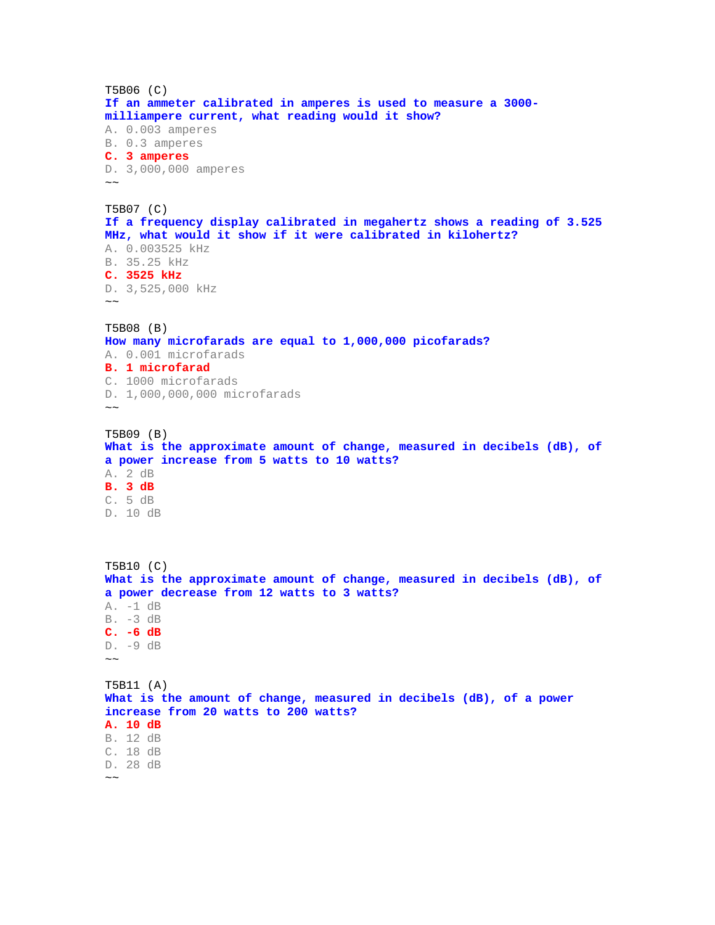```
T5B06 (C)
If an ammeter calibrated in amperes is used to measure a 3000-
milliampere current, what reading would it show?
A. 0.003 amperes
B. 0.3 amperes
C. 3 amperes
D. 3,000,000 amperes
\sim \simT5B07 (C)
If a frequency display calibrated in megahertz shows a reading of 3.525
MHz, what would it show if it were calibrated in kilohertz?
A. 0.003525 kHz
B. 35.25 kHz
C. 3525 kHz
D. 3,525,000 kHz
\sim \simT5B08 (B)
How many microfarads are equal to 1,000,000 picofarads?
A. 0.001 microfarads
B. 1 microfarad
C. 1000 microfarads
D. 1,000,000,000 microfarads
\sim\!\simT5B09 (B)
What is the approximate amount of change, measured in decibels (dB), of
a power increase from 5 watts to 10 watts?
A. 2 dB
B. 3 dB
C. 5 dB
D. 10 dB
T5B10 (C)
What is the approximate amount of change, measured in decibels (dB), of
a power decrease from 12 watts to 3 watts?
A. -1 dB
B. -3 dB
C. -6 dB
D. -9 dB
\sim\simT5B11 (A)
What is the amount of change, measured in decibels (dB), of a power
increase from 20 watts to 200 watts?
A. 10 dB
B. 12 dB
C. 18 dB
D. 28 dB
\sim \sim
```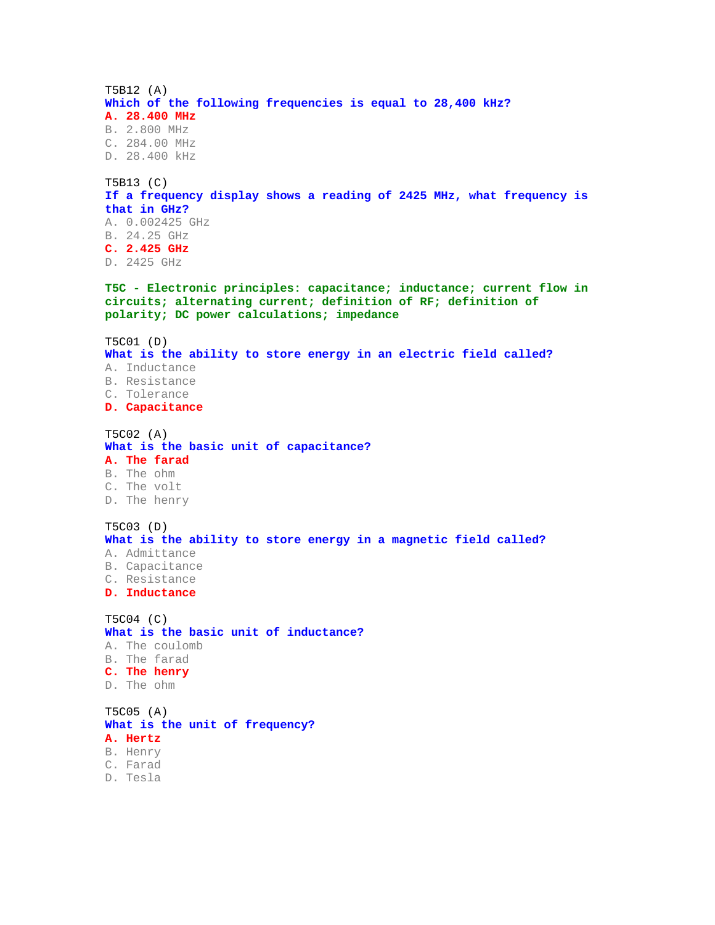```
T5B12 (A)
Which of the following frequencies is equal to 28,400 kHz?
A. 28.400 MHz
B. 2.800 MHz
C. 284.00 MHz
D. 28.400 kHz
T5B13 (C)
If a frequency display shows a reading of 2425 MHz, what frequency is
that in GHz?
A. 0.002425 GHz
B. 24.25 GHz
C. 2.425 GHz
D. 2425 GHz
T5C - Electronic principles: capacitance; inductance; current flow in
circuits; alternating current; definition of RF; definition of
polarity; DC power calculations; impedance
T5C01 (D)
What is the ability to store energy in an electric field called?
A. Inductance
B. Resistance
C. Tolerance
D. Capacitance
T5C02 (A)
What is the basic unit of capacitance?
A. The farad
B. The ohm
C. The volt
D. The henry
T5C03 (D)
What is the ability to store energy in a magnetic field called?
A. Admittance
B. Capacitance
C. Resistance
D. Inductance
T5C04 (C)
What is the basic unit of inductance?
A. The coulomb
B. The farad
C. The henry
D. The ohm
T5C05 (A)
What is the unit of frequency?
A. Hertz
B. Henry
C. Farad
D. Tesla
```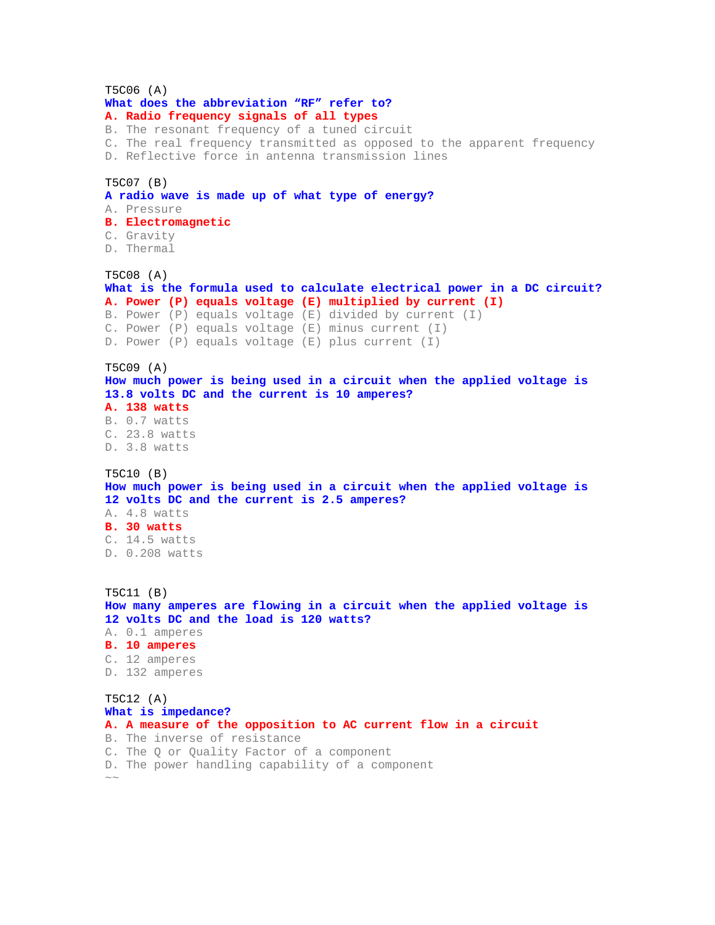```
T5C06 (A)
What does the abbreviation "RF" refer to?
A. Radio frequency signals of all types
B. The resonant frequency of a tuned circuit
C. The real frequency transmitted as opposed to the apparent frequency
D. Reflective force in antenna transmission lines
T5C07 (B)
A radio wave is made up of what type of energy?
A. Pressure
B. Electromagnetic
C. Gravity
D. Thermal
T5C08 (A)
What is the formula used to calculate electrical power in a DC circuit?
A. Power (P) equals voltage (E) multiplied by current (I)
B. Power (P) equals voltage (E) divided by current (I)
C. Power (P) equals voltage (E) minus current (I)
D. Power (P) equals voltage (E) plus current (I)
T5C09 (A)
How much power is being used in a circuit when the applied voltage is
13.8 volts DC and the current is 10 amperes?
A. 138 watts
B. 0.7 watts
C. 23.8 watts
D. 3.8 watts
T5C10 (B)
How much power is being used in a circuit when the applied voltage is
12 volts DC and the current is 2.5 amperes?
A. 4.8 watts
B. 30 watts
C. 14.5 watts
D. 0.208 watts
T5C11 (B)
How many amperes are flowing in a circuit when the applied voltage is
12 volts DC and the load is 120 watts?
A. 0.1 amperes
B. 10 amperes
C. 12 amperes
D. 132 amperes
T5C12 (A)
What is impedance?
A. A measure of the opposition to AC current flow in a circuit
B. The inverse of resistance
C. The Q or Quality Factor of a component
D. The power handling capability of a component
\sim\,
```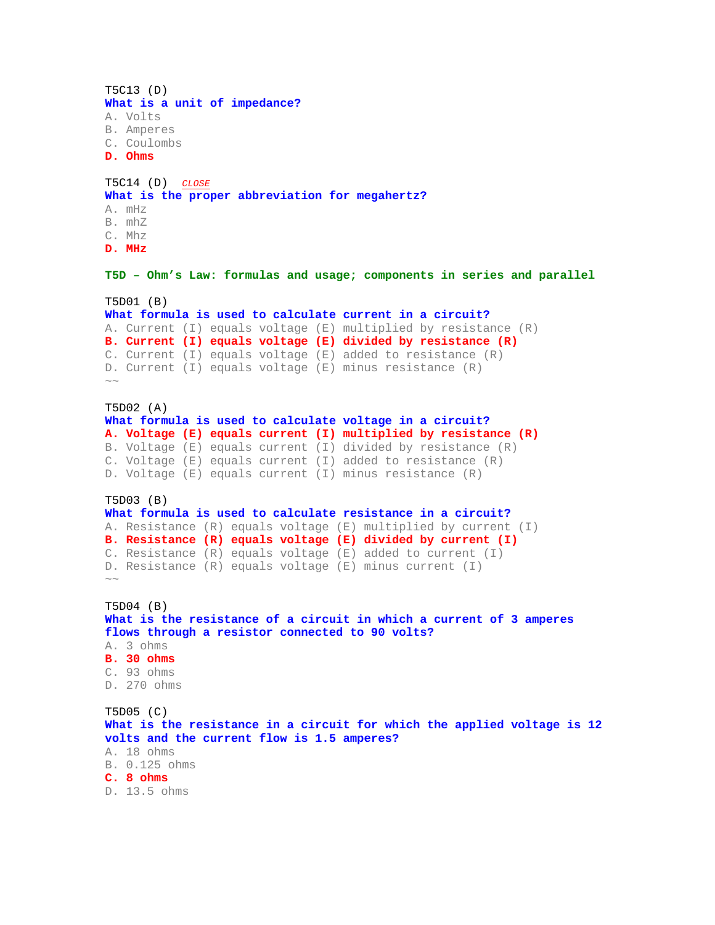```
T5C13 (D)
What is a unit of impedance?
A. Volts
B. Amperes
C. Coulombs
D. Ohms
T5C14 (D) CLOSE
What is the proper abbreviation for megahertz?
A. mHz
B. mhZ
C. Mhz
D. MHz
T5D – Ohm's Law: formulas and usage; components in series and parallel
T5D01 (B)
What formula is used to calculate current in a circuit?
A. Current (I) equals voltage (E) multiplied by resistance (R)
B. Current (I) equals voltage (E) divided by resistance (R)
C. Current (I) equals voltage (E) added to resistance (R)
D. Current (I) equals voltage (E) minus resistance (R)
\sim\ \simT5D02 (A)
What formula is used to calculate voltage in a circuit?
A. Voltage (E) equals current (I) multiplied by resistance (R)
B. Voltage (E) equals current (I) divided by resistance (R)
C. Voltage (E) equals current (I) added to resistance (R)
D. Voltage (E) equals current (I) minus resistance (R)
T5D03 (B)
What formula is used to calculate resistance in a circuit?
A. Resistance (R) equals voltage (E) multiplied by current (I)
B. Resistance (R) equals voltage (E) divided by current (I)
C. Resistance (R) equals voltage (E) added to current (I)
D. Resistance (R) equals voltage (E) minus current (I)
\sim\,T5D04 (B)
What is the resistance of a circuit in which a current of 3 amperes
flows through a resistor connected to 90 volts?
A. 3 ohms
B. 30 ohms
C. 93 ohms
D. 270 ohms
T5D05 (C)
What is the resistance in a circuit for which the applied voltage is 12
volts and the current flow is 1.5 amperes?
A. 18 ohms
B. 0.125 ohms
C. 8 ohms
D. 13.5 ohms
```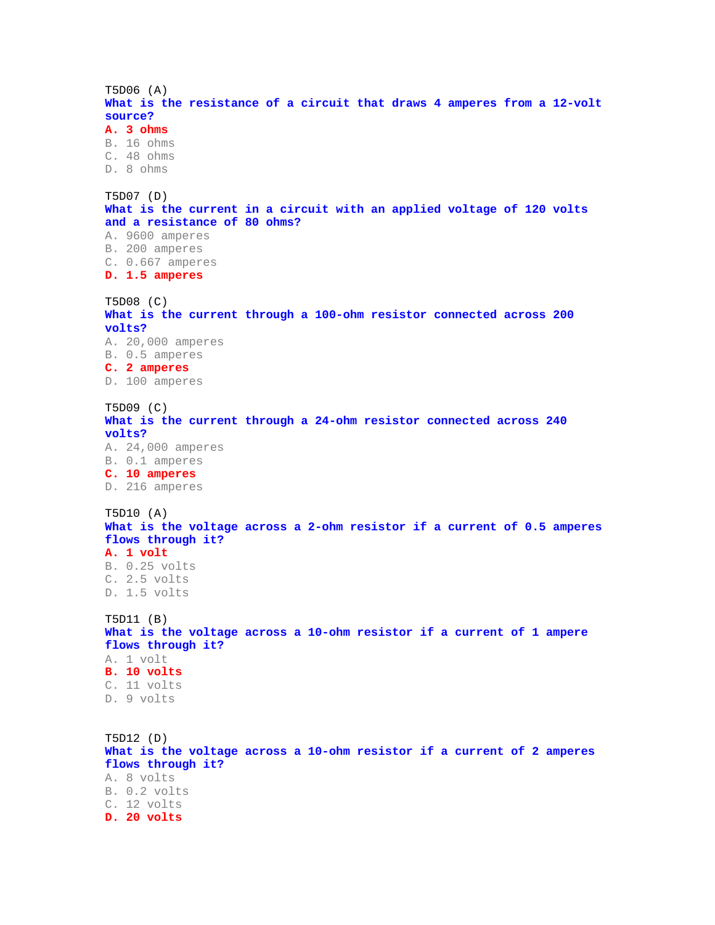```
T5D06 (A)
What is the resistance of a circuit that draws 4 amperes from a 12-volt
source?
A. 3 ohms
B. 16 ohms
C. 48 ohms
D. 8 ohms
T5D07 (D)
What is the current in a circuit with an applied voltage of 120 volts
and a resistance of 80 ohms?
A. 9600 amperes
B. 200 amperes
C. 0.667 amperes
D. 1.5 amperes
T5D08 (C)
What is the current through a 100-ohm resistor connected across 200
volts?
A. 20,000 amperes
B. 0.5 amperes
C. 2 amperes
D. 100 amperes
T5D09 (C)
What is the current through a 24-ohm resistor connected across 240
volts?
A. 24,000 amperes
B. 0.1 amperes
C. 10 amperes
D. 216 amperes
T5D10 (A)
What is the voltage across a 2-ohm resistor if a current of 0.5 amperes
flows through it?
A. 1 volt
B. 0.25 volts
C. 2.5 volts
D. 1.5 volts
T5D11 (B)
What is the voltage across a 10-ohm resistor if a current of 1 ampere
flows through it?
A. 1 volt
B. 10 volts
C. 11 volts
D. 9 volts
T5D12 (D)
What is the voltage across a 10-ohm resistor if a current of 2 amperes
flows through it?
A. 8 volts
B. 0.2 volts
C. 12 volts
D. 20 volts
```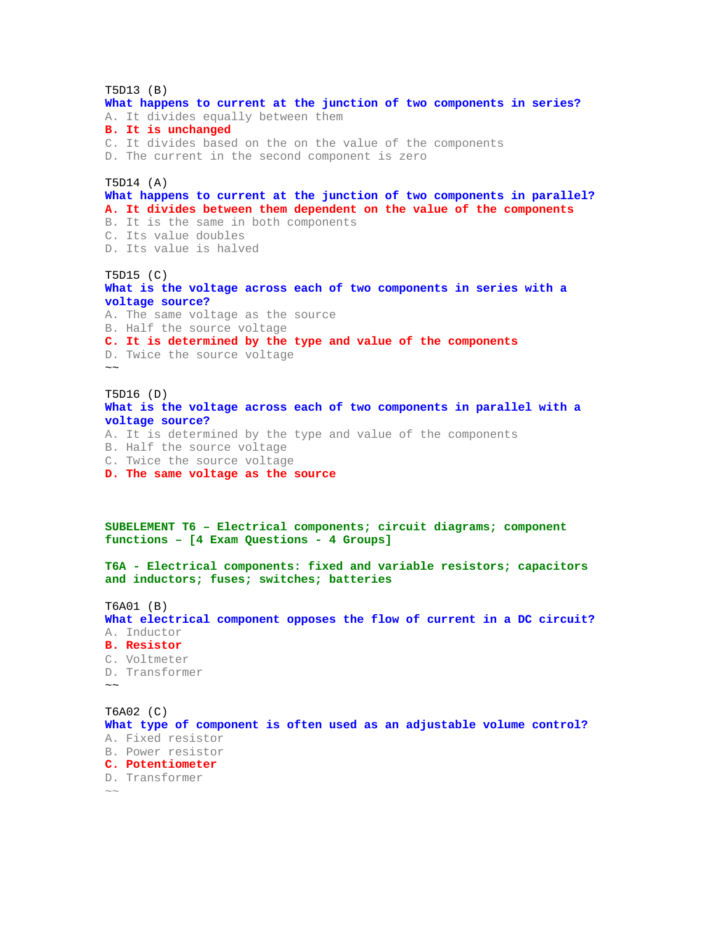T5D13 (B) **What happens to current at the junction of two components in series?** A. It divides equally between them **B. It is unchanged** C. It divides based on the on the value of the components D. The current in the second component is zero T5D14 (A) **What happens to current at the junction of two components in parallel? A. It divides between them dependent on the value of the components** B. It is the same in both components C. Its value doubles D. Its value is halved T5D15 (C) **What is the voltage across each of two components in series with a voltage source?** A. The same voltage as the source B. Half the source voltage **C. It is determined by the type and value of the components** D. Twice the source voltage  $\sim$   $\sim$ T5D16 (D) **What is the voltage across each of two components in parallel with a voltage source?** A. It is determined by the type and value of the components B. Half the source voltage C. Twice the source voltage **D. The same voltage as the source SUBELEMENT T6 – Electrical components; circuit diagrams; component functions – [4 Exam Questions - 4 Groups] T6A - Electrical components: fixed and variable resistors; capacitors and inductors; fuses; switches; batteries** T6A01 (B) **What electrical component opposes the flow of current in a DC circuit?** A. Inductor **B. Resistor** C. Voltmeter D. Transformer  $\sim\sim$ T6A02 (C) **What type of component is often used as an adjustable volume control?** A. Fixed resistor B. Power resistor **C. Potentiometer** D. Transformer  $\sim$  ~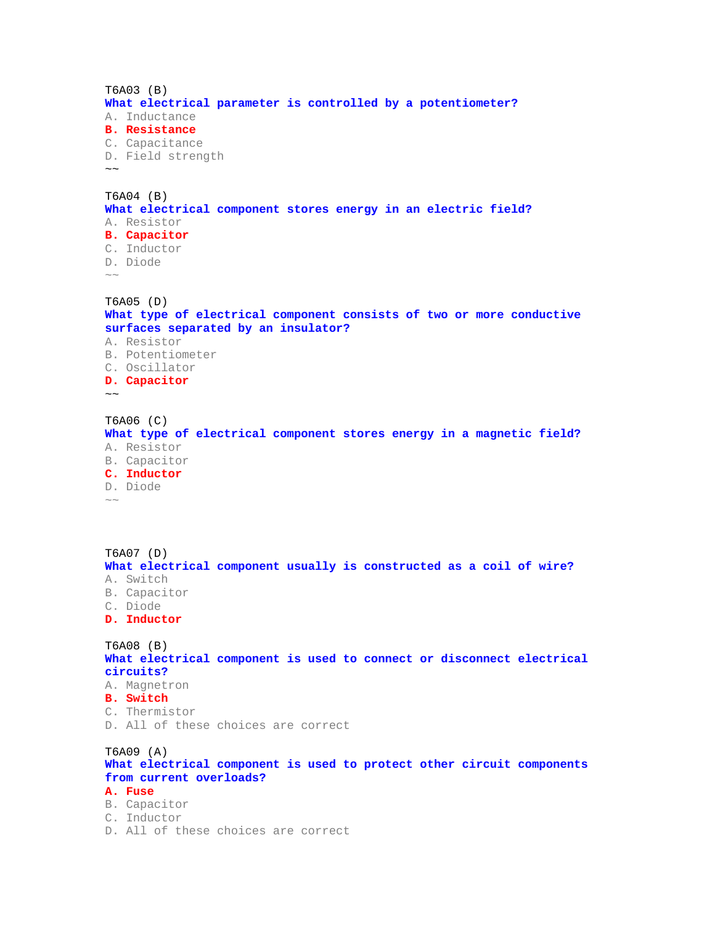```
T6A03 (B)
What electrical parameter is controlled by a potentiometer?
A. Inductance
B. Resistance
C. Capacitance
D. Field strength
\sim\!\simT6A04 (B)
What electrical component stores energy in an electric field?
A. Resistor
B. Capacitor
C. Inductor
D. Diode
\sim\:\simT6A05 (D)
What type of electrical component consists of two or more conductive
surfaces separated by an insulator?
A. Resistor
B. Potentiometer
C. Oscillator
D. Capacitor
\sim\, \simT6A06 (C)
What type of electrical component stores energy in a magnetic field?
A. Resistor
B. Capacitor
C. Inductor
D. Diode
\sim\,T6A07 (D)
What electrical component usually is constructed as a coil of wire?
A. Switch
B. Capacitor
C. Diode
D. Inductor
T6A08 (B)
What electrical component is used to connect or disconnect electrical
circuits?
A. Magnetron
B. Switch
C. Thermistor
D. All of these choices are correct
T6A09 (A)
What electrical component is used to protect other circuit components
from current overloads?
A. Fuse
B. Capacitor
C. Inductor
D. All of these choices are correct
```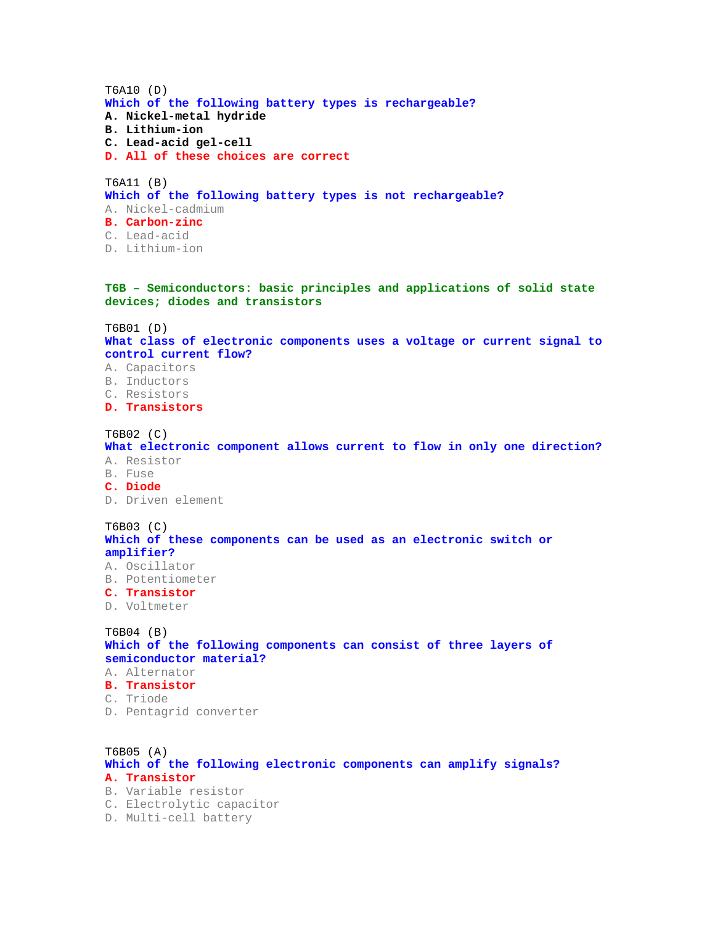```
T6A10 (D)
Which of the following battery types is rechargeable?
A. Nickel-metal hydride
B. Lithium-ion
C. Lead-acid gel-cell
D. All of these choices are correct
T6A11 (B)
Which of the following battery types is not rechargeable?
A. Nickel-cadmium
B. Carbon-zinc
C. Lead-acid
D. Lithium-ion
T6B – Semiconductors: basic principles and applications of solid state
devices; diodes and transistors
T6B01 (D)
What class of electronic components uses a voltage or current signal to
control current flow?
A. Capacitors
B. Inductors
C. Resistors
D. Transistors
T6B02 (C)
What electronic component allows current to flow in only one direction?
A. Resistor
B. Fuse
C. Diode
D. Driven element
T6B03 (C)
Which of these components can be used as an electronic switch or
amplifier?
A. Oscillator
B. Potentiometer
C. Transistor
D. Voltmeter
T6B04 (B)
Which of the following components can consist of three layers of
semiconductor material?
A. Alternator
B. Transistor
C. Triode
D. Pentagrid converter
T6B05 (A)
Which of the following electronic components can amplify signals?
```
## **A. Transistor**

- B. Variable resistor
- C. Electrolytic capacitor
- D. Multi-cell battery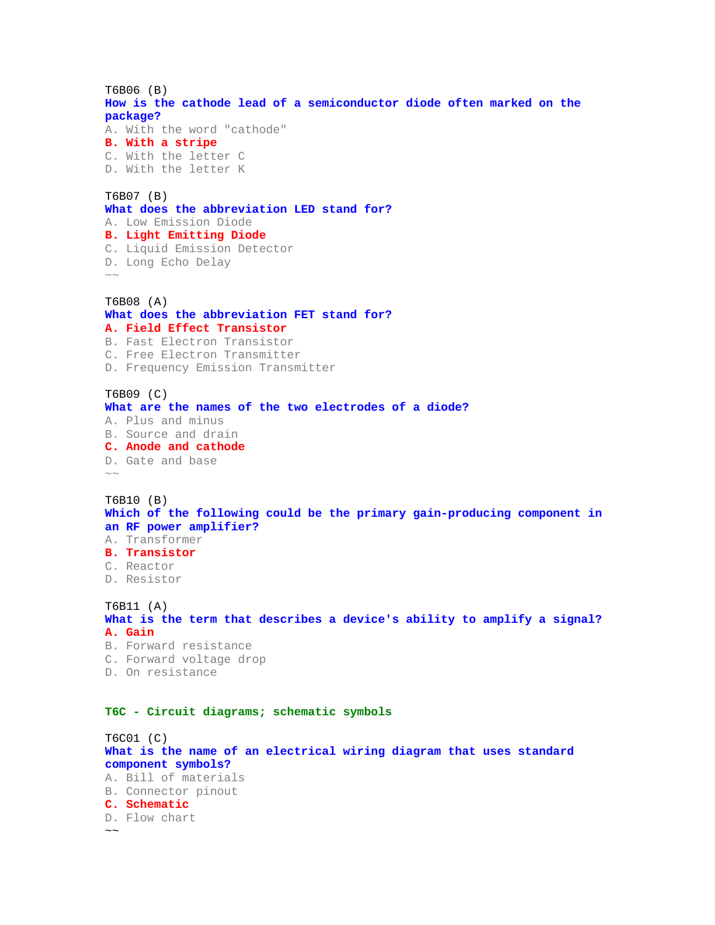```
T6B06 (B)
How is the cathode lead of a semiconductor diode often marked on the
package?
A. With the word "cathode"
B. With a stripe
C. With the letter C
D. With the letter K
T6B07 (B)
What does the abbreviation LED stand for?
A. Low Emission Diode
B. Light Emitting Diode
C. Liquid Emission Detector
D. Long Echo Delay
\sim\:\simT6B08 (A)
What does the abbreviation FET stand for?
A. Field Effect Transistor
B. Fast Electron Transistor
C. Free Electron Transmitter
D. Frequency Emission Transmitter
T6B09 (C)
What are the names of the two electrodes of a diode?
A. Plus and minus
B. Source and drain
C. Anode and cathode
D. Gate and base
~~~
T6B10 (B)
Which of the following could be the primary gain-producing component in
an RF power amplifier?
A. Transformer
B. Transistor
C. Reactor
D. Resistor
T6B11 (A)
What is the term that describes a device's ability to amplify a signal?
A. Gain
B. Forward resistance
C. Forward voltage drop
D. On resistance
T6C - Circuit diagrams; schematic symbols
T6C01 (C)
What is the name of an electrical wiring diagram that uses standard
component symbols?
A. Bill of materials
B. Connector pinout
C. Schematic
```

```
D. Flow chart
\sim ~
```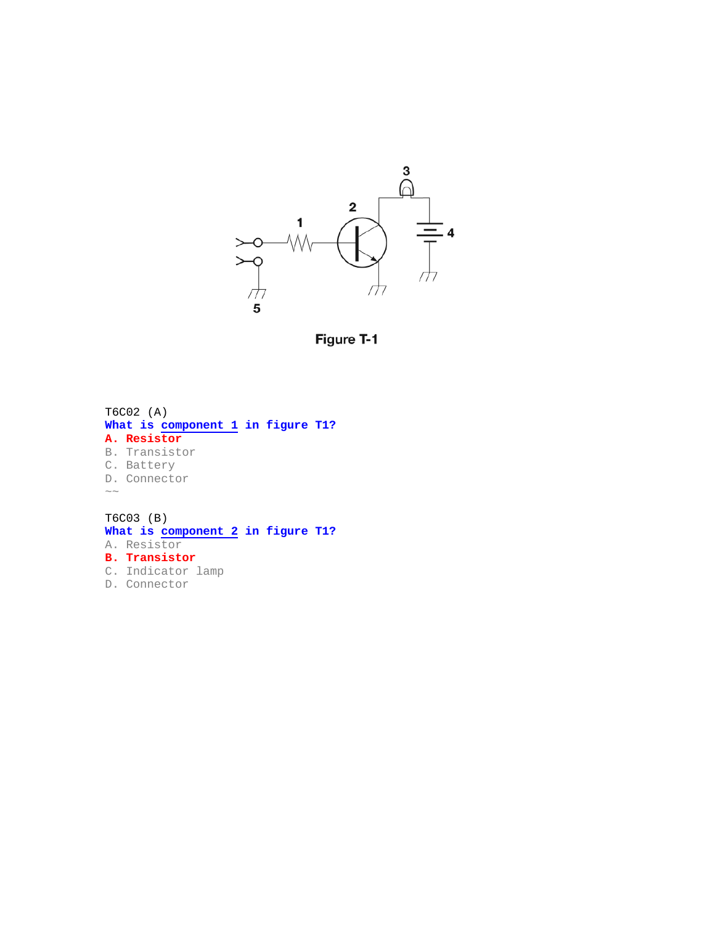

Figure T-1

## T6C02 (A) **What is component 1 in figure T1? A. Resistor** B. Transistor C. Battery D. Connector  $\sim\,$   $\sim$

T6C03 (B) **What is component 2 in figure T1?** A. Resistor **B. Transistor** C. Indicator lamp D. Connector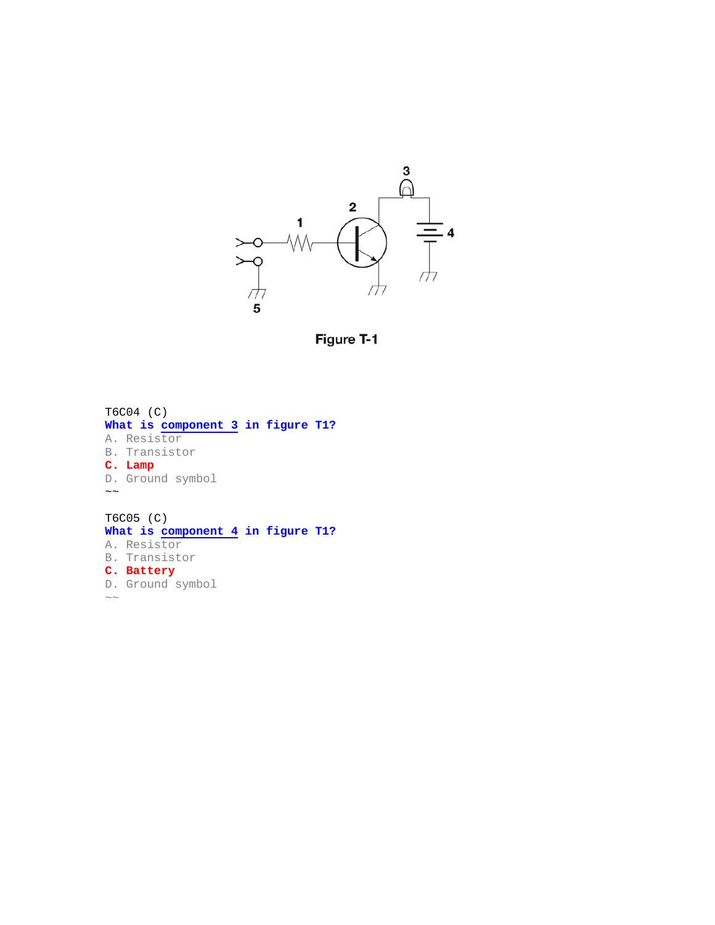

Figure T-1

T6C04 (C) **What is component 3 in figure T1?** A. Resistor B. Transistor **C. Lamp** D. Ground symbol  $\sim\, \sim$ T6C05 (C) **What is component 4 in figure T1?** A. Resistor B. Transistor **C. Battery** D. Ground symbol

 $\sim\,$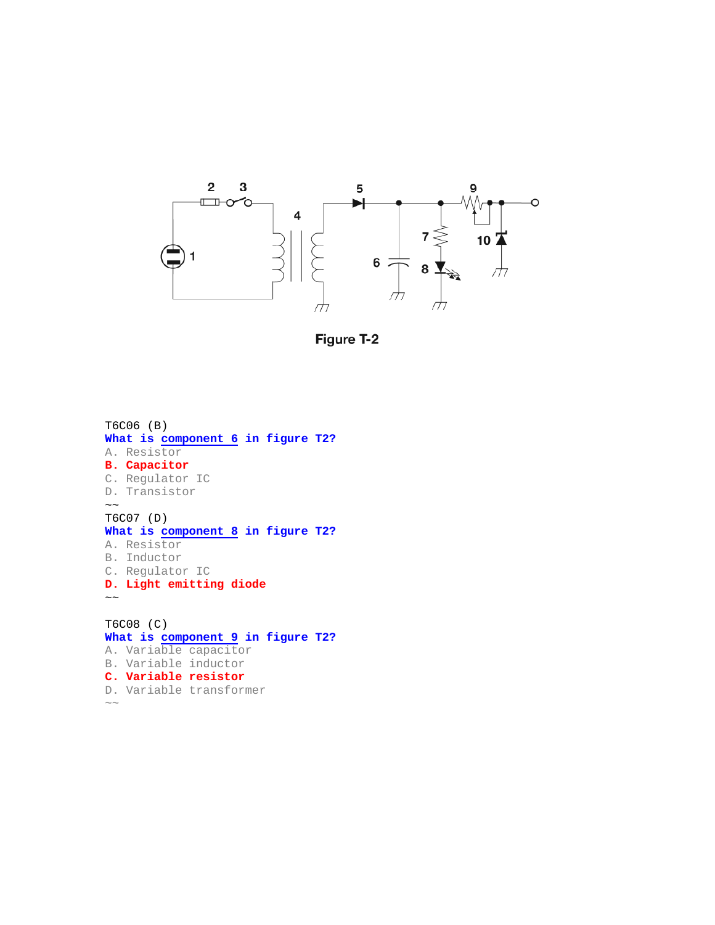

Figure T-2

T6C06 (B) **What is component 6 in figure T2?** A. Resistor **B. Capacitor** C. Regulator IC D. Transistor  $\sim\, \sim$ T6C07 (D) **What is component 8 in figure T2?** A. Resistor B. Inductor C. Regulator IC **D. Light emitting diode**  $\sim\sim$ T6C08 (C)

**What is component 9 in figure T2?** A. Variable capacitor B. Variable inductor **C. Variable resistor** D. Variable transformer  $\sim\, \sim$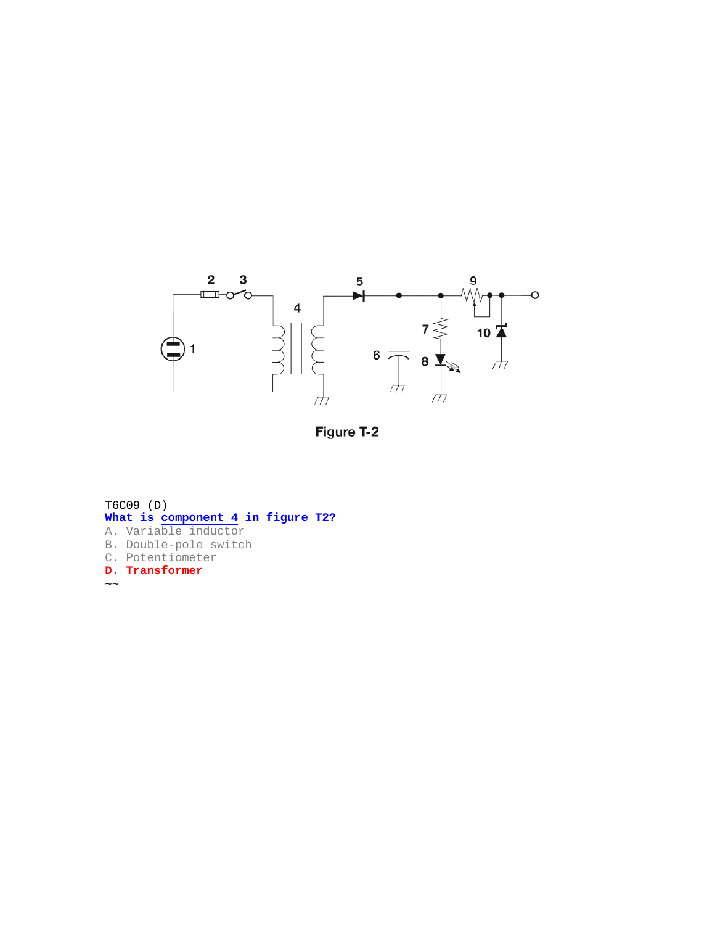

Figure T-2

## T6C09 (D) **What is component 4 in figure T2?** A. Variable inductor B. Double-pole switch C. Potentiometer **D. Transformer**

 $\sim$   $\sim$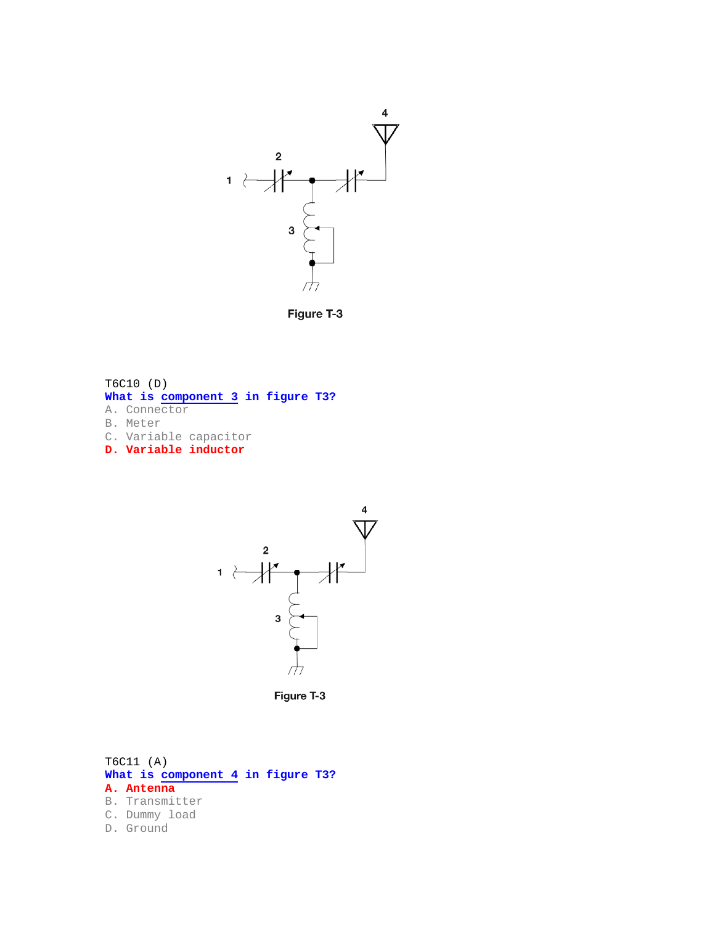



## T6C10 (D) **What is component 3 in figure T3?** A. Connector

- B. Meter
- C. Variable capacitor
- **D. Variable inductor**



Figure T-3

T6C11 (A) **What is component 4 in figure T3? A. Antenna** B. Transmitter C. Dummy load

D. Ground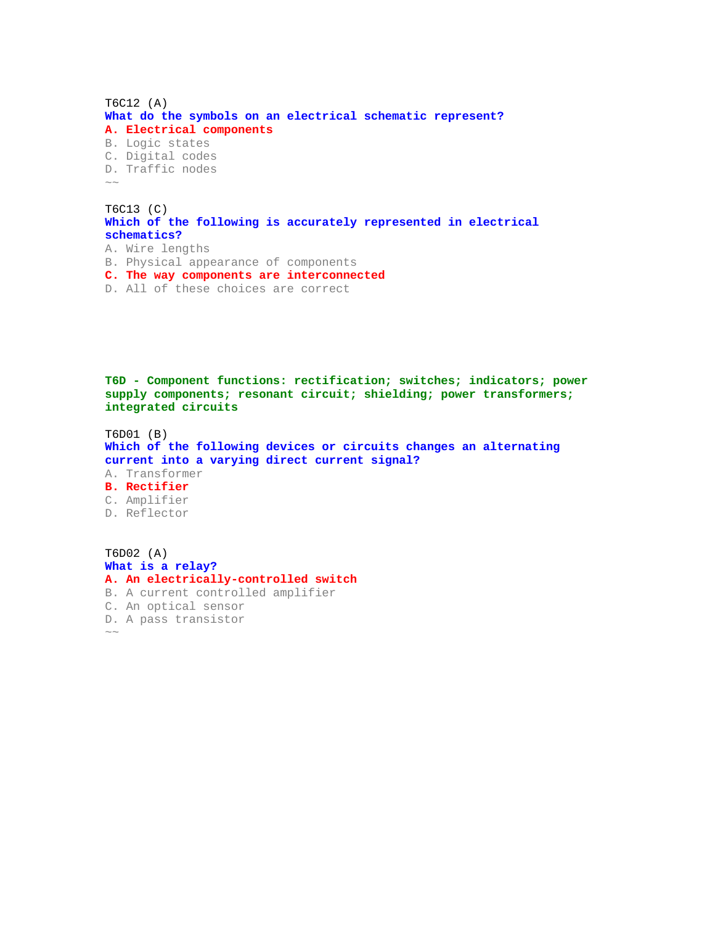```
T6C12 (A)
What do the symbols on an electrical schematic represent?
A. Electrical components
B. Logic states
C. Digital codes
D. Traffic nodes
\sim \simT6C13 (C)
Which of the following is accurately represented in electrical
```

```
schematics?
```
- A. Wire lengths
- B. Physical appearance of components
- **C. The way components are interconnected**
- D. All of these choices are correct

**T6D - Component functions: rectification; switches; indicators; power supply components; resonant circuit; shielding; power transformers; integrated circuits**

```
T6D01 (B)
Which of the following devices or circuits changes an alternating
current into a varying direct current signal?
A. Transformer
B. Rectifier
C. Amplifier
D. Reflector
```
T6D02 (A) **What is a relay? A. An electrically-controlled switch** B. A current controlled amplifier C. An optical sensor D. A pass transistor  $\sim\,$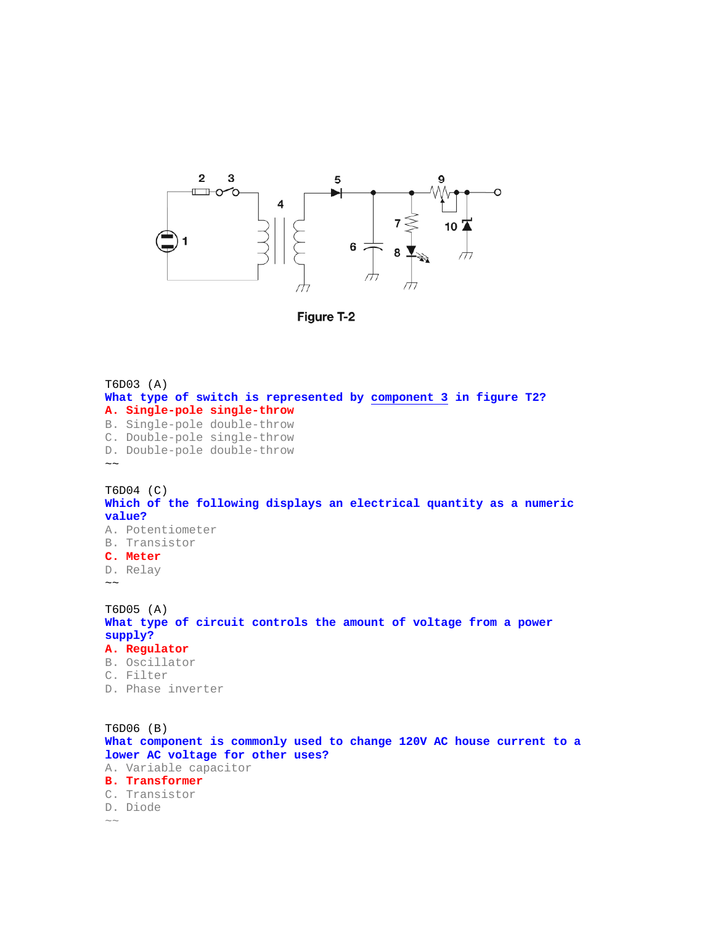

Figure T-2

```
T6D03 (A)
What type of switch is represented by component 3 in figure T2?
A. Single-pole single-throw
B. Single-pole double-throw
C. Double-pole single-throw
D. Double-pole double-throw
\sim\!\simT6D04 (C)
Which of the following displays an electrical quantity as a numeric
value?
A. Potentiometer
B. Transistor
C. Meter
D. Relay
\sim\, \simT6D05 (A)
What type of circuit controls the amount of voltage from a power
supply?
A. Regulator
B. Oscillator
C. Filter
D. Phase inverter
T6D06 (B)
What component is commonly used to change 120V AC house current to a
lower AC voltage for other uses?
A. Variable capacitor
B. Transformer
C. Transistor
D. Diode
```

```
\sim \sim
```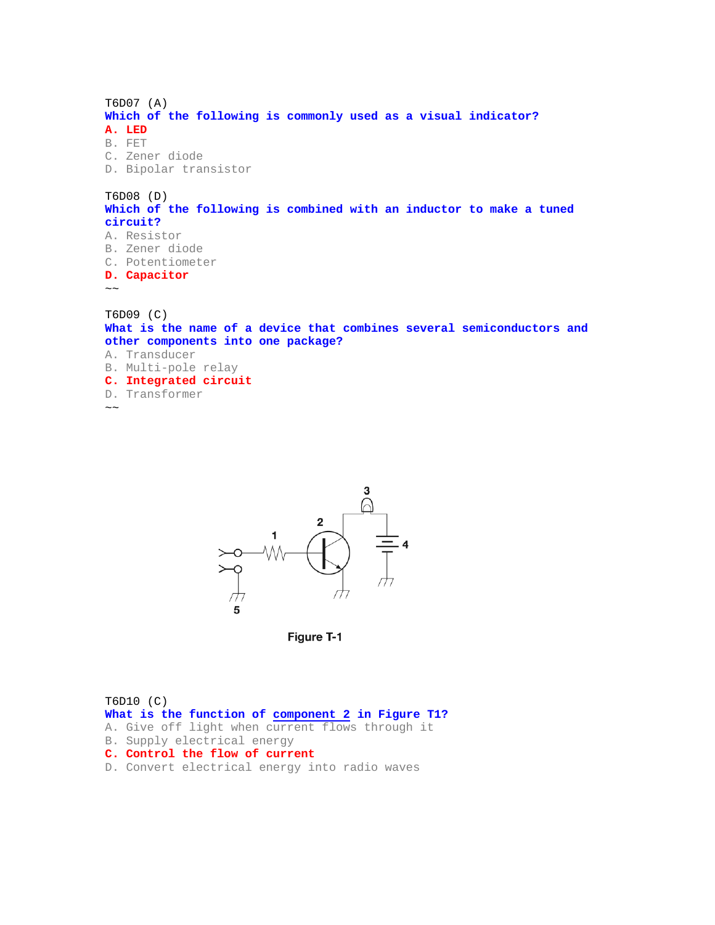```
T6D07 (A)
Which of the following is commonly used as a visual indicator?
A. LED
B. FET
C. Zener diode
D. Bipolar transistor
T6D08 (D)
```

```
Which of the following is combined with an inductor to make a tuned
circuit?
A. Resistor
```
- 
- B. Zener diode C. Potentiometer
- **D. Capacitor**
- $\sim\, \sim$

T6D09 (C)

**What is the name of a device that combines several semiconductors and other components into one package?**

- A. Transducer B. Multi-pole relay
- **C. Integrated circuit**
- D. Transformer
- $\sim$   $\sim$



Figure T-1

T6D10 (C) **What is the function of component 2 in Figure T1?** A. Give off light when current flows through it B. Supply electrical energy

- **C. Control the flow of current**
- D. Convert electrical energy into radio waves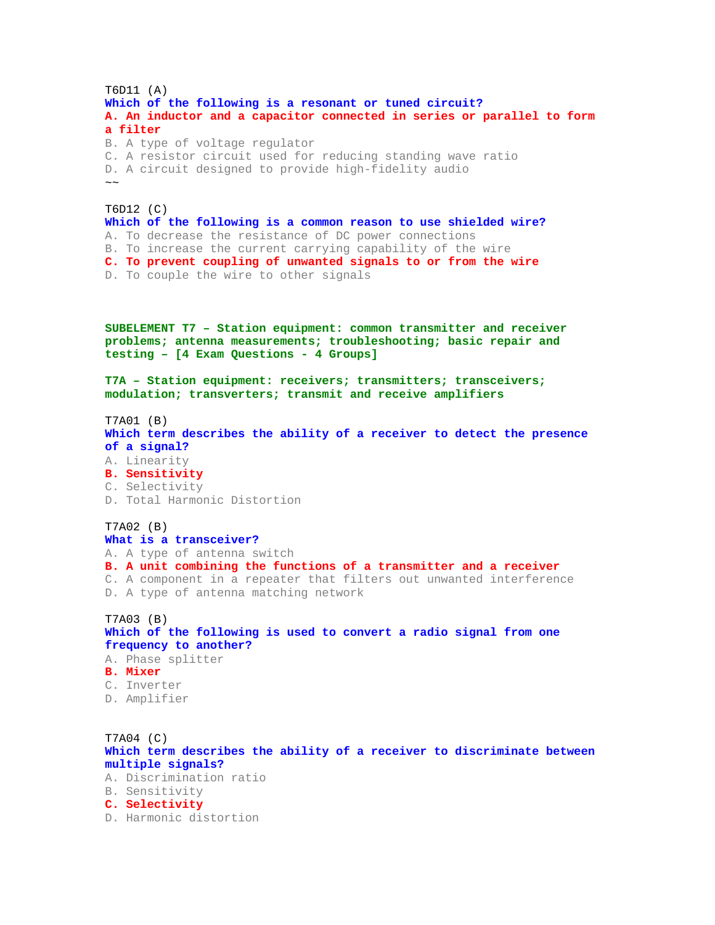T6D11 (A) **Which of the following is a resonant or tuned circuit? A. An inductor and a capacitor connected in series or parallel to form a filter** B. A type of voltage regulator C. A resistor circuit used for reducing standing wave ratio D. A circuit designed to provide high-fidelity audio  $\sim$  ~ T6D12 (C) **Which of the following is a common reason to use shielded wire?** A. To decrease the resistance of DC power connections B. To increase the current carrying capability of the wire **C. To prevent coupling of unwanted signals to or from the wire** D. To couple the wire to other signals **SUBELEMENT T7 – Station equipment: common transmitter and receiver problems; antenna measurements; troubleshooting; basic repair and testing – [4 Exam Questions - 4 Groups] T7A – Station equipment: receivers; transmitters; transceivers; modulation; transverters; transmit and receive amplifiers** T7A01 (B) **Which term describes the ability of a receiver to detect the presence of a signal?** A. Linearity **B. Sensitivity** C. Selectivity D. Total Harmonic Distortion T7A02 (B) **What is a transceiver?** A. A type of antenna switch **B. A unit combining the functions of a transmitter and a receiver** C. A component in a repeater that filters out unwanted interference D. A type of antenna matching network T7A03 (B) **Which of the following is used to convert a radio signal from one frequency to another?** A. Phase splitter **B. Mixer** C. Inverter D. Amplifier T7A04 (C) **Which term describes the ability of a receiver to discriminate between multiple signals?** A. Discrimination ratio B. Sensitivity **C. Selectivity** D. Harmonic distortion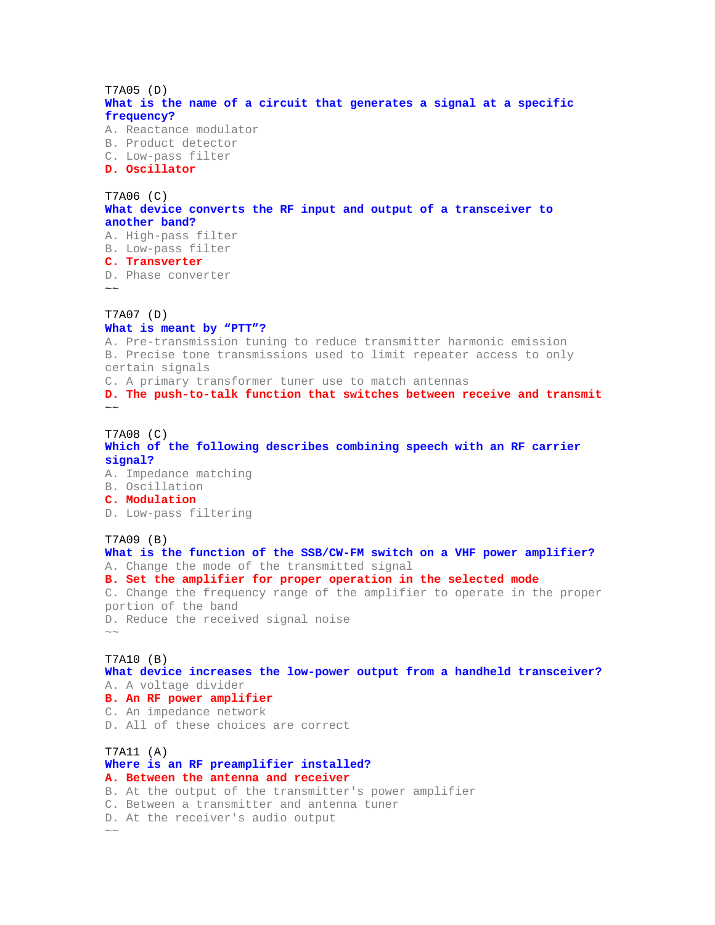```
T7A05 (D)
What is the name of a circuit that generates a signal at a specific
frequency?
A. Reactance modulator
B. Product detector
C. Low-pass filter
D. Oscillator
T7A06 (C)
What device converts the RF input and output of a transceiver to
another band?
A. High-pass filter
B. Low-pass filter
C. Transverter
D. Phase converter
\sim ~
T7A07 (D)
What is meant by "PTT"?
A. Pre-transmission tuning to reduce transmitter harmonic emission
B. Precise tone transmissions used to limit repeater access to only
certain signals
C. A primary transformer tuner use to match antennas
D. The push-to-talk function that switches between receive and transmit
\sim\simT7A08 (C)
Which of the following describes combining speech with an RF carrier
signal?
A. Impedance matching
B. Oscillation
C. Modulation
D. Low-pass filtering
T7A09 (B)
What is the function of the SSB/CW-FM switch on a VHF power amplifier?
A. Change the mode of the transmitted signal
B. Set the amplifier for proper operation in the selected mode
C. Change the frequency range of the amplifier to operate in the proper
portion of the band
D. Reduce the received signal noise
\sim\,T7A10 (B)
What device increases the low-power output from a handheld transceiver?
A. A voltage divider
B. An RF power amplifier
C. An impedance network
D. All of these choices are correct
T7A11 (A)
Where is an RF preamplifier installed?
A. Between the antenna and receiver
B. At the output of the transmitter's power amplifier
C. Between a transmitter and antenna tuner
D. At the receiver's audio output
\sim ~
```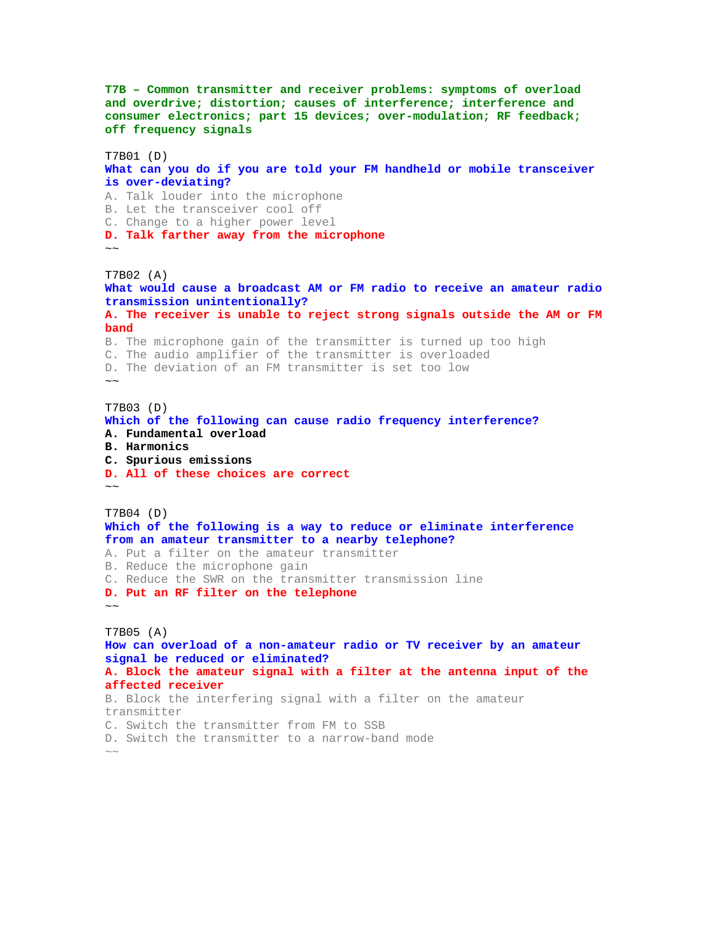**T7B – Common transmitter and receiver problems: symptoms of overload and overdrive; distortion; causes of interference; interference and consumer electronics; part 15 devices; over-modulation; RF feedback; off frequency signals** T7B01 (D) **What can you do if you are told your FM handheld or mobile transceiver is over-deviating?** A. Talk louder into the microphone B. Let the transceiver cool off C. Change to a higher power level **D. Talk farther away from the microphone**  $\sim\sim$ T7B02 (A) **What would cause a broadcast AM or FM radio to receive an amateur radio transmission unintentionally? A. The receiver is unable to reject strong signals outside the AM or FM band** B. The microphone gain of the transmitter is turned up too high C. The audio amplifier of the transmitter is overloaded D. The deviation of an FM transmitter is set too low  $\sim\sim$ T7B03 (D) **Which of the following can cause radio frequency interference? A. Fundamental overload B. Harmonics C. Spurious emissions D. All of these choices are correct**  $\sim$   $\sim$ T7B04 (D) **Which of the following is a way to reduce or eliminate interference from an amateur transmitter to a nearby telephone?** A. Put a filter on the amateur transmitter B. Reduce the microphone gain C. Reduce the SWR on the transmitter transmission line **D. Put an RF filter on the telephone**  $\sim\sim$ T7B05 (A) **How can overload of a non-amateur radio or TV receiver by an amateur signal be reduced or eliminated? A. Block the amateur signal with a filter at the antenna input of the affected receiver** B. Block the interfering signal with a filter on the amateur transmitter C. Switch the transmitter from FM to SSB D. Switch the transmitter to a narrow-band mode  $\sim\,$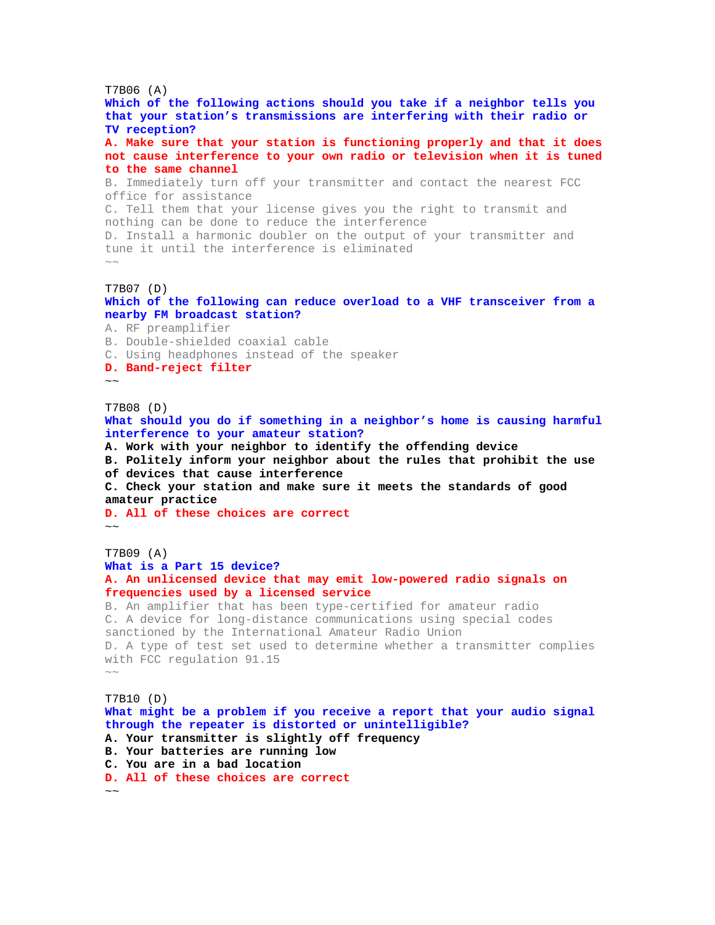T7B06 (A) **Which of the following actions should you take if a neighbor tells you that your station's transmissions are interfering with their radio or TV reception? A. Make sure that your station is functioning properly and that it does not cause interference to your own radio or television when it is tuned to the same channel** B. Immediately turn off your transmitter and contact the nearest FCC office for assistance C. Tell them that your license gives you the right to transmit and nothing can be done to reduce the interference D. Install a harmonic doubler on the output of your transmitter and tune it until the interference is eliminated  $\sim\ \sim$ T7B07 (D) **Which of the following can reduce overload to a VHF transceiver from a nearby FM broadcast station?** A. RF preamplifier B. Double-shielded coaxial cable C. Using headphones instead of the speaker **D. Band-reject filter**  $\sim\sim$ T7B08 (D) **What should you do if something in a neighbor's home is causing harmful interference to your amateur station? A. Work with your neighbor to identify the offending device B. Politely inform your neighbor about the rules that prohibit the use of devices that cause interference C. Check your station and make sure it meets the standards of good amateur practice D. All of these choices are correct**  $\sim\sim$ T7B09 (A) **What is a Part 15 device? A. An unlicensed device that may emit low-powered radio signals on frequencies used by a licensed service** B. An amplifier that has been type-certified for amateur radio C. A device for long-distance communications using special codes sanctioned by the International Amateur Radio Union D. A type of test set used to determine whether a transmitter complies with FCC regulation 91.15  $\sim\sim$ T7B10 (D) **What might be a problem if you receive a report that your audio signal through the repeater is distorted or unintelligible? A. Your transmitter is slightly off frequency B. Your batteries are running low C. You are in a bad location D. All of these choices are correct**  $\sim\sim$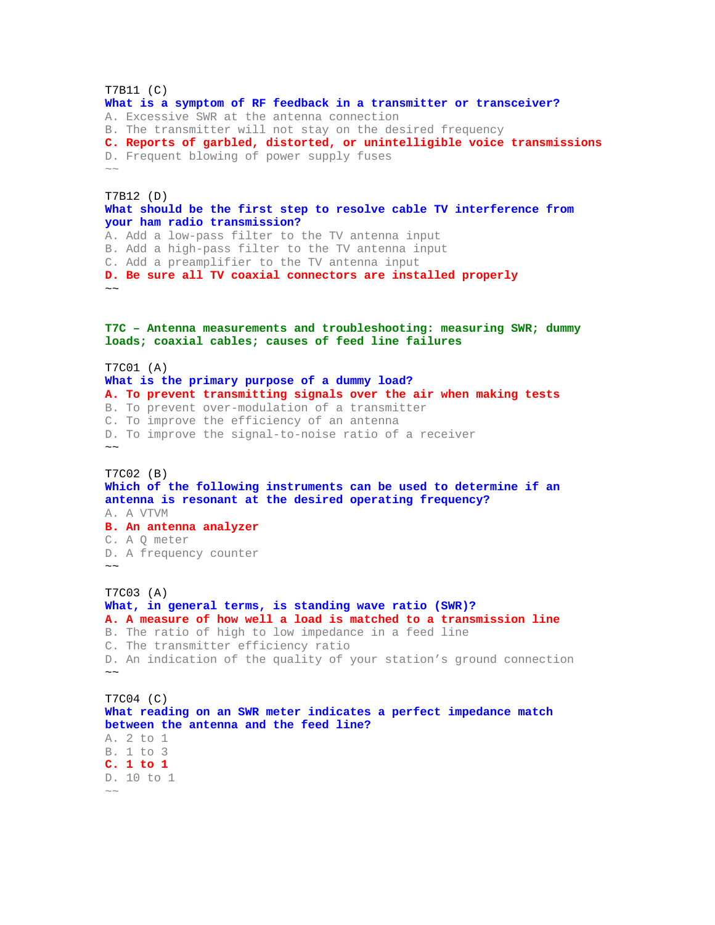```
T7B11 (C)
What is a symptom of RF feedback in a transmitter or transceiver?
A. Excessive SWR at the antenna connection
B. The transmitter will not stay on the desired frequency
C. Reports of garbled, distorted, or unintelligible voice transmissions
D. Frequent blowing of power supply fuses
\sim\,T7B12 (D)
What should be the first step to resolve cable TV interference from
your ham radio transmission?
A. Add a low-pass filter to the TV antenna input
B. Add a high-pass filter to the TV antenna input
C. Add a preamplifier to the TV antenna input
D. Be sure all TV coaxial connectors are installed properly
\sim ~
T7C – Antenna measurements and troubleshooting: measuring SWR; dummy
loads; coaxial cables; causes of feed line failures
T7C01 (A)
What is the primary purpose of a dummy load?
A. To prevent transmitting signals over the air when making tests
B. To prevent over-modulation of a transmitter
C. To improve the efficiency of an antenna
D. To improve the signal-to-noise ratio of a receiver
\sim \simT7C02 (B)
Which of the following instruments can be used to determine if an
antenna is resonant at the desired operating frequency?
A. A VTVM
B. An antenna analyzer
C. A Q meter
D. A frequency counter
\sim \simT7C03 (A)
What, in general terms, is standing wave ratio (SWR)?
A. A measure of how well a load is matched to a transmission line
B. The ratio of high to low impedance in a feed line
C. The transmitter efficiency ratio
D. An indication of the quality of your station's ground connection
\sim ~
T7C04 (C)
What reading on an SWR meter indicates a perfect impedance match
between the antenna and the feed line?
A. 2 to 1
B. 1 to 3
C. 1 to 1
D. 10 to 1
```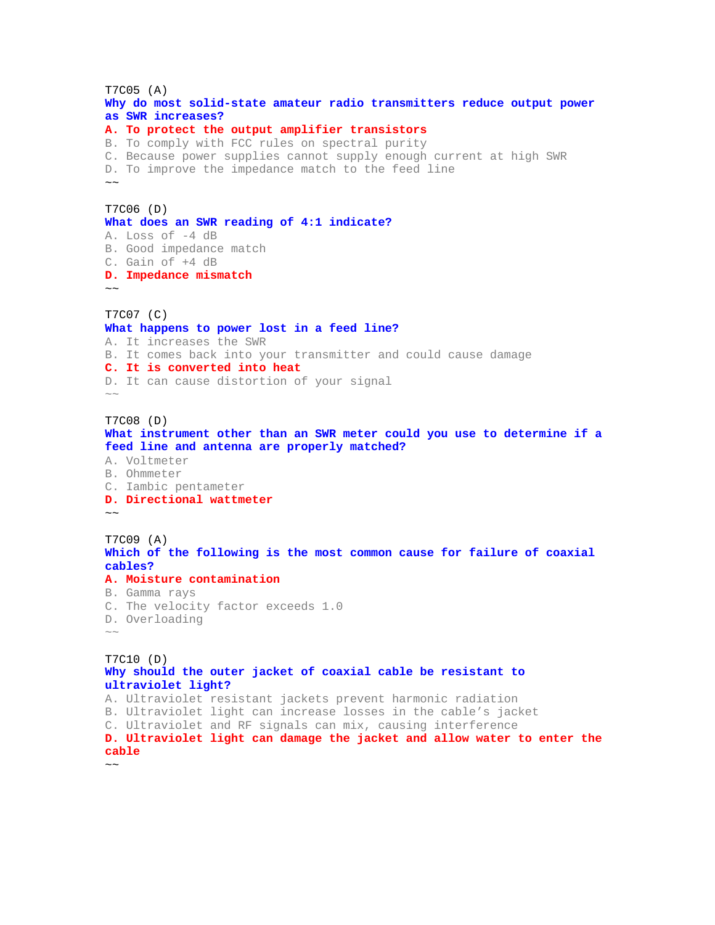```
T7C05 (A)
Why do most solid-state amateur radio transmitters reduce output power
as SWR increases?
A. To protect the output amplifier transistors
B. To comply with FCC rules on spectral purity
C. Because power supplies cannot supply enough current at high SWR
D. To improve the impedance match to the feed line
\sim \simT7C06 (D)
What does an SWR reading of 4:1 indicate?
A. Loss of -4 dB
B. Good impedance match
C. Gain of +4 dB
D. Impedance mismatch
\sim\simT7C07 (C)
What happens to power lost in a feed line?
A. It increases the SWR
B. It comes back into your transmitter and could cause damage
C. It is converted into heat
D. It can cause distortion of your signal
\sim\,T7C08 (D)
What instrument other than an SWR meter could you use to determine if a
feed line and antenna are properly matched?
A. Voltmeter
B. Ohmmeter
C. Iambic pentameter
D. Directional wattmeter
\sim\simT7C09 (A)
Which of the following is the most common cause for failure of coaxial
cables?
A. Moisture contamination
B. Gamma rays
C. The velocity factor exceeds 1.0
D. Overloading
\sim\,T7C10 (D)
Why should the outer jacket of coaxial cable be resistant to
ultraviolet light?
A. Ultraviolet resistant jackets prevent harmonic radiation
B. Ultraviolet light can increase losses in the cable's jacket
C. Ultraviolet and RF signals can mix, causing interference
D. Ultraviolet light can damage the jacket and allow water to enter the
cable
\sim \sim
```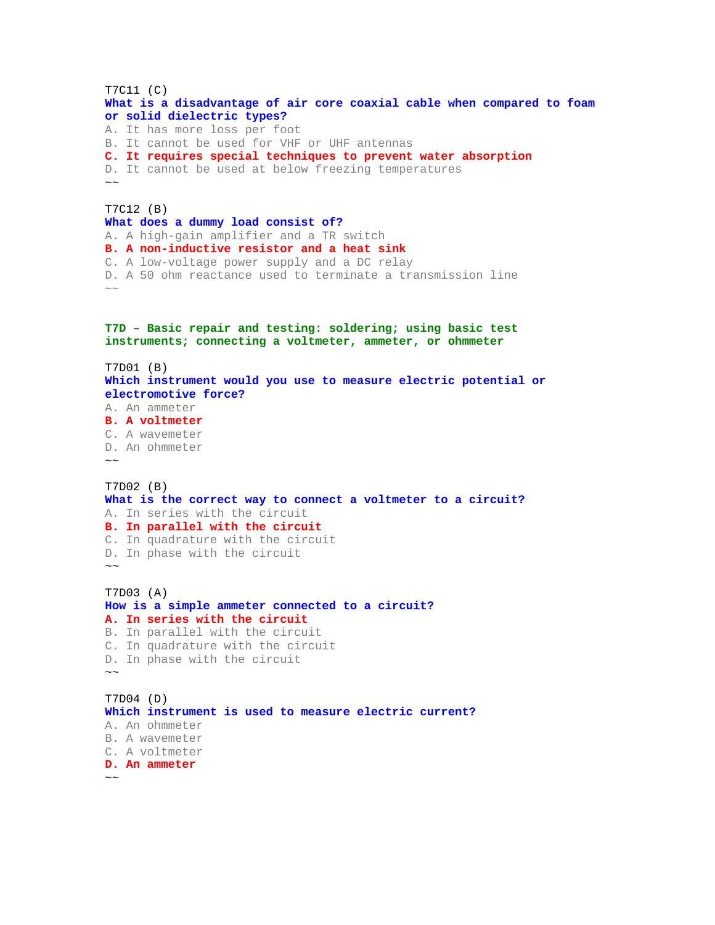```
T7C11 (C)
What is a disadvantage of air core coaxial cable when compared to foam
or solid dielectric types?
A. It has more loss per foot
B. It cannot be used for VHF or UHF antennas
C. It requires special techniques to prevent water absorption
D. It cannot be used at below freezing temperatures
\sim\simT7C12 (B)
What does a dummy load consist of?
A. A high-gain amplifier and a TR switch
B. A non-inductive resistor and a heat sink
C. A low-voltage power supply and a DC relay
D. A 50 ohm reactance used to terminate a transmission line
\sim ~~
T7D – Basic repair and testing: soldering; using basic test
instruments; connecting a voltmeter, ammeter, or ohmmeter
T7D01 (B)
Which instrument would you use to measure electric potential or
electromotive force?
A. An ammeter
B. A voltmeter
C. A wavemeter
D. An ohmmeter
\sim ~
T7D02 (B)
What is the correct way to connect a voltmeter to a circuit?
A. In series with the circuit
B. In parallel with the circuit
C. In quadrature with the circuit
D. In phase with the circuit
\sim\simT7D03 (A)
How is a simple ammeter connected to a circuit?
A. In series with the circuit
B. In parallel with the circuit
C. In quadrature with the circuit
D. In phase with the circuit
\sim ~
T7D04 (D)
Which instrument is used to measure electric current?
A. An ohmmeter
B. A wavemeter
C. A voltmeter
D. An ammeter
\sim \sim
```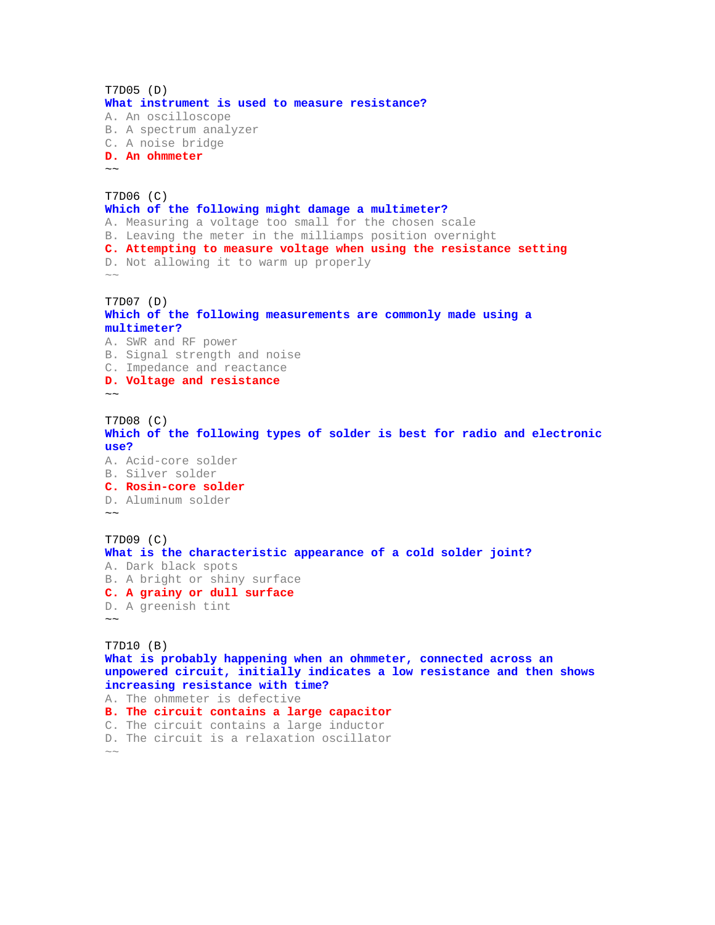T7D05 (D) **What instrument is used to measure resistance?** A. An oscilloscope B. A spectrum analyzer C. A noise bridge **D. An ohmmeter**  $\sim\sim$ T7D06 (C) **Which of the following might damage a multimeter?** A. Measuring a voltage too small for the chosen scale B. Leaving the meter in the milliamps position overnight **C. Attempting to measure voltage when using the resistance setting** D. Not allowing it to warm up properly  $\sim\,$   $\sim$ T7D07 (D) **Which of the following measurements are commonly made using a multimeter?** A. SWR and RF power B. Signal strength and noise C. Impedance and reactance **D. Voltage and resistance**  $\sim\, \sim$ T7D08 (C) **Which of the following types of solder is best for radio and electronic use?** A. Acid-core solder B. Silver solder **C. Rosin-core solder** D. Aluminum solder  $\sim$   $\sim$ T7D09 (C) **What is the characteristic appearance of a cold solder joint?** A. Dark black spots B. A bright or shiny surface **C. A grainy or dull surface** D. A greenish tint  $\sim$  ~ T7D10 (B) **What is probably happening when an ohmmeter, connected across an unpowered circuit, initially indicates a low resistance and then shows increasing resistance with time?** A. The ohmmeter is defective **B. The circuit contains a large capacitor** C. The circuit contains a large inductor D. The circuit is a relaxation oscillator  $\sim\,$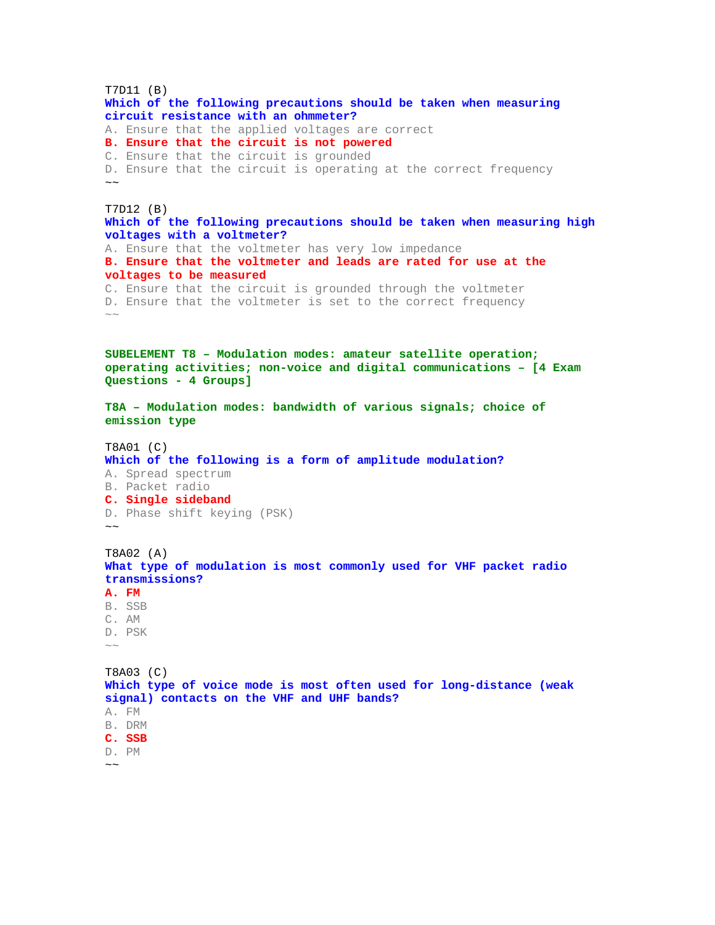```
T7D11 (B)
Which of the following precautions should be taken when measuring
circuit resistance with an ohmmeter?
A. Ensure that the applied voltages are correct
B. Ensure that the circuit is not powered
C. Ensure that the circuit is grounded
D. Ensure that the circuit is operating at the correct frequency
\sim\simT7D12 (B)
Which of the following precautions should be taken when measuring high
voltages with a voltmeter?
A. Ensure that the voltmeter has very low impedance
B. Ensure that the voltmeter and leads are rated for use at the
voltages to be measured
C. Ensure that the circuit is grounded through the voltmeter
D. Ensure that the voltmeter is set to the correct frequency
\sim\,SUBELEMENT T8 – Modulation modes: amateur satellite operation;
operating activities; non-voice and digital communications – [4 Exam
Questions - 4 Groups]
T8A – Modulation modes: bandwidth of various signals; choice of
emission type
T8A01 (C)
Which of the following is a form of amplitude modulation?
A. Spread spectrum
B. Packet radio
C. Single sideband
D. Phase shift keying (PSK)
\sim\simT8A02 (A)
What type of modulation is most commonly used for VHF packet radio
transmissions?
A. FM
B. SSB
C. AM
D. PSK
\sim\simT8A03 (C)
Which type of voice mode is most often used for long-distance (weak
signal) contacts on the VHF and UHF bands?
A. FM
B. DRM
C. SSB
D. PM
\sim ~
```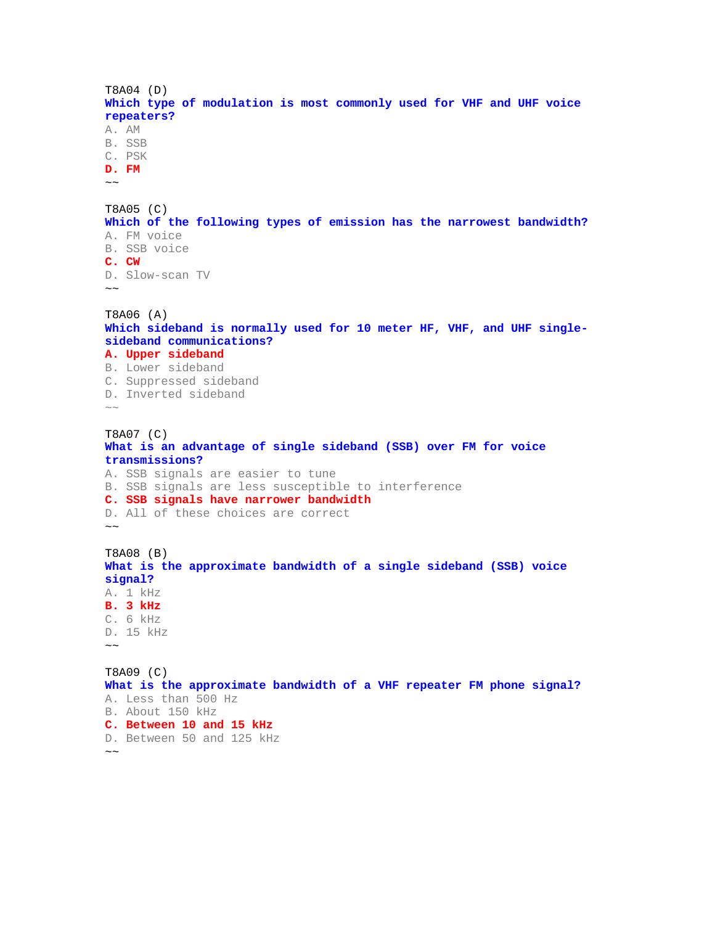T8A04 (D) **Which type of modulation is most commonly used for VHF and UHF voice repeaters?** A. AM B. SSB C. PSK **D. FM**  $\sim\sim$ T8A05 (C) **Which of the following types of emission has the narrowest bandwidth?** A. FM voice B. SSB voice **C. CW** D. Slow-scan TV  $\sim$  ~ T8A06 (A) **Which sideband is normally used for 10 meter HF, VHF, and UHF singlesideband communications? A. Upper sideband** B. Lower sideband C. Suppressed sideband D. Inverted sideband  $\sim\,$   $\sim$ T8A07 (C) **What is an advantage of single sideband (SSB) over FM for voice transmissions?** A. SSB signals are easier to tune B. SSB signals are less susceptible to interference **C. SSB signals have narrower bandwidth** D. All of these choices are correct  $\sim\, \sim$ T8A08 (B) **What is the approximate bandwidth of a single sideband (SSB) voice signal?** A. 1 kHz **B. 3 kHz** C. 6 kHz D. 15 kHz  $\sim$  ~ T8A09 (C) **What is the approximate bandwidth of a VHF repeater FM phone signal?** A. Less than 500 Hz B. About 150 kHz **C. Between 10 and 15 kHz** D. Between 50 and 125 kHz ~~~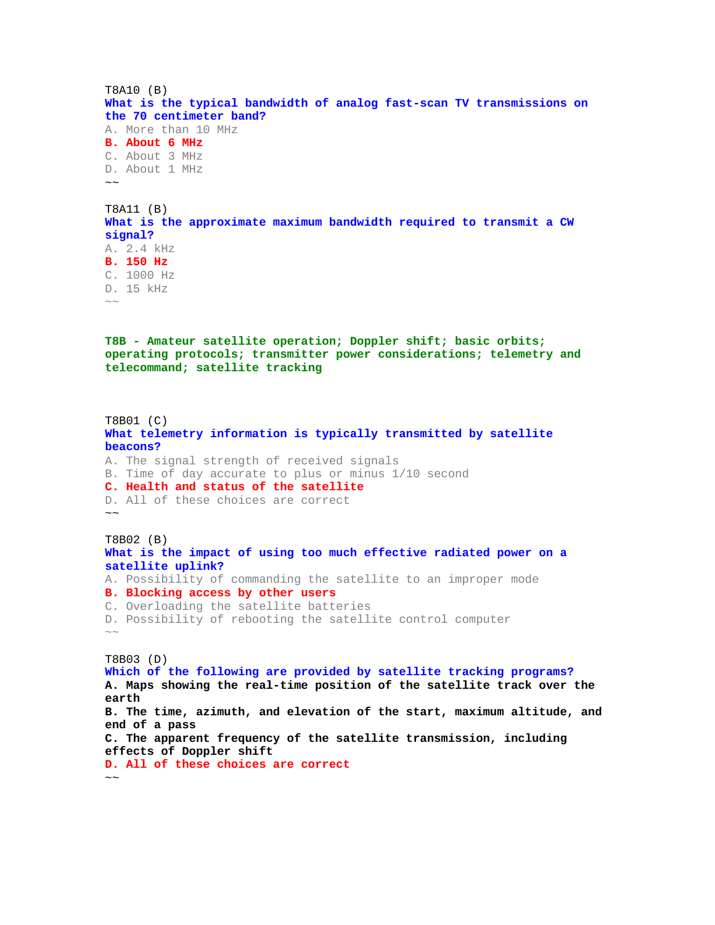```
T8A10 (B)
What is the typical bandwidth of analog fast-scan TV transmissions on
the 70 centimeter band?
A. More than 10 MHz
B. About 6 MHz
C. About 3 MHz
D. About 1 MHz
\sim ~
T8A11 (B)
What is the approximate maximum bandwidth required to transmit a CW
signal?
A. 2.4 kHz
B. 150 Hz
C. 1000 Hz
D. 15 kHz
\sim\,T8B - Amateur satellite operation; Doppler shift; basic orbits;
operating protocols; transmitter power considerations; telemetry and
telecommand; satellite tracking
T8B01 (C)
What telemetry information is typically transmitted by satellite
beacons?
A. The signal strength of received signals
B. Time of day accurate to plus or minus 1/10 second
C. Health and status of the satellite
D. All of these choices are correct
\sim\simT8B02 (B)
What is the impact of using too much effective radiated power on a
satellite uplink?
A. Possibility of commanding the satellite to an improper mode
B. Blocking access by other users
C. Overloading the satellite batteries
D. Possibility of rebooting the satellite control computer
\sim\,T8B03 (D)
Which of the following are provided by satellite tracking programs?
A. Maps showing the real-time position of the satellite track over the
earth
B. The time, azimuth, and elevation of the start, maximum altitude, and
end of a pass
C. The apparent frequency of the satellite transmission, including
effects of Doppler shift
D. All of these choices are correct
\sim \sim
```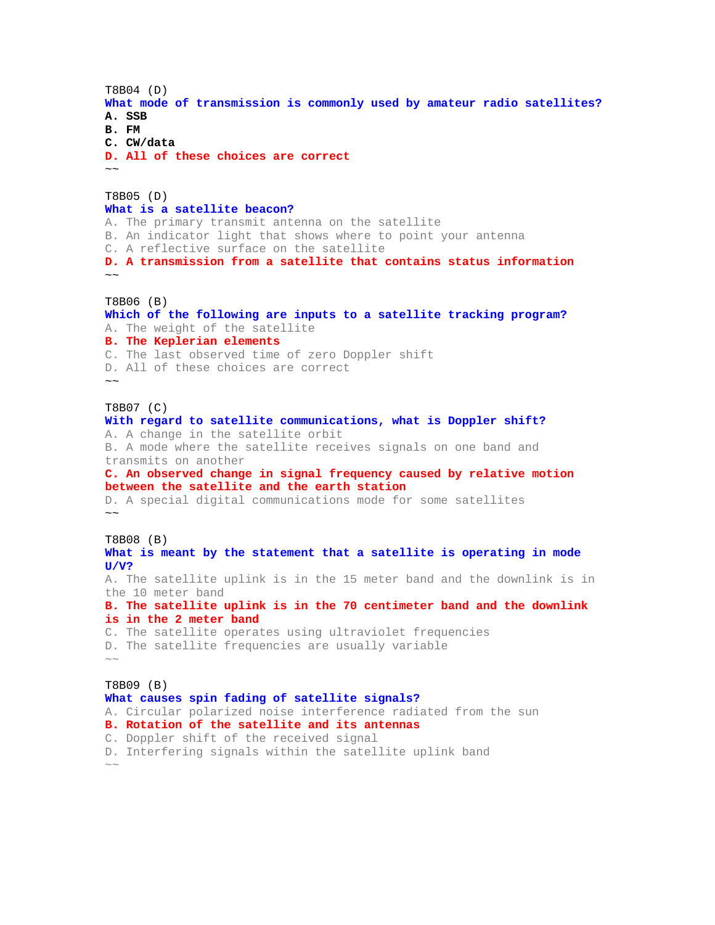T8B04 (D) **What mode of transmission is commonly used by amateur radio satellites? A. SSB B. FM C. CW/data D. All of these choices are correct**  $\sim$   $\sim$ T8B05 (D) **What is a satellite beacon?** A. The primary transmit antenna on the satellite B. An indicator light that shows where to point your antenna C. A reflective surface on the satellite **D. A transmission from a satellite that contains status information**  $\sim$  ~ T8B06 (B) **Which of the following are inputs to a satellite tracking program?** A. The weight of the satellite **B. The Keplerian elements** C. The last observed time of zero Doppler shift D. All of these choices are correct  $\sim\sim$ T8B07 (C) **With regard to satellite communications, what is Doppler shift?** A. A change in the satellite orbit B. A mode where the satellite receives signals on one band and transmits on another **C. An observed change in signal frequency caused by relative motion between the satellite and the earth station** D. A special digital communications mode for some satellites  $\sim\sim$ T8B08 (B) **What is meant by the statement that a satellite is operating in mode U/V?** A. The satellite uplink is in the 15 meter band and the downlink is in the 10 meter band **B. The satellite uplink is in the 70 centimeter band and the downlink is in the 2 meter band** C. The satellite operates using ultraviolet frequencies D. The satellite frequencies are usually variable  $\sim$   $\sim$ T8B09 (B) **What causes spin fading of satellite signals?** A. Circular polarized noise interference radiated from the sun **B. Rotation of the satellite and its antennas** C. Doppler shift of the received signal D. Interfering signals within the satellite uplink band

 $\sim\,$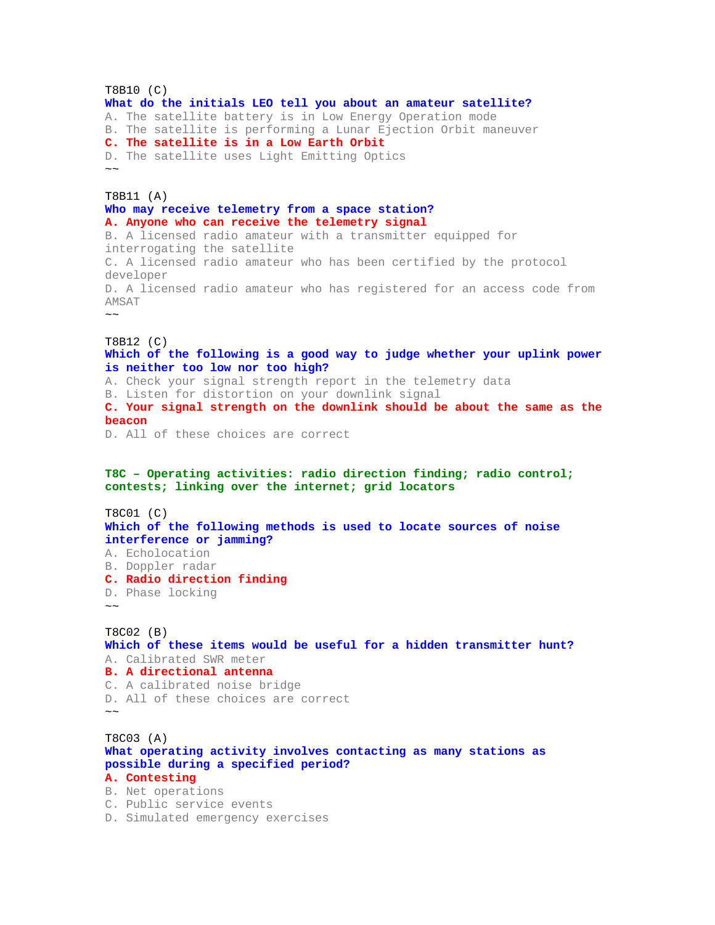T8B10 (C) **What do the initials LEO tell you about an amateur satellite?** A. The satellite battery is in Low Energy Operation mode B. The satellite is performing a Lunar Ejection Orbit maneuver **C. The satellite is in a Low Earth Orbit** D. The satellite uses Light Emitting Optics  $\sim\sim$ T8B11 (A) **Who may receive telemetry from a space station? A. Anyone who can receive the telemetry signal** B. A licensed radio amateur with a transmitter equipped for interrogating the satellite C. A licensed radio amateur who has been certified by the protocol developer D. A licensed radio amateur who has registered for an access code from AMSAT  $\sim\sim$ T8B12 (C) **Which of the following is a good way to judge whether your uplink power is neither too low nor too high?** A. Check your signal strength report in the telemetry data B. Listen for distortion on your downlink signal **C. Your signal strength on the downlink should be about the same as the beacon** D. All of these choices are correct **T8C – Operating activities: radio direction finding; radio control; contests; linking over the internet; grid locators** T8C01 (C) **Which of the following methods is used to locate sources of noise interference or jamming?** A. Echolocation B. Doppler radar **C. Radio direction finding** D. Phase locking  $\sim\sim$ T8C02 (B) **Which of these items would be useful for a hidden transmitter hunt?** A. Calibrated SWR meter **B. A directional antenna** C. A calibrated noise bridge D. All of these choices are correct  $\sim\sim$ T8C03 (A) **What operating activity involves contacting as many stations as possible during a specified period? A. Contesting** B. Net operations C. Public service events D. Simulated emergency exercises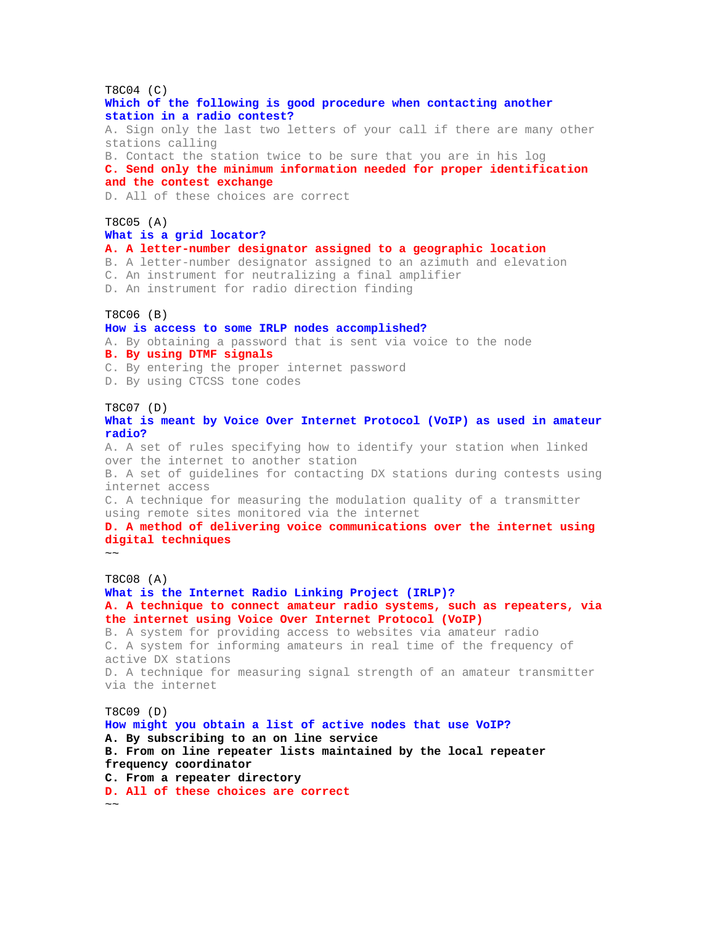```
T8C04 (C)
Which of the following is good procedure when contacting another
station in a radio contest?
A. Sign only the last two letters of your call if there are many other
stations calling
B. Contact the station twice to be sure that you are in his log
C. Send only the minimum information needed for proper identification
and the contest exchange
D. All of these choices are correct
T8C05 (A)
What is a grid locator?
A. A letter-number designator assigned to a geographic location
B. A letter-number designator assigned to an azimuth and elevation
C. An instrument for neutralizing a final amplifier
D. An instrument for radio direction finding
T8C06 (B)
How is access to some IRLP nodes accomplished?
A. By obtaining a password that is sent via voice to the node
B. By using DTMF signals
C. By entering the proper internet password
D. By using CTCSS tone codes
T8C07 (D)
What is meant by Voice Over Internet Protocol (VoIP) as used in amateur
radio?
A. A set of rules specifying how to identify your station when linked
over the internet to another station
B. A set of guidelines for contacting DX stations during contests using
internet access
C. A technique for measuring the modulation quality of a transmitter
using remote sites monitored via the internet
D. A method of delivering voice communications over the internet using
digital techniques
\sim\simT8C08 (A)
What is the Internet Radio Linking Project (IRLP)?
A. A technique to connect amateur radio systems, such as repeaters, via
the internet using Voice Over Internet Protocol (VoIP)
B. A system for providing access to websites via amateur radio
C. A system for informing amateurs in real time of the frequency of
active DX stations
D. A technique for measuring signal strength of an amateur transmitter
via the internet
T8C09 (D)
How might you obtain a list of active nodes that use VoIP?
A. By subscribing to an on line service
B. From on line repeater lists maintained by the local repeater
frequency coordinator
C. From a repeater directory
D. All of these choices are correct
\sim \sim
```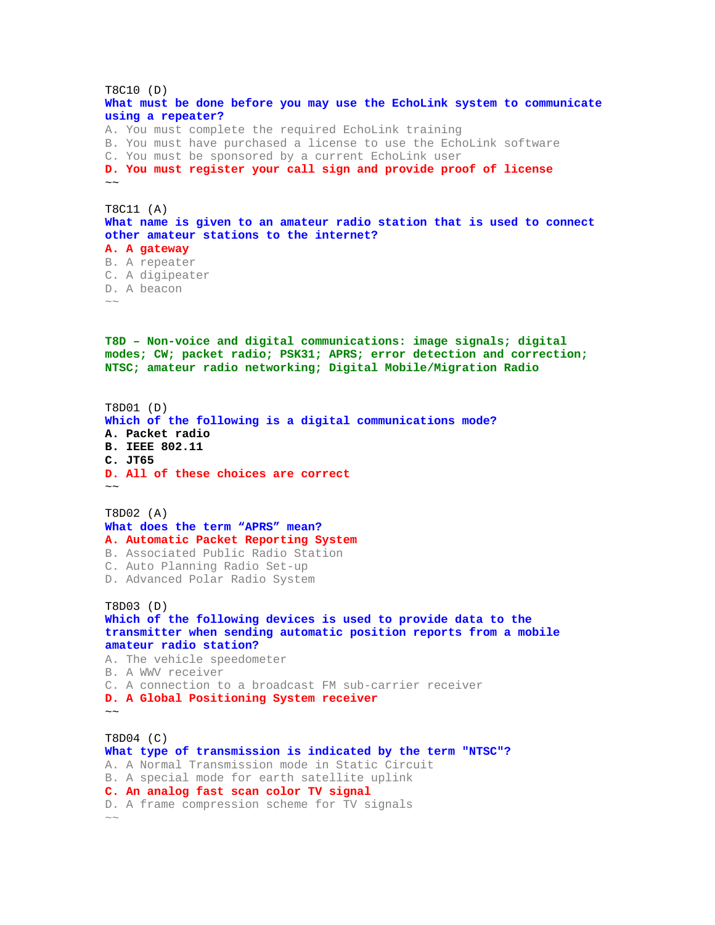```
T8C10 (D)
What must be done before you may use the EchoLink system to communicate
using a repeater?
A. You must complete the required EchoLink training
B. You must have purchased a license to use the EchoLink software
C. You must be sponsored by a current EchoLink user
D. You must register your call sign and provide proof of license
\sim ~
T8C11 (A)
What name is given to an amateur radio station that is used to connect
other amateur stations to the internet?
A. A gateway
B. A repeater
C. A digipeater
D. A beacon
\sim\,T8D – Non-voice and digital communications: image signals; digital
modes; CW; packet radio; PSK31; APRS; error detection and correction;
NTSC; amateur radio networking; Digital Mobile/Migration Radio
T8D01 (D)
Which of the following is a digital communications mode?
A. Packet radio
B. IEEE 802.11
C. JT65
D. All of these choices are correct
\sim \simT8D02 (A)
What does the term "APRS" mean?
A. Automatic Packet Reporting System
B. Associated Public Radio Station
C. Auto Planning Radio Set-up
D. Advanced Polar Radio System
T8D03 (D)
Which of the following devices is used to provide data to the
transmitter when sending automatic position reports from a mobile
amateur radio station?
A. The vehicle speedometer
B. A WWV receiver
C. A connection to a broadcast FM sub-carrier receiver
D. A Global Positioning System receiver
\sim \simT8D04 (C)
What type of transmission is indicated by the term "NTSC"?
A. A Normal Transmission mode in Static Circuit
B. A special mode for earth satellite uplink
C. An analog fast scan color TV signal
D. A frame compression scheme for TV signals
\sim ~
```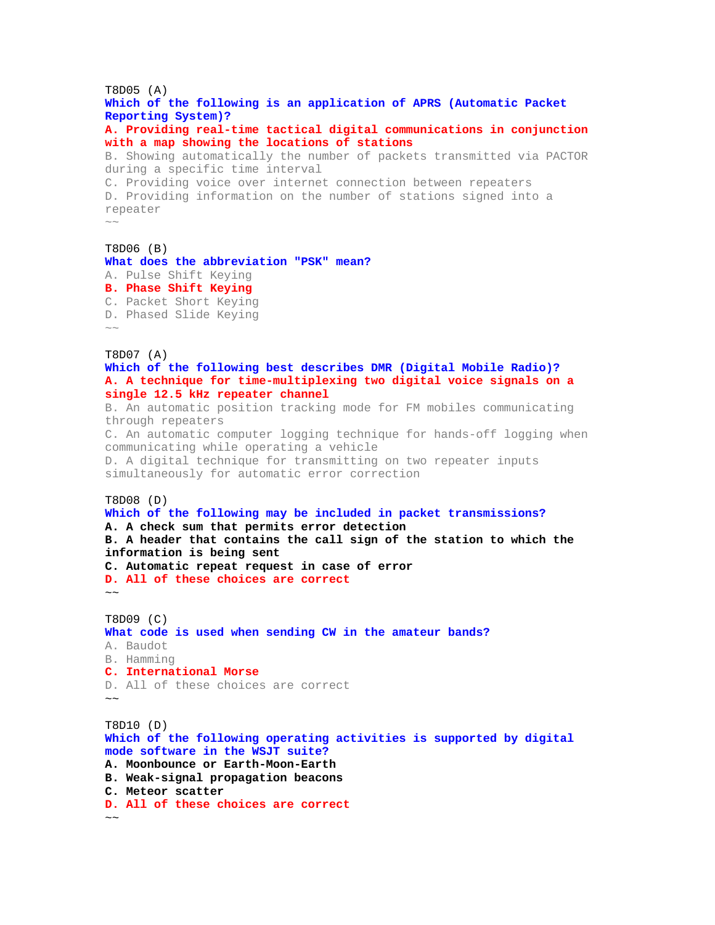```
T8D05 (A)
Which of the following is an application of APRS (Automatic Packet
Reporting System)?
A. Providing real-time tactical digital communications in conjunction
with a map showing the locations of stations
B. Showing automatically the number of packets transmitted via PACTOR
during a specific time interval
C. Providing voice over internet connection between repeaters
D. Providing information on the number of stations signed into a
repeater
\sim\,T8D06 (B)
What does the abbreviation "PSK" mean?
A. Pulse Shift Keying
B. Phase Shift Keying
C. Packet Short Keying
D. Phased Slide Keying
\sim\, \simT8D07 (A)
Which of the following best describes DMR (Digital Mobile Radio)?
A. A technique for time-multiplexing two digital voice signals on a
single 12.5 kHz repeater channel
B. An automatic position tracking mode for FM mobiles communicating
through repeaters
C. An automatic computer logging technique for hands-off logging when
communicating while operating a vehicle
D. A digital technique for transmitting on two repeater inputs
simultaneously for automatic error correction
T8D08 (D)
Which of the following may be included in packet transmissions?
A. A check sum that permits error detection
B. A header that contains the call sign of the station to which the
information is being sent
C. Automatic repeat request in case of error
D. All of these choices are correct
\sim \simT8D09 (C)
What code is used when sending CW in the amateur bands?
A. Baudot
B. Hamming
C. International Morse
D. All of these choices are correct
\sim\simT8D10 (D)
Which of the following operating activities is supported by digital
mode software in the WSJT suite?
A. Moonbounce or Earth-Moon-Earth
B. Weak-signal propagation beacons
C. Meteor scatter
D. All of these choices are correct
\sim ~
```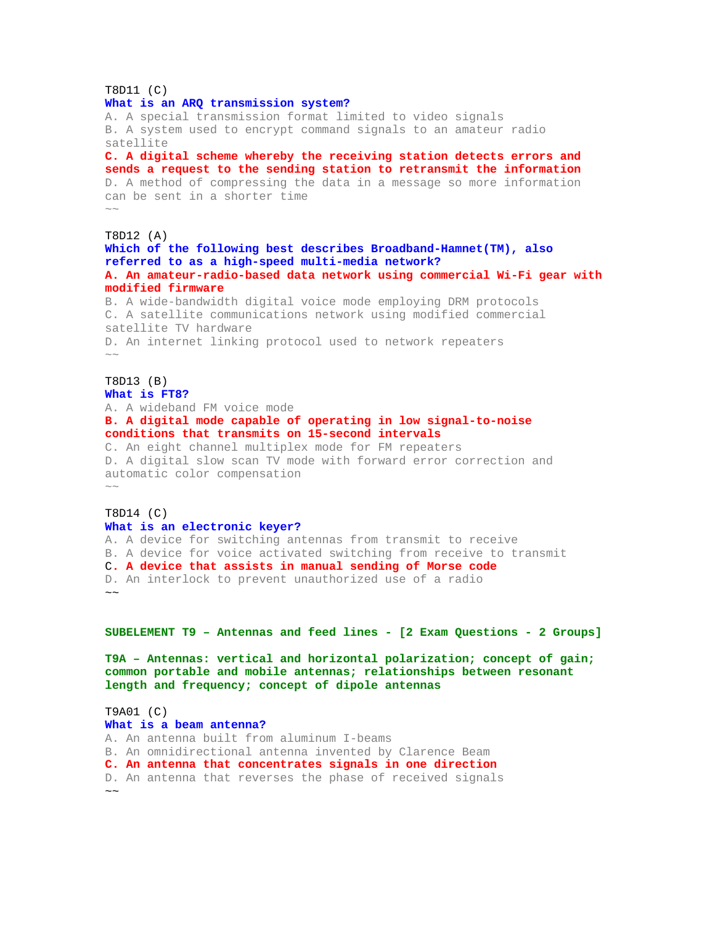T8D11 (C) **What is an ARQ transmission system?** A. A special transmission format limited to video signals B. A system used to encrypt command signals to an amateur radio satellite **C. A digital scheme whereby the receiving station detects errors and sends a request to the sending station to retransmit the information** D. A method of compressing the data in a message so more information can be sent in a shorter time  $\sim\,$ T8D12 (A) **Which of the following best describes Broadband-Hamnet(TM), also referred to as a high-speed multi-media network? A. An amateur-radio-based data network using commercial Wi-Fi gear with modified firmware** B. A wide-bandwidth digital voice mode employing DRM protocols C. A satellite communications network using modified commercial satellite TV hardware D. An internet linking protocol used to network repeaters  $\sim\,$ T8D13 (B) **What is FT8?** A. A wideband FM voice mode **B. A digital mode capable of operating in low signal-to-noise conditions that transmits on 15-second intervals** C. An eight channel multiplex mode for FM repeaters D. A digital slow scan TV mode with forward error correction and automatic color compensation  $\sim\,$ T8D14 (C) **What is an electronic keyer?** A. A device for switching antennas from transmit to receive B. A device for voice activated switching from receive to transmit C**. A device that assists in manual sending of Morse code** D. An interlock to prevent unauthorized use of a radio  $\sim$   $\sim$ **SUBELEMENT T9 – Antennas and feed lines - [2 Exam Questions - 2 Groups] T9A – Antennas: vertical and horizontal polarization; concept of gain; common portable and mobile antennas; relationships between resonant length and frequency; concept of dipole antennas** T9A01 (C) **What is a beam antenna?** A. An antenna built from aluminum I-beams B. An omnidirectional antenna invented by Clarence Beam **C. An antenna that concentrates signals in one direction** D. An antenna that reverses the phase of received signals  $\sim\sim$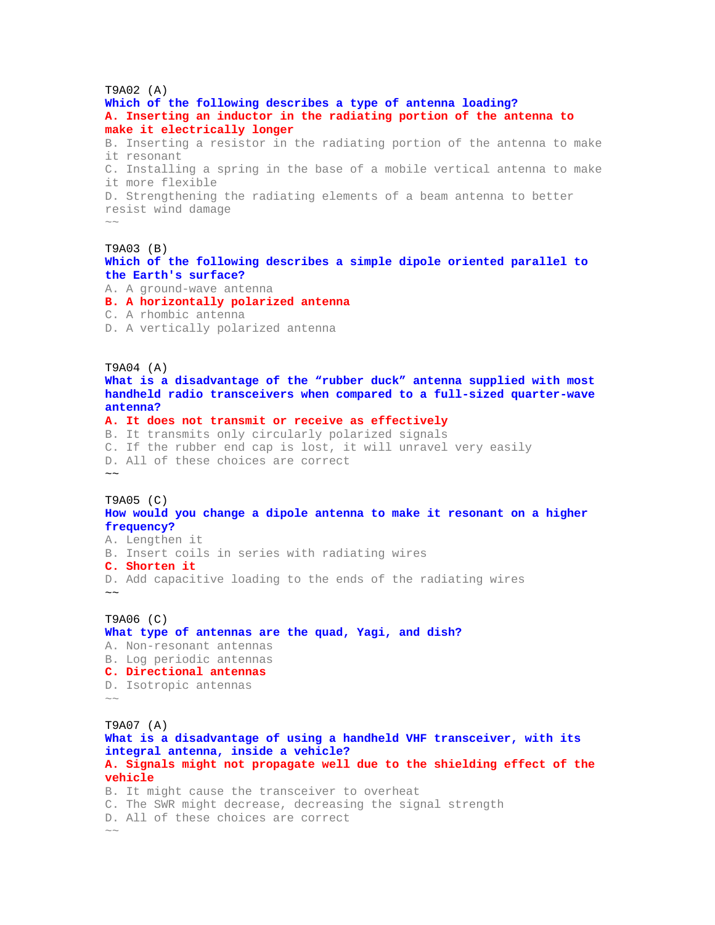T9A02 (A) **Which of the following describes a type of antenna loading? A. Inserting an inductor in the radiating portion of the antenna to make it electrically longer** B. Inserting a resistor in the radiating portion of the antenna to make it resonant C. Installing a spring in the base of a mobile vertical antenna to make it more flexible D. Strengthening the radiating elements of a beam antenna to better resist wind damage  $\sim\,$ T9A03 (B) **Which of the following describes a simple dipole oriented parallel to the Earth's surface?** A. A ground-wave antenna **B. A horizontally polarized antenna** C. A rhombic antenna D. A vertically polarized antenna T9A04 (A) **What is a disadvantage of the "rubber duck" antenna supplied with most handheld radio transceivers when compared to a full-sized quarter-wave antenna? A. It does not transmit or receive as effectively** B. It transmits only circularly polarized signals C. If the rubber end cap is lost, it will unravel very easily D. All of these choices are correct ~~~ T9A05 (C) **How would you change a dipole antenna to make it resonant on a higher frequency?** A. Lengthen it B. Insert coils in series with radiating wires **C. Shorten it** D. Add capacitive loading to the ends of the radiating wires  $\sim$  ~ T9A06 (C) **What type of antennas are the quad, Yagi, and dish?** A. Non-resonant antennas B. Log periodic antennas **C. Directional antennas** D. Isotropic antennas  $\sim\sim$ T9A07 (A) **What is a disadvantage of using a handheld VHF transceiver, with its integral antenna, inside a vehicle? A. Signals might not propagate well due to the shielding effect of the vehicle** B. It might cause the transceiver to overheat C. The SWR might decrease, decreasing the signal strength D. All of these choices are correct  $\sim$  ~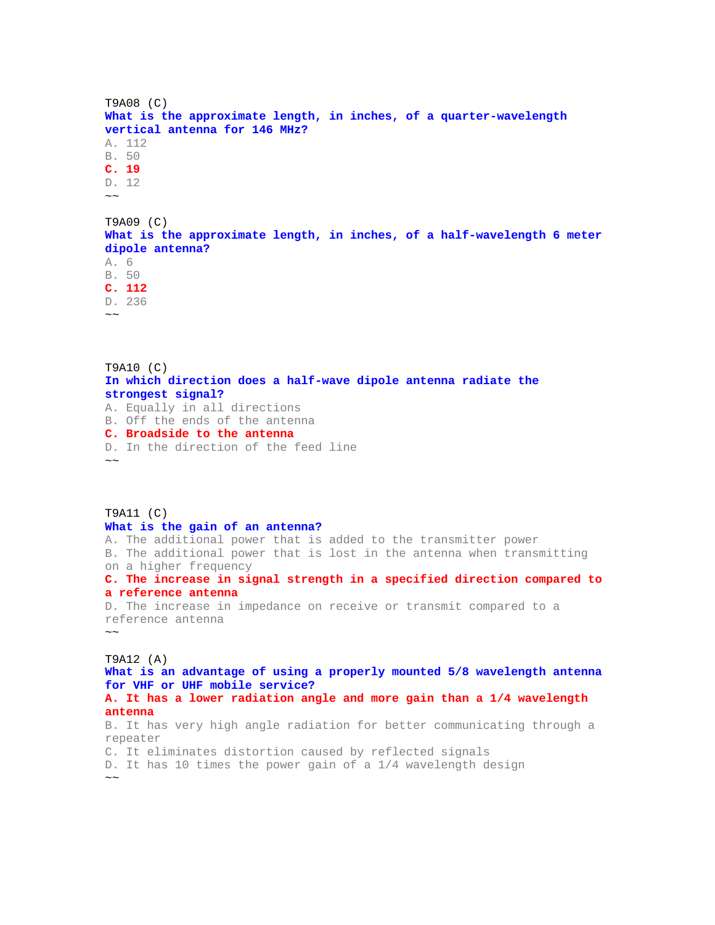```
T9A08 (C)
What is the approximate length, in inches, of a quarter-wavelength
vertical antenna for 146 MHz?
A. 112
B. 50
C. 19
D. 12
\sim\simT9A09 (C)
What is the approximate length, in inches, of a half-wavelength 6 meter
dipole antenna?
A. 6
B. 50
C. 112
D. 236
\sim\simT9A10 (C)
In which direction does a half-wave dipole antenna radiate the
strongest signal?
A. Equally in all directions
B. Off the ends of the antenna
C. Broadside to the antenna
D. In the direction of the feed line
\sim ~
T9A11 (C)
What is the gain of an antenna?
A. The additional power that is added to the transmitter power
B. The additional power that is lost in the antenna when transmitting
on a higher frequency
C. The increase in signal strength in a specified direction compared to
a reference antenna
D. The increase in impedance on receive or transmit compared to a
reference antenna
\sim ~
T9A12 (A)
What is an advantage of using a properly mounted 5/8 wavelength antenna
for VHF or UHF mobile service?
```
**A. It has a lower radiation angle and more gain than a 1/4 wavelength antenna**

B. It has very high angle radiation for better communicating through a repeater

C. It eliminates distortion caused by reflected signals D. It has 10 times the power gain of a 1/4 wavelength design  $\sim$   $\sim$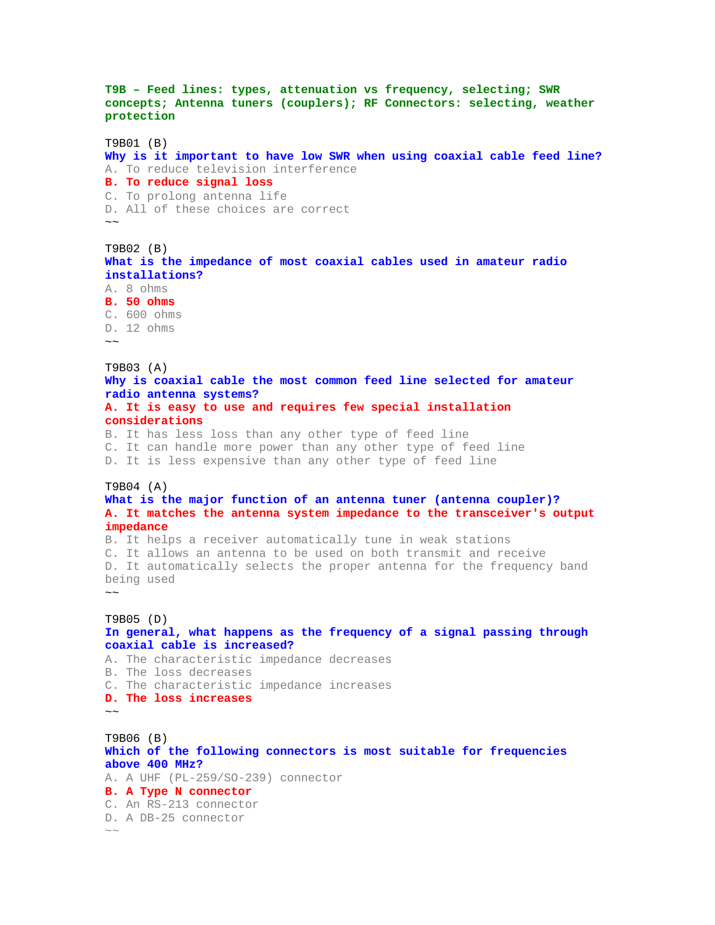```
T9B – Feed lines: types, attenuation vs frequency, selecting; SWR
concepts; Antenna tuners (couplers); RF Connectors: selecting, weather
protection
T9B01 (B)
Why is it important to have low SWR when using coaxial cable feed line?
A. To reduce television interference
B. To reduce signal loss
C. To prolong antenna life
D. All of these choices are correct
\sim \simT9B02 (B)
What is the impedance of most coaxial cables used in amateur radio
installations?
A. 8 ohms
B. 50 ohms
C. 600 ohms
D. 12 ohms
\sim\simT9B03 (A)
Why is coaxial cable the most common feed line selected for amateur
radio antenna systems?
A. It is easy to use and requires few special installation
considerations
B. It has less loss than any other type of feed line
C. It can handle more power than any other type of feed line
D. It is less expensive than any other type of feed line
T9B04 (A)
What is the major function of an antenna tuner (antenna coupler)?
A. It matches the antenna system impedance to the transceiver's output
impedance
B. It helps a receiver automatically tune in weak stations
C. It allows an antenna to be used on both transmit and receive
D. It automatically selects the proper antenna for the frequency band
being used
\sim\simT9B05 (D)
In general, what happens as the frequency of a signal passing through
coaxial cable is increased?
A. The characteristic impedance decreases
B. The loss decreases
C. The characteristic impedance increases
D. The loss increases
\sim\simT9B06 (B)
Which of the following connectors is most suitable for frequencies
above 400 MHz?
A. A UHF (PL-259/SO-239) connector
B. A Type N connector
C. An RS-213 connector
D. A DB-25 connector
\sim\,
```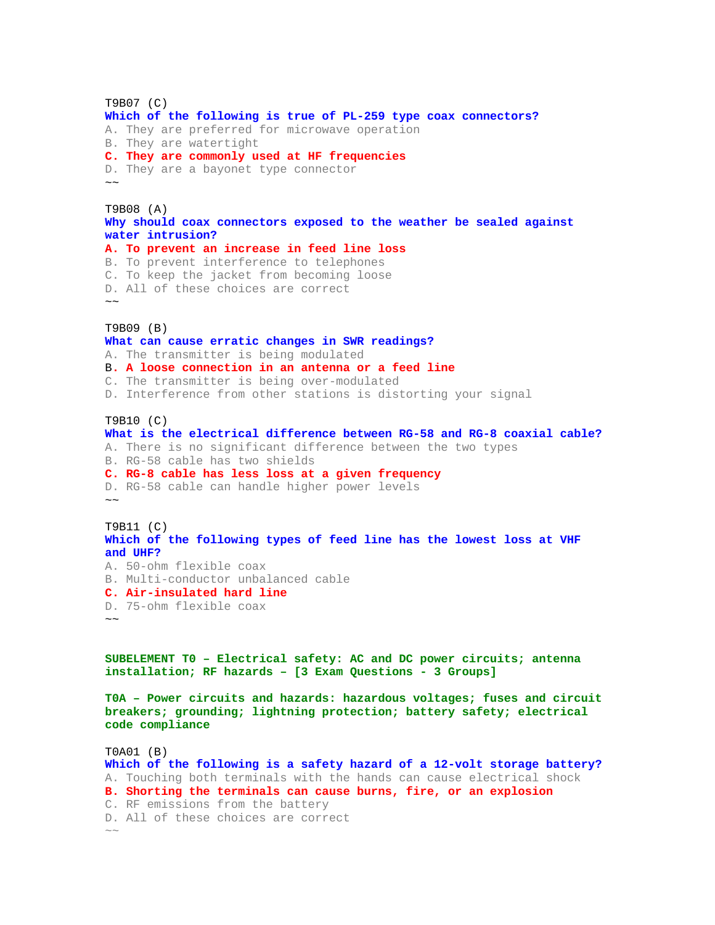T9B07 (C) **Which of the following is true of PL-259 type coax connectors?** A. They are preferred for microwave operation B. They are watertight **C. They are commonly used at HF frequencies** D. They are a bayonet type connector  $\sim\sim$ T9B08 (A) **Why should coax connectors exposed to the weather be sealed against water intrusion? A. To prevent an increase in feed line loss** B. To prevent interference to telephones C. To keep the jacket from becoming loose D. All of these choices are correct  $\sim$  ~ T9B09 (B) **What can cause erratic changes in SWR readings?** A. The transmitter is being modulated B**. A loose connection in an antenna or a feed line** C. The transmitter is being over-modulated D. Interference from other stations is distorting your signal T9B10 (C) **What is the electrical difference between RG-58 and RG-8 coaxial cable?** A. There is no significant difference between the two types B. RG-58 cable has two shields **C. RG-8 cable has less loss at a given frequency** D. RG-58 cable can handle higher power levels  $\sim$  ~ T9B11 (C) **Which of the following types of feed line has the lowest loss at VHF and UHF?** A. 50-ohm flexible coax B. Multi-conductor unbalanced cable **C. Air-insulated hard line** D. 75-ohm flexible coax ~~ **SUBELEMENT T0 – Electrical safety: AC and DC power circuits; antenna installation; RF hazards – [3 Exam Questions - 3 Groups] T0A – Power circuits and hazards: hazardous voltages; fuses and circuit breakers; grounding; lightning protection; battery safety; electrical code compliance** T0A01 (B) **Which of the following is a safety hazard of a 12-volt storage battery?** A. Touching both terminals with the hands can cause electrical shock **B. Shorting the terminals can cause burns, fire, or an explosion** C. RF emissions from the battery D. All of these choices are correct  $\sim\,$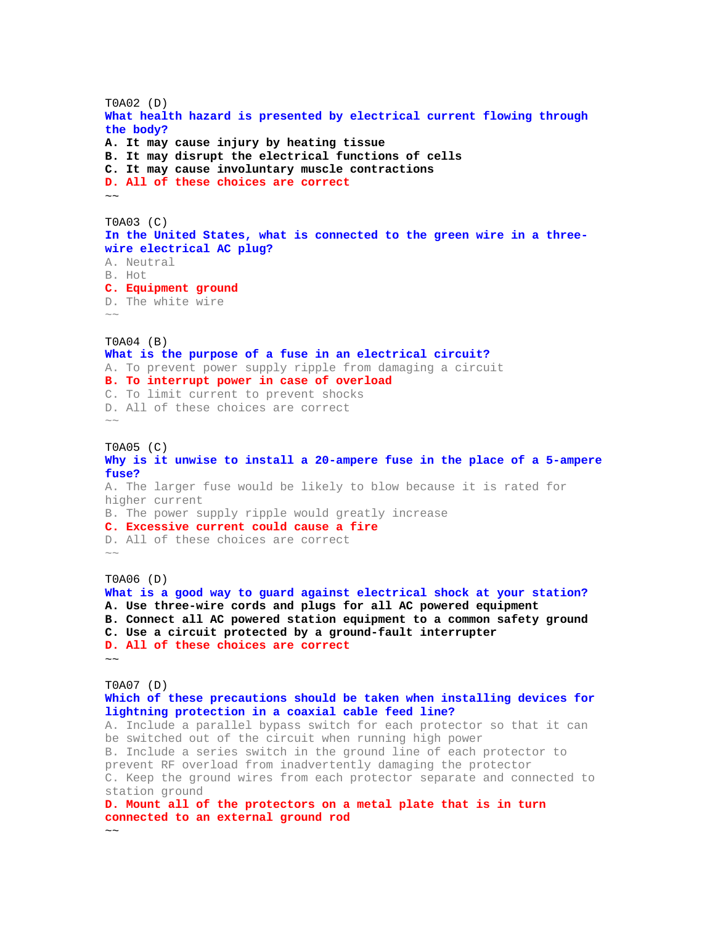```
T0A02 (D)
What health hazard is presented by electrical current flowing through
the body?
A. It may cause injury by heating tissue
B. It may disrupt the electrical functions of cells
C. It may cause involuntary muscle contractions
D. All of these choices are correct
\sim ~
T0A03 (C)
In the United States, what is connected to the green wire in a three-
wire electrical AC plug?
A. Neutral
B. Hot
C. Equipment ground
D. The white wire
\sim\,T0A04 (B)
What is the purpose of a fuse in an electrical circuit?
A. To prevent power supply ripple from damaging a circuit
B. To interrupt power in case of overload
C. To limit current to prevent shocks
D. All of these choices are correct
\sim\, \simT0A05 (C)
Why is it unwise to install a 20-ampere fuse in the place of a 5-ampere
fuse?
A. The larger fuse would be likely to blow because it is rated for
higher current
B. The power supply ripple would greatly increase
C. Excessive current could cause a fire
D. All of these choices are correct
\sim\,T0A06 (D)
What is a good way to guard against electrical shock at your station?
A. Use three-wire cords and plugs for all AC powered equipment
B. Connect all AC powered station equipment to a common safety ground
C. Use a circuit protected by a ground-fault interrupter
D. All of these choices are correct
\sim ~
T0A07 (D)
Which of these precautions should be taken when installing devices for
lightning protection in a coaxial cable feed line?
A. Include a parallel bypass switch for each protector so that it can
be switched out of the circuit when running high power
B. Include a series switch in the ground line of each protector to
prevent RF overload from inadvertently damaging the protector
C. Keep the ground wires from each protector separate and connected to
station ground
D. Mount all of the protectors on a metal plate that is in turn
connected to an external ground rod
\sim\sim
```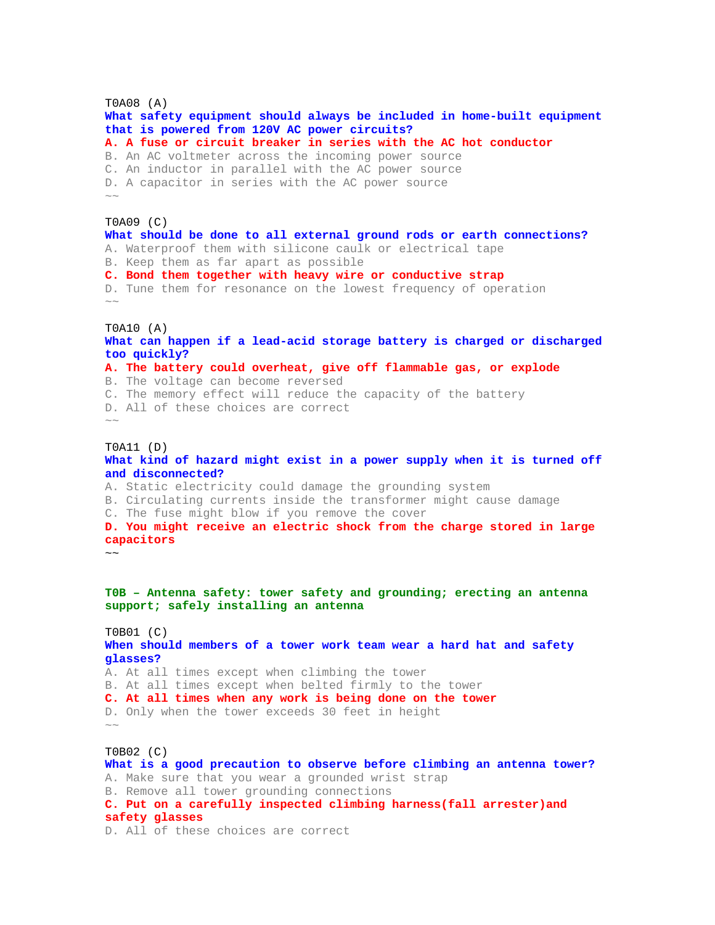T0A08 (A) **What safety equipment should always be included in home-built equipment that is powered from 120V AC power circuits? A. A fuse or circuit breaker in series with the AC hot conductor** B. An AC voltmeter across the incoming power source C. An inductor in parallel with the AC power source D. A capacitor in series with the AC power source  $\sim\,$ T0A09 (C) **What should be done to all external ground rods or earth connections?** A. Waterproof them with silicone caulk or electrical tape B. Keep them as far apart as possible **C. Bond them together with heavy wire or conductive strap** D. Tune them for resonance on the lowest frequency of operation  $\sim$  ~ T0A10 (A) **What can happen if a lead-acid storage battery is charged or discharged too quickly? A. The battery could overheat, give off flammable gas, or explode** B. The voltage can become reversed C. The memory effect will reduce the capacity of the battery D. All of these choices are correct  $\sim$  ~ T0A11 (D) **What kind of hazard might exist in a power supply when it is turned off and disconnected?** A. Static electricity could damage the grounding system B. Circulating currents inside the transformer might cause damage C. The fuse might blow if you remove the cover **D. You might receive an electric shock from the charge stored in large capacitors**  $\sim$  ~ **T0B – Antenna safety: tower safety and grounding; erecting an antenna support; safely installing an antenna** T0B01 (C) **When should members of a tower work team wear a hard hat and safety glasses?** A. At all times except when climbing the tower B. At all times except when belted firmly to the tower **C. At all times when any work is being done on the tower** D. Only when the tower exceeds 30 feet in height  $\sim\,$ T0B02 (C) **What is a good precaution to observe before climbing an antenna tower?** A. Make sure that you wear a grounded wrist strap B. Remove all tower grounding connections **C. Put on a carefully inspected climbing harness(fall arrester)and safety glasses** D. All of these choices are correct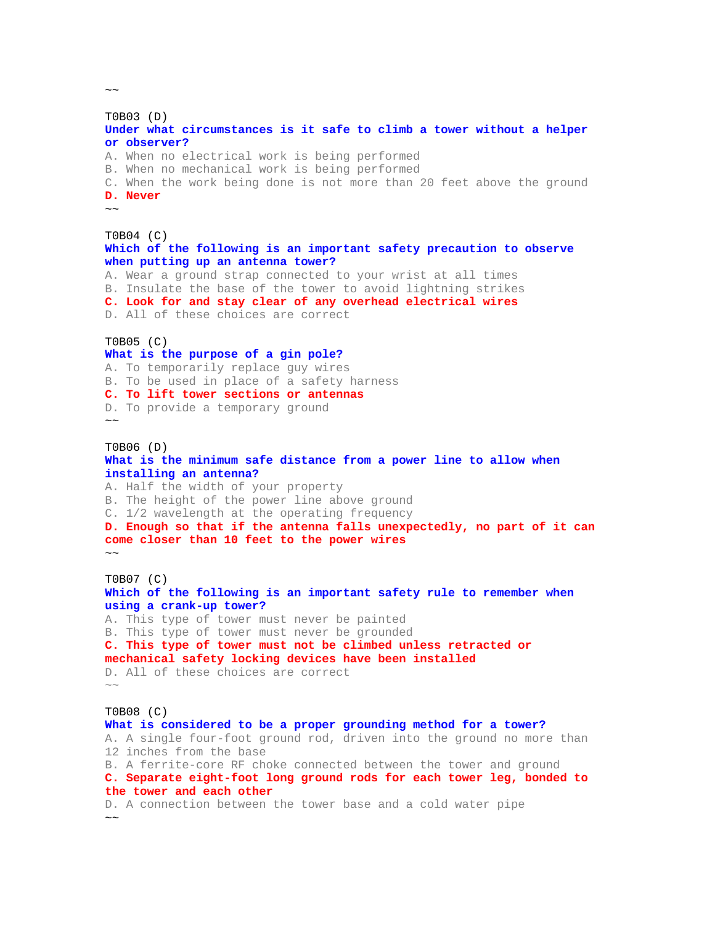T0B03 (D) **Under what circumstances is it safe to climb a tower without a helper or observer?** A. When no electrical work is being performed B. When no mechanical work is being performed C. When the work being done is not more than 20 feet above the ground **D. Never**  $\sim$  ~ T0B04 (C) **Which of the following is an important safety precaution to observe when putting up an antenna tower?** A. Wear a ground strap connected to your wrist at all times B. Insulate the base of the tower to avoid lightning strikes **C. Look for and stay clear of any overhead electrical wires** D. All of these choices are correct T0B05 (C) **What is the purpose of a gin pole?** A. To temporarily replace guy wires B. To be used in place of a safety harness **C. To lift tower sections or antennas** D. To provide a temporary ground  $\sim\sim$ T0B06 (D) **What is the minimum safe distance from a power line to allow when installing an antenna?** A. Half the width of your property B. The height of the power line above ground C. 1/2 wavelength at the operating frequency **D. Enough so that if the antenna falls unexpectedly, no part of it can come closer than 10 feet to the power wires**  $\sim\sim$ T0B07 (C) **Which of the following is an important safety rule to remember when using a crank-up tower?** A. This type of tower must never be painted B. This type of tower must never be grounded **C. This type of tower must not be climbed unless retracted or mechanical safety locking devices have been installed** D. All of these choices are correct  $\sim\, \sim$ T0B08 (C) **What is considered to be a proper grounding method for a tower?** A. A single four-foot ground rod, driven into the ground no more than 12 inches from the base B. A ferrite-core RF choke connected between the tower and ground **C. Separate eight-foot long ground rods for each tower leg, bonded to the tower and each other** D. A connection between the tower base and a cold water pipe  $\sim$  ~

 $\sim\sim$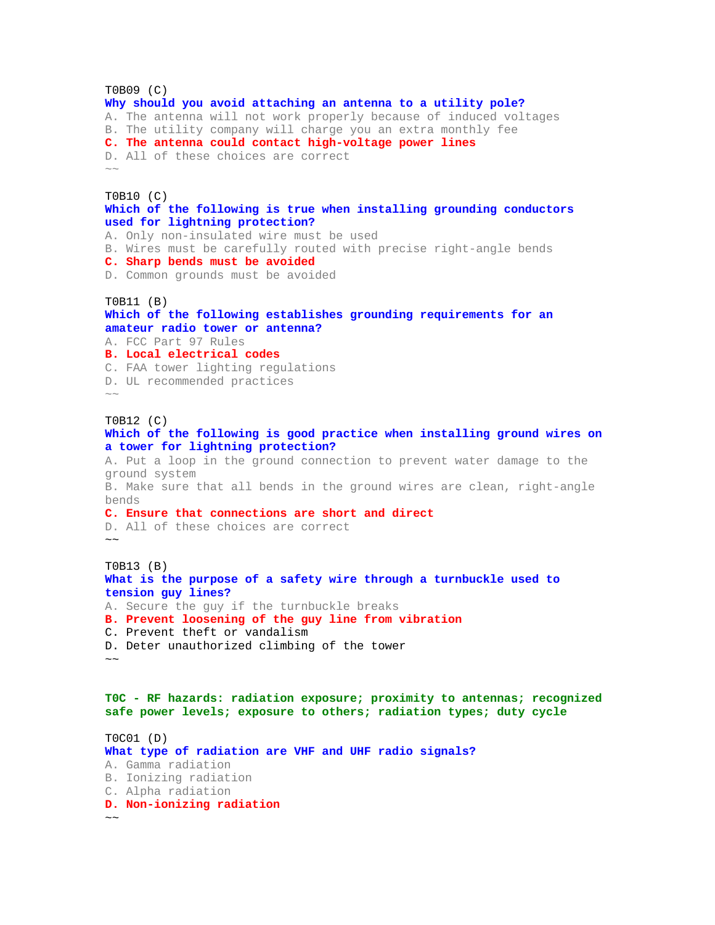T0B09 (C) **Why should you avoid attaching an antenna to a utility pole?** A. The antenna will not work properly because of induced voltages B. The utility company will charge you an extra monthly fee **C. The antenna could contact high-voltage power lines** D. All of these choices are correct  $\sim\,$ T0B10 (C) **Which of the following is true when installing grounding conductors used for lightning protection?** A. Only non-insulated wire must be used B. Wires must be carefully routed with precise right-angle bends **C. Sharp bends must be avoided** D. Common grounds must be avoided T0B11 (B) **Which of the following establishes grounding requirements for an amateur radio tower or antenna?** A. FCC Part 97 Rules **B. Local electrical codes** C. FAA tower lighting regulations D. UL recommended practices  $\sim\,$ T0B12 (C) **Which of the following is good practice when installing ground wires on a tower for lightning protection?** A. Put a loop in the ground connection to prevent water damage to the ground system B. Make sure that all bends in the ground wires are clean, right-angle bends **C. Ensure that connections are short and direct** D. All of these choices are correct  $\sim$   $\sim$ T0B13 (B) **What is the purpose of a safety wire through a turnbuckle used to tension guy lines?** A. Secure the guy if the turnbuckle breaks **B. Prevent loosening of the guy line from vibration** C. Prevent theft or vandalism D. Deter unauthorized climbing of the tower  $\sim$  ~ **T0C - RF hazards: radiation exposure; proximity to antennas; recognized safe power levels; exposure to others; radiation types; duty cycle** T0C01 (D) **What type of radiation are VHF and UHF radio signals?** A. Gamma radiation B. Ionizing radiation C. Alpha radiation **D. Non-ionizing radiation**  $\sim\sim$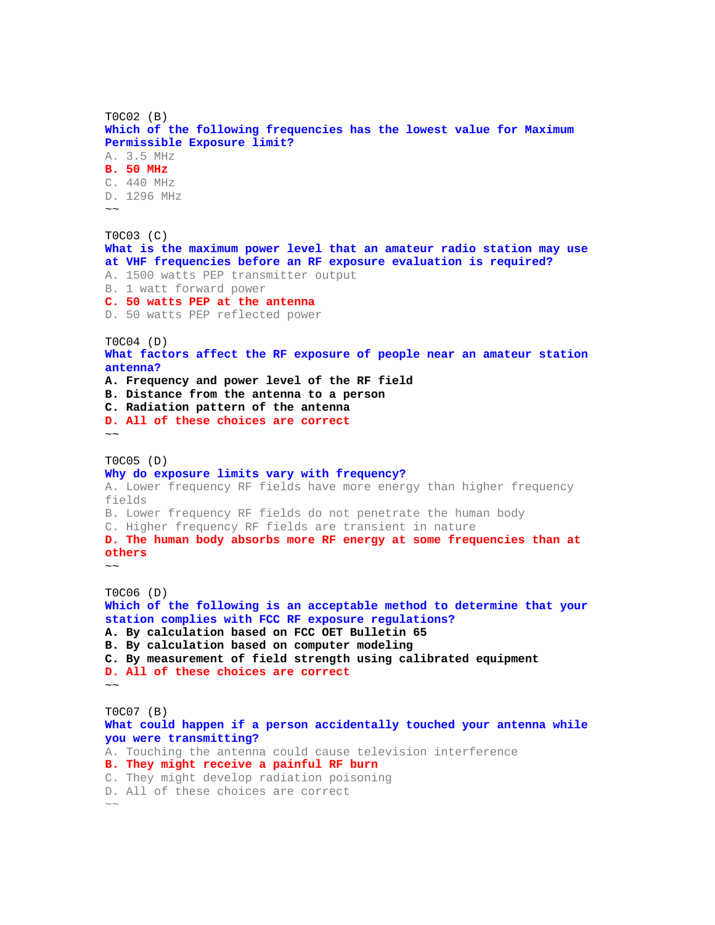```
T0C02 (B)
Which of the following frequencies has the lowest value for Maximum
Permissible Exposure limit?
A. 3.5 MHz
B. 50 MHz
C. 440 MHz
D. 1296 MHz
\sim ~
T0C03 (C)
What is the maximum power level that an amateur radio station may use
at VHF frequencies before an RF exposure evaluation is required?
A. 1500 watts PEP transmitter output
B. 1 watt forward power
C. 50 watts PEP at the antenna
D. 50 watts PEP reflected power
T0C04 (D)
What factors affect the RF exposure of people near an amateur station
antenna?
A. Frequency and power level of the RF field
B. Distance from the antenna to a person
C. Radiation pattern of the antenna
D. All of these choices are correct
\sim\simT0C05 (D)
Why do exposure limits vary with frequency?
A. Lower frequency RF fields have more energy than higher frequency
fields
B. Lower frequency RF fields do not penetrate the human body
C. Higher frequency RF fields are transient in nature
D. The human body absorbs more RF energy at some frequencies than at
others
\sim \simT0C06 (D)
Which of the following is an acceptable method to determine that your
station complies with FCC RF exposure regulations?
A. By calculation based on FCC OET Bulletin 65
B. By calculation based on computer modeling
C. By measurement of field strength using calibrated equipment
D. All of these choices are correct
\sim\simT0C07 (B)
What could happen if a person accidentally touched your antenna while
you were transmitting?
A. Touching the antenna could cause television interference
B. They might receive a painful RF burn
C. They might develop radiation poisoning
D. All of these choices are correct
\sim\,
```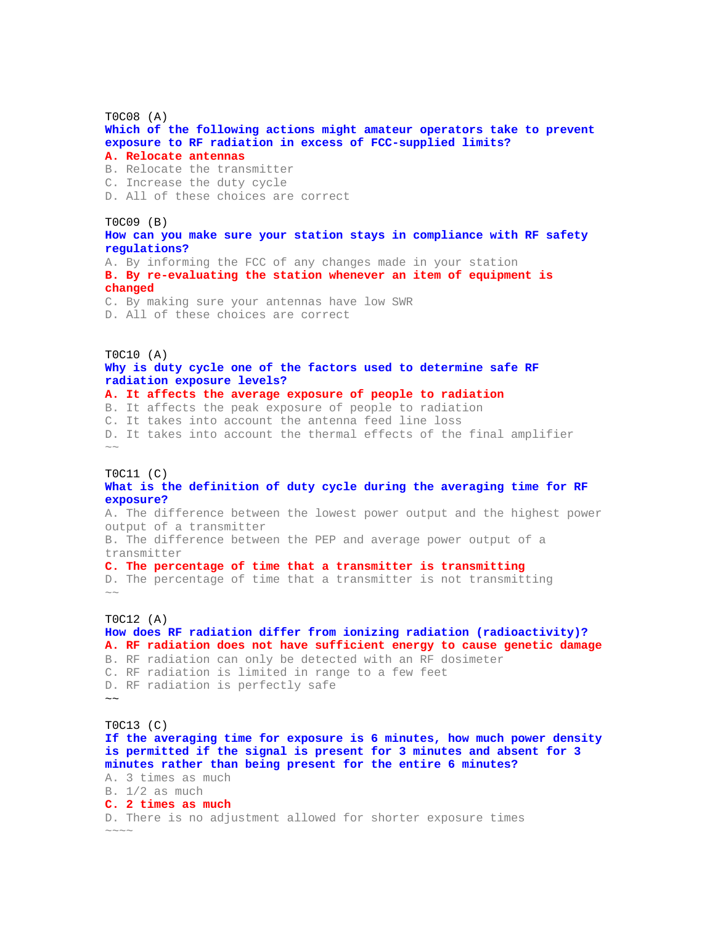T0C08 (A) **Which of the following actions might amateur operators take to prevent exposure to RF radiation in excess of FCC-supplied limits? A. Relocate antennas** B. Relocate the transmitter C. Increase the duty cycle D. All of these choices are correct T0C09 (B) **How can you make sure your station stays in compliance with RF safety regulations?** A. By informing the FCC of any changes made in your station **B. By re-evaluating the station whenever an item of equipment is changed** C. By making sure your antennas have low SWR D. All of these choices are correct T0C10 (A) **Why is duty cycle one of the factors used to determine safe RF radiation exposure levels? A. It affects the average exposure of people to radiation** B. It affects the peak exposure of people to radiation C. It takes into account the antenna feed line loss D. It takes into account the thermal effects of the final amplifier  $\sim\,$ T0C11 (C) **What is the definition of duty cycle during the averaging time for RF exposure?** A. The difference between the lowest power output and the highest power output of a transmitter B. The difference between the PEP and average power output of a transmitter **C. The percentage of time that a transmitter is transmitting** D. The percentage of time that a transmitter is not transmitting  $\sim\,$ T0C12 (A) **How does RF radiation differ from ionizing radiation (radioactivity)? A. RF radiation does not have sufficient energy to cause genetic damage** B. RF radiation can only be detected with an RF dosimeter C. RF radiation is limited in range to a few feet D. RF radiation is perfectly safe  $\sim\sim$ T0C13 (C) **If the averaging time for exposure is 6 minutes, how much power density is permitted if the signal is present for 3 minutes and absent for 3 minutes rather than being present for the entire 6 minutes?** A. 3 times as much B.  $1/2$  as much **C. 2 times as much** D. There is no adjustment allowed for shorter exposure times

 $\sim\sim\sim\sim$